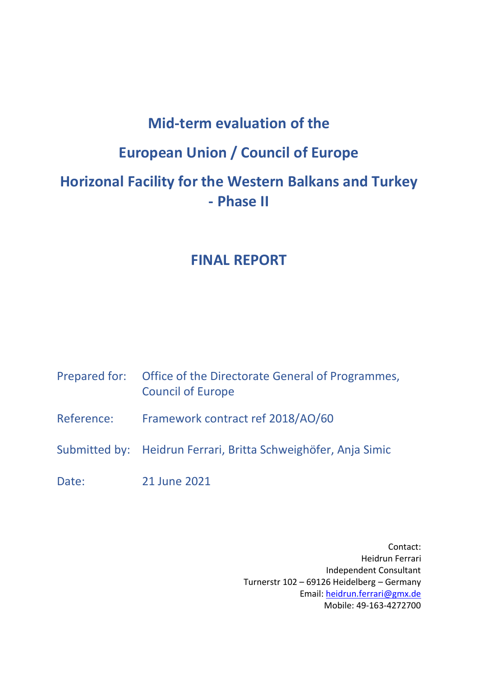# **Mid-term evaluation of the European Union / Council of Europe Horizonal Facility for the Western Balkans and Turkey**

# **- Phase II**

# **FINAL REPORT**

|            | Prepared for: Office of the Directorate General of Programmes,<br><b>Council of Europe</b> |
|------------|--------------------------------------------------------------------------------------------|
| Reference: | Framework contract ref 2018/AO/60                                                          |
|            | Submitted by: Heidrun Ferrari, Britta Schweighöfer, Anja Simic                             |
| Date:      | 21 June 2021                                                                               |

Contact: Heidrun Ferrari Independent Consultant Turnerstr 102 – 69126 Heidelberg – Germany Email: [heidrun.ferrari@gmx.de](mailto:heidrun.ferrari@gmx.de) Mobile: 49-163-4272700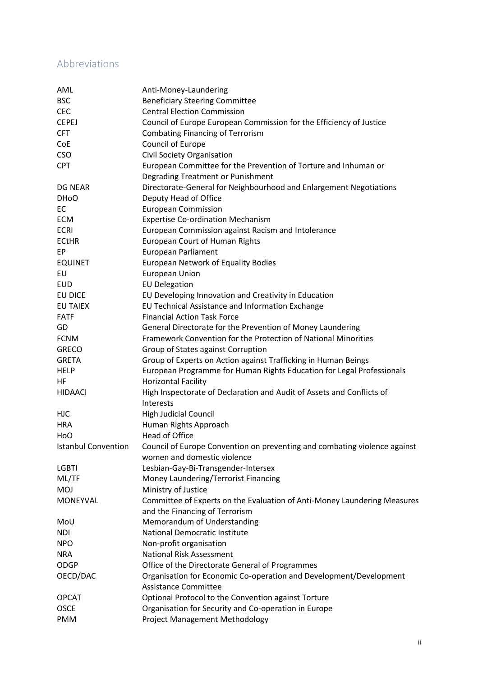### Abbreviations

| AML                        | Anti-Money-Laundering                                                              |
|----------------------------|------------------------------------------------------------------------------------|
| <b>BSC</b>                 | <b>Beneficiary Steering Committee</b>                                              |
| <b>CEC</b>                 | <b>Central Election Commission</b>                                                 |
| <b>CEPEJ</b>               | Council of Europe European Commission for the Efficiency of Justice                |
| <b>CFT</b>                 | <b>Combating Financing of Terrorism</b>                                            |
| CoE                        | Council of Europe                                                                  |
| <b>CSO</b>                 | Civil Society Organisation                                                         |
| <b>CPT</b>                 | European Committee for the Prevention of Torture and Inhuman or                    |
|                            | Degrading Treatment or Punishment                                                  |
| <b>DG NEAR</b>             | Directorate-General for Neighbourhood and Enlargement Negotiations                 |
| DH <sub>o</sub> O          | Deputy Head of Office                                                              |
| EC                         | <b>European Commission</b>                                                         |
| <b>ECM</b>                 | <b>Expertise Co-ordination Mechanism</b>                                           |
| <b>ECRI</b>                | European Commission against Racism and Intolerance                                 |
| <b>ECtHR</b>               | <b>European Court of Human Rights</b>                                              |
| EP                         | European Parliament                                                                |
| <b>EQUINET</b>             | <b>European Network of Equality Bodies</b>                                         |
| EU                         | <b>European Union</b>                                                              |
| <b>EUD</b>                 | <b>EU Delegation</b>                                                               |
| EU DICE                    | EU Developing Innovation and Creativity in Education                               |
| <b>EU TAIEX</b>            | EU Technical Assistance and Information Exchange                                   |
| <b>FATF</b>                | <b>Financial Action Task Force</b>                                                 |
| GD                         | General Directorate for the Prevention of Money Laundering                         |
| <b>FCNM</b>                | Framework Convention for the Protection of National Minorities                     |
|                            |                                                                                    |
| <b>GRECO</b>               | Group of States against Corruption                                                 |
| <b>GRETA</b>               | Group of Experts on Action against Trafficking in Human Beings                     |
| <b>HELP</b>                | European Programme for Human Rights Education for Legal Professionals              |
| HF                         | <b>Horizontal Facility</b>                                                         |
| <b>HIDAACI</b>             | High Inspectorate of Declaration and Audit of Assets and Conflicts of<br>Interests |
| <b>HJC</b>                 | High Judicial Council                                                              |
| <b>HRA</b>                 | Human Rights Approach                                                              |
| HoO                        | <b>Head of Office</b>                                                              |
| <b>Istanbul Convention</b> | Council of Europe Convention on preventing and combating violence against          |
|                            | women and domestic violence                                                        |
| <b>LGBTI</b>               | Lesbian-Gay-Bi-Transgender-Intersex                                                |
| ML/TF                      | Money Laundering/Terrorist Financing                                               |
| <b>MOJ</b>                 | Ministry of Justice                                                                |
| MONEYVAL                   | Committee of Experts on the Evaluation of Anti-Money Laundering Measures           |
|                            | and the Financing of Terrorism                                                     |
| MoU                        | Memorandum of Understanding                                                        |
| <b>NDI</b>                 | National Democratic Institute                                                      |
| <b>NPO</b>                 | Non-profit organisation                                                            |
| <b>NRA</b>                 | <b>National Risk Assessment</b>                                                    |
| <b>ODGP</b>                | Office of the Directorate General of Programmes                                    |
| OECD/DAC                   | Organisation for Economic Co-operation and Development/Development                 |
|                            | <b>Assistance Committee</b>                                                        |
| <b>OPCAT</b>               | Optional Protocol to the Convention against Torture                                |
| <b>OSCE</b>                | Organisation for Security and Co-operation in Europe                               |
| <b>PMM</b>                 | <b>Project Management Methodology</b>                                              |
|                            |                                                                                    |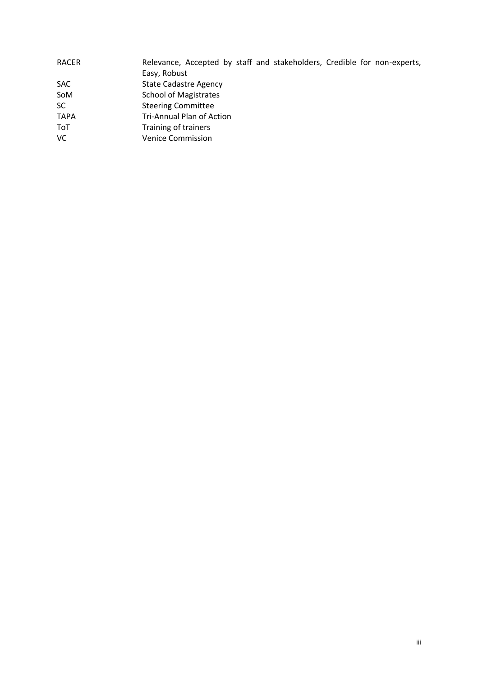| <b>RACER</b> | Relevance, Accepted by staff and stakeholders, Credible for non-experts, |
|--------------|--------------------------------------------------------------------------|
|              | Easy, Robust                                                             |
| <b>SAC</b>   | <b>State Cadastre Agency</b>                                             |
| SoM          | <b>School of Magistrates</b>                                             |
| <b>SC</b>    | <b>Steering Committee</b>                                                |
| <b>TAPA</b>  | Tri-Annual Plan of Action                                                |
| ToT          | Training of trainers                                                     |
| <b>VC</b>    | <b>Venice Commission</b>                                                 |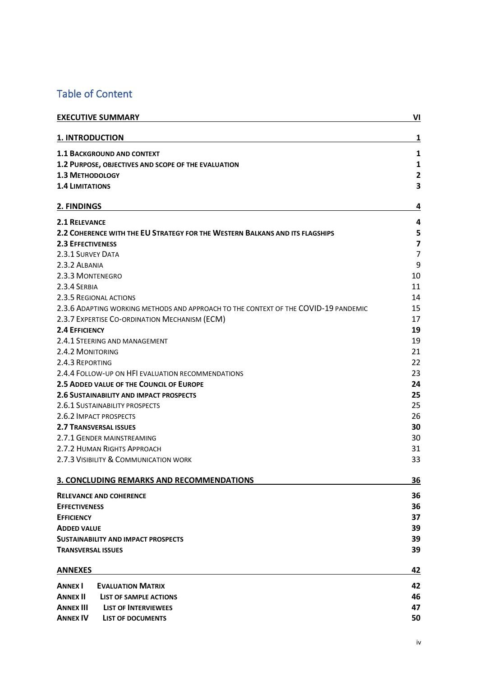### Table of Content

| <b>EXECUTIVE SUMMARY</b>                                                            | VI                      |
|-------------------------------------------------------------------------------------|-------------------------|
| <b>1. INTRODUCTION</b>                                                              | 1                       |
| <b>1.1 BACKGROUND AND CONTEXT</b>                                                   | $\mathbf{1}$            |
| 1.2 PURPOSE, OBJECTIVES AND SCOPE OF THE EVALUATION                                 | $\mathbf{1}$            |
| <b>1.3 METHODOLOGY</b><br><b>1.4 LIMITATIONS</b>                                    |                         |
|                                                                                     |                         |
| <b>2.1 RELEVANCE</b>                                                                | 4                       |
| 2.2 COHERENCE WITH THE EU STRATEGY FOR THE WESTERN BALKANS AND ITS FLAGSHIPS        | 5                       |
| <b>2.3 EFFECTIVENESS</b>                                                            | $\overline{\mathbf{z}}$ |
| 2.3.1 SURVEY DATA                                                                   | $\overline{7}$          |
| 2.3.2 ALBANIA                                                                       | 9                       |
| 2.3.3 MONTENEGRO                                                                    | 10                      |
| 2.3.4 SERBIA                                                                        | 11                      |
| 2.3.5 REGIONAL ACTIONS                                                              | 14                      |
| 2.3.6 ADAPTING WORKING METHODS AND APPROACH TO THE CONTEXT OF THE COVID-19 PANDEMIC | 15                      |
| 2.3.7 EXPERTISE CO-ORDINATION MECHANISM (ECM)                                       | 17                      |
| <b>2.4 EFFICIENCY</b>                                                               | 19                      |
| 2.4.1 STEERING AND MANAGEMENT                                                       | 19                      |
| 2.4.2 MONITORING                                                                    | 21                      |
| 2.4.3 REPORTING                                                                     | 22                      |
| 2.4.4 FOLLOW-UP ON HFI EVALUATION RECOMMENDATIONS                                   | 23                      |
| 2.5 ADDED VALUE OF THE COUNCIL OF EUROPE                                            | 24                      |
| <b>2.6 SUSTAINABILITY AND IMPACT PROSPECTS</b>                                      | 25                      |
| 2.6.1 SUSTAINABILITY PROSPECTS                                                      | 25                      |
| 2.6.2 IMPACT PROSPECTS                                                              |                         |
| <b>2.7 TRANSVERSAL ISSUES</b>                                                       | 30                      |
| 2.7.1 GENDER MAINSTREAMING                                                          |                         |
| 2.7.2 HUMAN RIGHTS APPROACH                                                         | 31                      |
| 2.7.3 VISIBILITY & COMMUNICATION WORK                                               | 33                      |
| 3. CONCLUDING REMARKS AND RECOMMENDATIONS                                           | 36                      |
| <b>RELEVANCE AND COHERENCE</b>                                                      | 36                      |
| <b>EFFECTIVENESS</b>                                                                | 36                      |
| <b>EFFICIENCY</b>                                                                   | 37                      |
| <b>ADDED VALUE</b>                                                                  | 39                      |
| <b>SUSTAINABILITY AND IMPACT PROSPECTS</b>                                          | 39                      |
| <b>TRANSVERSAL ISSUES</b>                                                           | 39                      |
| <b>ANNEXES</b>                                                                      | 42                      |
| <b>ANNEX I</b><br><b>EVALUATION MATRIX</b>                                          | 42                      |
| <b>ANNEX II</b><br><b>LIST OF SAMPLE ACTIONS</b>                                    | 46                      |
| <b>ANNEX III</b><br><b>LIST OF INTERVIEWEES</b>                                     | 47                      |
| <b>ANNEX IV</b><br><b>LIST OF DOCUMENTS</b>                                         | 50                      |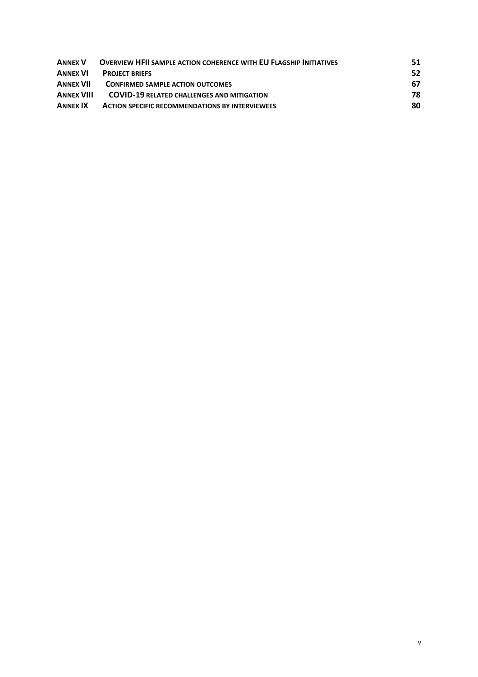| <b>ANNEX V</b>    | <b>OVERVIEW HEIL SAMPLE ACTION COHERENCE WITH EU FLAGSHIP INITIATIVES</b> | 51. |
|-------------------|---------------------------------------------------------------------------|-----|
| <b>ANNEX VI</b>   | <b>PROJECT BRIEFS</b>                                                     | 52  |
| ANNEX VII         | <b>CONFIRMED SAMPLE ACTION OUTCOMES</b>                                   | 67  |
| <b>ANNEX VIII</b> | <b>COVID-19 RELATED CHALLENGES AND MITIGATION</b>                         | 78  |
| <b>ANNEX IX</b>   | <b>ACTION SPECIFIC RECOMMENDATIONS BY INTERVIEWEES</b>                    | 80  |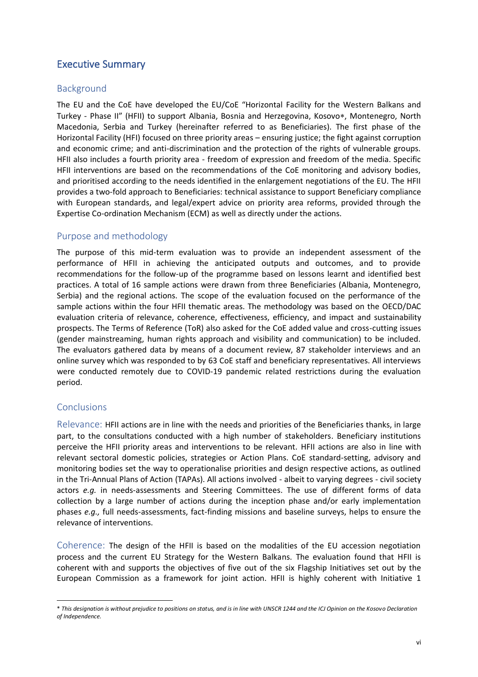#### Executive Summary

#### Background

The EU and the CoE have developed the EU/CoE "Horizontal Facility for the Western Balkans and Turkey - Phase II" (HFII) to support Albania, Bosnia and Herzegovina, Kosovo\*, Montenegro, North Macedonia, Serbia and Turkey (hereinafter referred to as Beneficiaries). The first phase of the Horizontal Facility (HFI) focused on three priority areas – ensuring justice; the fight against corruption and economic crime; and anti-discrimination and the protection of the rights of vulnerable groups. HFII also includes a fourth priority area - freedom of expression and freedom of the media. Specific HFII interventions are based on the recommendations of the CoE monitoring and advisory bodies, and prioritised according to the needs identified in the enlargement negotiations of the EU. The HFII provides a two-fold approach to Beneficiaries: technical assistance to support Beneficiary compliance with European standards, and legal/expert advice on priority area reforms, provided through the Expertise Co-ordination Mechanism (ECM) as well as directly under the actions.

#### Purpose and methodology

The purpose of this mid-term evaluation was to provide an independent assessment of the performance of HFII in achieving the anticipated outputs and outcomes, and to provide recommendations for the follow-up of the programme based on lessons learnt and identified best practices. A total of 16 sample actions were drawn from three Beneficiaries (Albania, Montenegro, Serbia) and the regional actions. The scope of the evaluation focused on the performance of the sample actions within the four HFII thematic areas. The methodology was based on the OECD/DAC evaluation criteria of relevance, coherence, effectiveness, efficiency, and impact and sustainability prospects. The Terms of Reference (ToR) also asked for the CoE added value and cross-cutting issues (gender mainstreaming, human rights approach and visibility and communication) to be included. The evaluators gathered data by means of a document review, 87 stakeholder interviews and an online survey which was responded to by 63 CoE staff and beneficiary representatives. All interviews were conducted remotely due to COVID-19 pandemic related restrictions during the evaluation period.

#### Conclusions

Relevance: HFII actions are in line with the needs and priorities of the Beneficiaries thanks, in large part, to the consultations conducted with a high number of stakeholders. Beneficiary institutions perceive the HFII priority areas and interventions to be relevant. HFII actions are also in line with relevant sectoral domestic policies, strategies or Action Plans. CoE standard-setting, advisory and monitoring bodies set the way to operationalise priorities and design respective actions, as outlined in the Tri-Annual Plans of Action (TAPAs). All actions involved - albeit to varying degrees - civil society actors *e.g.* in needs-assessments and Steering Committees. The use of different forms of data collection by a large number of actions during the inception phase and/or early implementation phases *e.g.,* full needs-assessments, fact-finding missions and baseline surveys, helps to ensure the relevance of interventions.

Coherence: The design of the HFII is based on the modalities of the EU accession negotiation process and the current EU Strategy for the Western Balkans. The evaluation found that HFII is coherent with and supports the objectives of five out of the six Flagship Initiatives set out by the European Commission as a framework for joint action. HFII is highly coherent with Initiative 1

<sup>\*</sup> *This designation is without prejudice to positions on status, and is in line with UNSCR 1244 and the ICJ Opinion on the Kosovo Declaration of Independence.*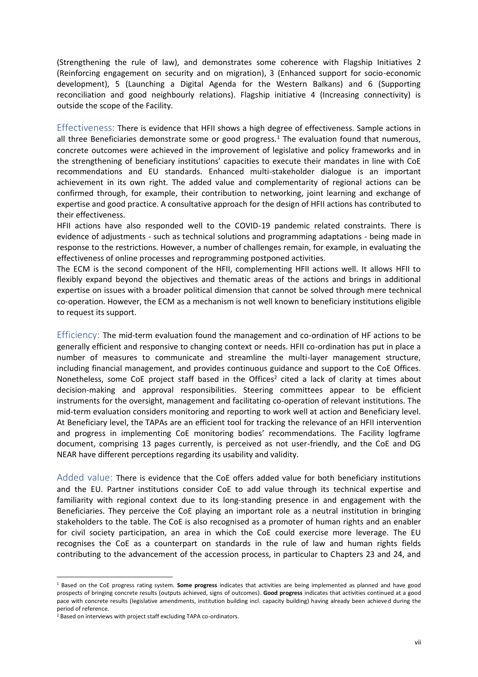(Strengthening the rule of law), and demonstrates some coherence with Flagship Initiatives 2 (Reinforcing engagement on security and on migration), 3 (Enhanced support for socio-economic development), 5 (Launching a Digital Agenda for the Western Balkans) and 6 (Supporting reconciliation and good neighbourly relations). Flagship initiative 4 (Increasing connectivity) is outside the scope of the Facility.

Effectiveness: There is evidence that HFII shows a high degree of effectiveness. Sample actions in all three Beneficiaries demonstrate some or good progress.<sup>1</sup> The evaluation found that numerous, concrete outcomes were achieved in the improvement of legislative and policy frameworks and in the strengthening of beneficiary institutions' capacities to execute their mandates in line with CoE recommendations and EU standards. Enhanced multi-stakeholder dialogue is an important achievement in its own right. The added value and complementarity of regional actions can be confirmed through, for example, their contribution to networking, joint learning and exchange of expertise and good practice. A consultative approach for the design of HFII actions has contributed to their effectiveness.

HFII actions have also responded well to the COVID-19 pandemic related constraints. There is evidence of adjustments - such as technical solutions and programming adaptations - being made in response to the restrictions. However, a number of challenges remain, for example, in evaluating the effectiveness of online processes and reprogramming postponed activities.

The ECM is the second component of the HFII, complementing HFII actions well. It allows HFII to flexibly expand beyond the objectives and thematic areas of the actions and brings in additional expertise on issues with a broader political dimension that cannot be solved through mere technical co-operation. However, the ECM as a mechanism is not well known to beneficiary institutions eligible to request its support.

Efficiency: The mid-term evaluation found the management and co-ordination of HF actions to be generally efficient and responsive to changing context or needs. HFII co-ordination has put in place a number of measures to communicate and streamline the multi-layer management structure, including financial management, and provides continuous guidance and support to the CoE Offices. Nonetheless, some CoE project staff based in the Offices<sup>2</sup> cited a lack of clarity at times about decision-making and approval responsibilities. Steering committees appear to be efficient instruments for the oversight, management and facilitating co-operation of relevant institutions. The mid-term evaluation considers monitoring and reporting to work well at action and Beneficiary level. At Beneficiary level, the TAPAs are an efficient tool for tracking the relevance of an HFII intervention and progress in implementing CoE monitoring bodies' recommendations. The Facility logframe document, comprising 13 pages currently, is perceived as not user-friendly, and the CoE and DG NEAR have different perceptions regarding its usability and validity.

Added value: There is evidence that the CoE offers added value for both beneficiary institutions and the EU. Partner institutions consider CoE to add value through its technical expertise and familiarity with regional context due to its long-standing presence in and engagement with the Beneficiaries. They perceive the CoE playing an important role as a neutral institution in bringing stakeholders to the table. The CoE is also recognised as a promoter of human rights and an enabler for civil society participation, an area in which the CoE could exercise more leverage. The EU recognises the CoE as a counterpart on standards in the rule of law and human rights fields contributing to the advancement of the accession process, in particular to Chapters 23 and 24, and

<sup>1</sup> Based on the CoE progress rating system. **Some progress** indicates that activities are being implemented as planned and have good prospects of bringing concrete results (outputs achieved, signs of outcomes). **Good progress** indicates that activities continued at a good pace with concrete results (legislative amendments, institution building incl. capacity building) having already been achieved during the period of reference.

<sup>&</sup>lt;sup>2</sup> Based on interviews with project staff excluding TAPA co-ordinators.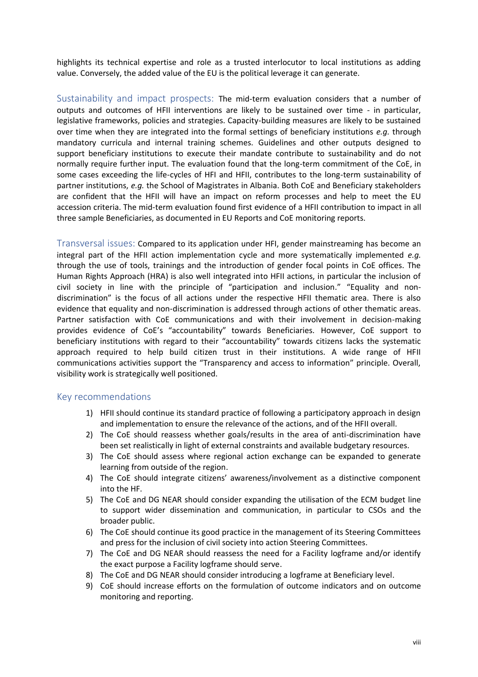highlights its technical expertise and role as a trusted interlocutor to local institutions as adding value. Conversely, the added value of the EU is the political leverage it can generate.

Sustainability and impact prospects: The mid-term evaluation considers that a number of outputs and outcomes of HFII interventions are likely to be sustained over time - in particular, legislative frameworks, policies and strategies. Capacity-building measures are likely to be sustained over time when they are integrated into the formal settings of beneficiary institutions *e.g.* through mandatory curricula and internal training schemes. Guidelines and other outputs designed to support beneficiary institutions to execute their mandate contribute to sustainability and do not normally require further input. The evaluation found that the long-term commitment of the CoE, in some cases exceeding the life-cycles of HFI and HFII, contributes to the long-term sustainability of partner institutions, *e.g.* the School of Magistrates in Albania. Both CoE and Beneficiary stakeholders are confident that the HFII will have an impact on reform processes and help to meet the EU accession criteria. The mid-term evaluation found first evidence of a HFII contribution to impact in all three sample Beneficiaries, as documented in EU Reports and CoE monitoring reports.

Transversal issues: Compared to its application under HFI, gender mainstreaming has become an integral part of the HFII action implementation cycle and more systematically implemented *e.g.* through the use of tools, trainings and the introduction of gender focal points in CoE offices. The Human Rights Approach (HRA) is also well integrated into HFII actions, in particular the inclusion of civil society in line with the principle of "participation and inclusion." "Equality and nondiscrimination" is the focus of all actions under the respective HFII thematic area. There is also evidence that equality and non-discrimination is addressed through actions of other thematic areas. Partner satisfaction with CoE communications and with their involvement in decision-making provides evidence of CoE's "accountability" towards Beneficiaries. However, CoE support to beneficiary institutions with regard to their "accountability" towards citizens lacks the systematic approach required to help build citizen trust in their institutions. A wide range of HFII communications activities support the "Transparency and access to information" principle. Overall, visibility work is strategically well positioned.

#### Key recommendations

- 1) HFII should continue its standard practice of following a participatory approach in design and implementation to ensure the relevance of the actions, and of the HFII overall.
- 2) The CoE should reassess whether goals/results in the area of anti-discrimination have been set realistically in light of external constraints and available budgetary resources.
- 3) The CoE should assess where regional action exchange can be expanded to generate learning from outside of the region.
- 4) The CoE should integrate citizens' awareness/involvement as a distinctive component into the HF.
- 5) The CoE and DG NEAR should consider expanding the utilisation of the ECM budget line to support wider dissemination and communication, in particular to CSOs and the broader public.
- 6) The CoE should continue its good practice in the management of its Steering Committees and press for the inclusion of civil society into action Steering Committees.
- 7) The CoE and DG NEAR should reassess the need for a Facility logframe and/or identify the exact purpose a Facility logframe should serve.
- 8) The CoE and DG NEAR should consider introducing a logframe at Beneficiary level.
- 9) CoE should increase efforts on the formulation of outcome indicators and on outcome monitoring and reporting.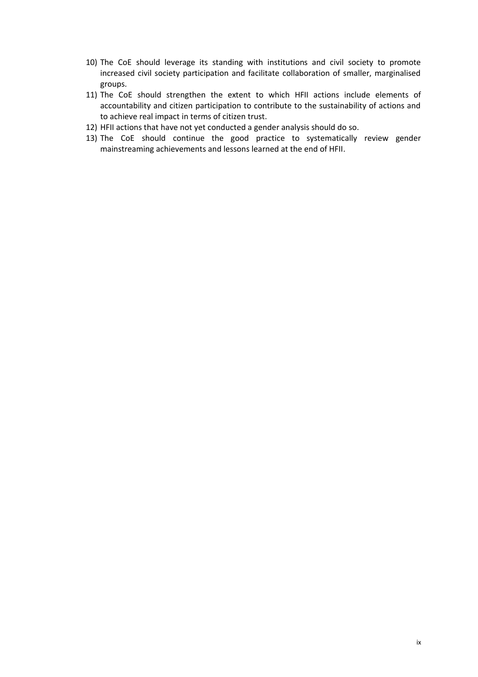- 10) The CoE should leverage its standing with institutions and civil society to promote increased civil society participation and facilitate collaboration of smaller, marginalised groups.
- 11) The CoE should strengthen the extent to which HFII actions include elements of accountability and citizen participation to contribute to the sustainability of actions and to achieve real impact in terms of citizen trust.
- 12) HFII actions that have not yet conducted a gender analysis should do so.
- 13) The CoE should continue the good practice to systematically review gender mainstreaming achievements and lessons learned at the end of HFII.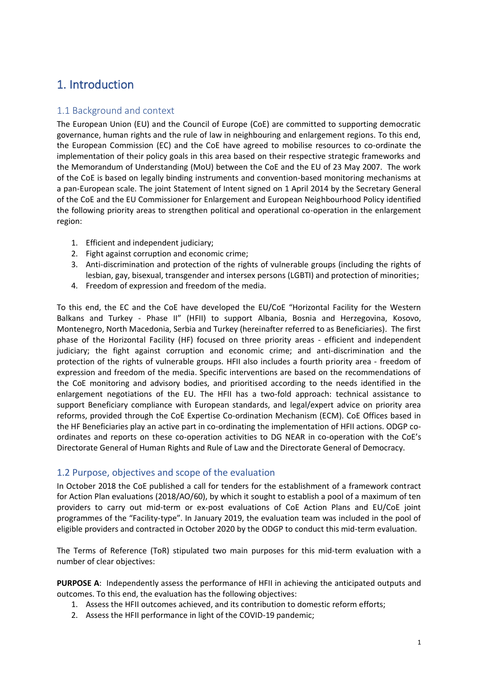# 1. Introduction

#### 1.1 Background and context

The European Union (EU) and the Council of Europe (CoE) are committed to supporting democratic governance, human rights and the rule of law in neighbouring and enlargement regions. To this end, the European Commission (EC) and the CoE have agreed to mobilise resources to co-ordinate the implementation of their policy goals in this area based on their respective strategic frameworks and the Memorandum of Understanding (MoU) between the CoE and the EU of 23 May 2007. The work of the CoE is based on legally binding instruments and convention-based monitoring mechanisms at a pan-European scale. The joint Statement of Intent signed on 1 April 2014 by the Secretary General of the CoE and the EU Commissioner for Enlargement and European Neighbourhood Policy identified the following priority areas to strengthen political and operational co-operation in the enlargement region:

- 1. Efficient and independent judiciary;
- 2. Fight against corruption and economic crime;
- 3. Anti-discrimination and protection of the rights of vulnerable groups (including the rights of lesbian, gay, bisexual, transgender and intersex persons (LGBTI) and protection of minorities;
- 4. Freedom of expression and freedom of the media.

To this end, the EC and the CoE have developed the EU/CoE "Horizontal Facility for the Western Balkans and Turkey - Phase II" (HFII) to support Albania, Bosnia and Herzegovina, Kosovo, Montenegro, North Macedonia, Serbia and Turkey (hereinafter referred to as Beneficiaries). The first phase of the Horizontal Facility (HF) focused on three priority areas - efficient and independent judiciary; the fight against corruption and economic crime; and anti-discrimination and the protection of the rights of vulnerable groups. HFII also includes a fourth priority area - freedom of expression and freedom of the media. Specific interventions are based on the recommendations of the CoE monitoring and advisory bodies, and prioritised according to the needs identified in the enlargement negotiations of the EU. The HFII has a two-fold approach: technical assistance to support Beneficiary compliance with European standards, and legal/expert advice on priority area reforms, provided through the CoE Expertise Co-ordination Mechanism (ECM). CoE Offices based in the HF Beneficiaries play an active part in co-ordinating the implementation of HFII actions. ODGP coordinates and reports on these co-operation activities to DG NEAR in co-operation with the CoE's Directorate General of Human Rights and Rule of Law and the Directorate General of Democracy.

#### 1.2 Purpose, objectives and scope of the evaluation

In October 2018 the CoE published a call for tenders for the establishment of a framework contract for Action Plan evaluations (2018/AO/60), by which it sought to establish a pool of a maximum of ten providers to carry out mid-term or ex-post evaluations of CoE Action Plans and EU/CoE joint programmes of the "Facility-type". In January 2019, the evaluation team was included in the pool of eligible providers and contracted in October 2020 by the ODGP to conduct this mid-term evaluation.

The Terms of Reference (ToR) stipulated two main purposes for this mid-term evaluation with a number of clear objectives:

**PURPOSE A**: Independently assess the performance of HFII in achieving the anticipated outputs and outcomes. To this end, the evaluation has the following objectives:

- 1. Assess the HFII outcomes achieved, and its contribution to domestic reform efforts;
- 2. Assess the HFII performance in light of the COVID-19 pandemic;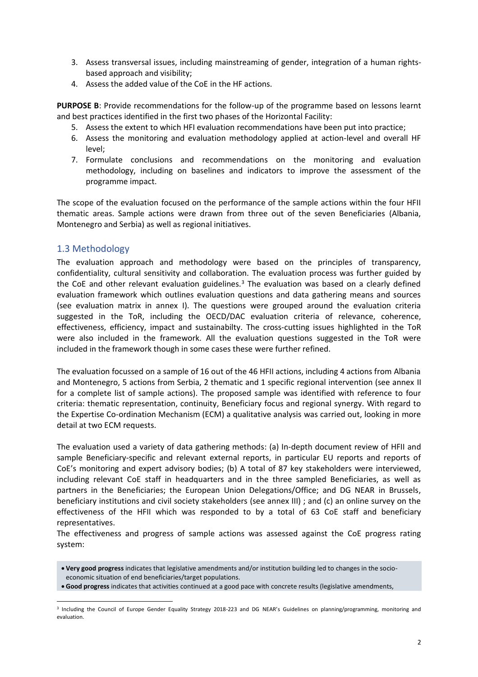- 3. Assess transversal issues, including mainstreaming of gender, integration of a human rightsbased approach and visibility;
- 4. Assess the added value of the CoE in the HF actions.

**PURPOSE B**: Provide recommendations for the follow-up of the programme based on lessons learnt and best practices identified in the first two phases of the Horizontal Facility:

- 5. Assess the extent to which HFI evaluation recommendations have been put into practice;
- 6. Assess the monitoring and evaluation methodology applied at action-level and overall HF level;
- 7. Formulate conclusions and recommendations on the monitoring and evaluation methodology, including on baselines and indicators to improve the assessment of the programme impact.

The scope of the evaluation focused on the performance of the sample actions within the four HFII thematic areas. Sample actions were drawn from three out of the seven Beneficiaries (Albania, Montenegro and Serbia) as well as regional initiatives.

#### 1.3 Methodology

The evaluation approach and methodology were based on the principles of transparency, confidentiality, cultural sensitivity and collaboration. The evaluation process was further guided by the CoE and other relevant evaluation guidelines.<sup>3</sup> The evaluation was based on a clearly defined evaluation framework which outlines evaluation questions and data gathering means and sources (see evaluation matrix in annex I). The questions were grouped around the evaluation criteria suggested in the ToR, including the OECD/DAC evaluation criteria of relevance, coherence, effectiveness, efficiency, impact and sustainabilty. The cross-cutting issues highlighted in the ToR were also included in the framework. All the evaluation questions suggested in the ToR were included in the framework though in some cases these were further refined.

The evaluation focussed on a sample of 16 out of the 46 HFII actions, including 4 actions from Albania and Montenegro, 5 actions from Serbia, 2 thematic and 1 specific regional intervention (see annex II for a complete list of sample actions). The proposed sample was identified with reference to four criteria: thematic representation, continuity, Beneficiary focus and regional synergy. With regard to the Expertise Co-ordination Mechanism (ECM) a qualitative analysis was carried out, looking in more detail at two ECM requests.

The evaluation used a variety of data gathering methods: (a) In-depth document review of HFII and sample Beneficiary-specific and relevant external reports, in particular EU reports and reports of CoE's monitoring and expert advisory bodies; (b) A total of 87 key stakeholders were interviewed, including relevant CoE staff in headquarters and in the three sampled Beneficiaries, as well as partners in the Beneficiaries; the European Union Delegations/Office; and DG NEAR in Brussels, beneficiary institutions and civil society stakeholders (see annex III) ; and (c) an online survey on the effectiveness of the HFII which was responded to by a total of 63 CoE staff and beneficiary representatives.

The effectiveness and progress of sample actions was assessed against the CoE progress rating system:

- **Very good progress** indicates that legislative amendments and/or institution building led to changes in the socioeconomic situation of end beneficiaries/target populations.
- **Good progress** indicates that activities continued at a good pace with concrete results (legislative amendments,

<sup>&</sup>lt;sup>3</sup> Including the Council of Europe Gender Equality Strategy 2018-223 and DG NEAR's Guidelines on planning/programming, monitoring and evaluation.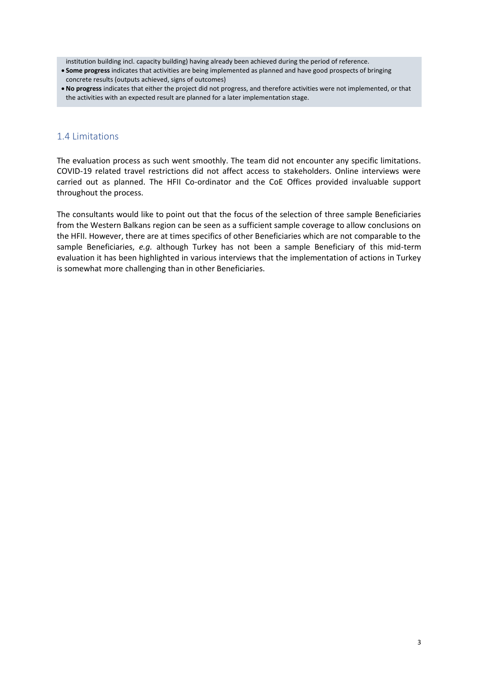institution building incl. capacity building) having already been achieved during the period of reference.

- **Some progress** indicates that activities are being implemented as planned and have good prospects of bringing concrete results (outputs achieved, signs of outcomes)
- **No progress** indicates that either the project did not progress, and therefore activities were not implemented, or that the activities with an expected result are planned for a later implementation stage.

#### 1.4 Limitations

The evaluation process as such went smoothly. The team did not encounter any specific limitations. COVID-19 related travel restrictions did not affect access to stakeholders. Online interviews were carried out as planned. The HFII Co-ordinator and the CoE Offices provided invaluable support throughout the process.

The consultants would like to point out that the focus of the selection of three sample Beneficiaries from the Western Balkans region can be seen as a sufficient sample coverage to allow conclusions on the HFII. However, there are at times specifics of other Beneficiaries which are not comparable to the sample Beneficiaries, *e.g.* although Turkey has not been a sample Beneficiary of this mid-term evaluation it has been highlighted in various interviews that the implementation of actions in Turkey is somewhat more challenging than in other Beneficiaries.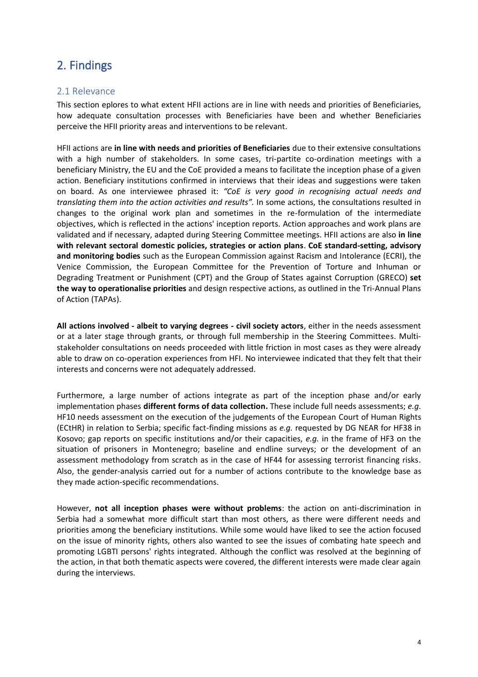## 2. Findings

#### 2.1 Relevance

This section eplores to what extent HFII actions are in line with needs and priorities of Beneficiaries, how adequate consultation processes with Beneficiaries have been and whether Beneficiaries perceive the HFII priority areas and interventions to be relevant.

HFII actions are **in line with needs and priorities of Beneficiaries** due to their extensive consultations with a high number of stakeholders. In some cases, tri-partite co-ordination meetings with a beneficiary Ministry, the EU and the CoE provided a means to facilitate the inception phase of a given action. Beneficiary institutions confirmed in interviews that their ideas and suggestions were taken on board. As one interviewee phrased it: *"CoE is very good in recognising actual needs and translating them into the action activities and results".* In some actions, the consultations resulted in changes to the original work plan and sometimes in the re-formulation of the intermediate objectives, which is reflected in the actions' inception reports. Action approaches and work plans are validated and if necessary, adapted during Steering Committee meetings. HFII actions are also **in line with relevant sectoral domestic policies, strategies or action plans**. **CoE standard-setting, advisory and monitoring bodies** such as the European Commission against Racism and Intolerance (ECRI), the Venice Commission, the European Committee for the Prevention of Torture and Inhuman or Degrading Treatment or Punishment (CPT) and the Group of States against Corruption (GRECO) **set the way to operationalise priorities** and design respective actions, as outlined in the Tri-Annual Plans of Action (TAPAs).

**All actions involved - albeit to varying degrees - civil society actors**, either in the needs assessment or at a later stage through grants, or through full membership in the Steering Committees. Multistakeholder consultations on needs proceeded with little friction in most cases as they were already able to draw on co-operation experiences from HFI. No interviewee indicated that they felt that their interests and concerns were not adequately addressed.

Furthermore, a large number of actions integrate as part of the inception phase and/or early implementation phases **different forms of data collection.** These include full needs assessments; *e.g*. HF10 needs assessment on the execution of the judgements of the European Court of Human Rights (ECtHR) in relation to Serbia; specific fact-finding missions as *e.g.* requested by DG NEAR for HF38 in Kosovo; gap reports on specific institutions and/or their capacities, *e.g.* in the frame of HF3 on the situation of prisoners in Montenegro; baseline and endline surveys; or the development of an assessment methodology from scratch as in the case of HF44 for assessing terrorist financing risks. Also, the gender-analysis carried out for a number of actions contribute to the knowledge base as they made action-specific recommendations.

However, **not all inception phases were without problems**: the action on anti-discrimination in Serbia had a somewhat more difficult start than most others, as there were different needs and priorities among the beneficiary institutions. While some would have liked to see the action focused on the issue of minority rights, others also wanted to see the issues of combating hate speech and promoting LGBTI persons' rights integrated. Although the conflict was resolved at the beginning of the action, in that both thematic aspects were covered, the different interests were made clear again during the interviews.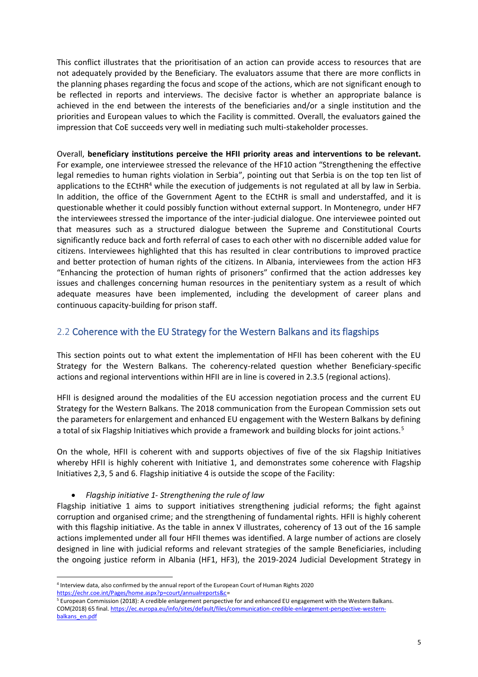This conflict illustrates that the prioritisation of an action can provide access to resources that are not adequately provided by the Beneficiary. The evaluators assume that there are more conflicts in the planning phases regarding the focus and scope of the actions, which are not significant enough to be reflected in reports and interviews. The decisive factor is whether an appropriate balance is achieved in the end between the interests of the beneficiaries and/or a single institution and the priorities and European values to which the Facility is committed. Overall, the evaluators gained the impression that CoE succeeds very well in mediating such multi-stakeholder processes.

Overall, **beneficiary institutions perceive the HFII priority areas and interventions to be relevant.** For example, one interviewee stressed the relevance of the HF10 action "Strengthening the effective legal remedies to human rights violation in Serbia", pointing out that Serbia is on the top ten list of applications to the ECtHR<sup>4</sup> while the execution of judgements is not regulated at all by law in Serbia. In addition, the office of the Government Agent to the ECtHR is small and understaffed, and it is questionable whether it could possibly function without external support. In Montenegro, under HF7 the interviewees stressed the importance of the inter-judicial dialogue. One interviewee pointed out that measures such as a structured dialogue between the Supreme and Constitutional Courts significantly reduce back and forth referral of cases to each other with no discernible added value for citizens. Interviewees highlighted that this has resulted in clear contributions to improved practice and better protection of human rights of the citizens. In Albania, interviewees from the action HF3 "Enhancing the protection of human rights of prisoners" confirmed that the action addresses key issues and challenges concerning human resources in the penitentiary system as a result of which adequate measures have been implemented, including the development of career plans and continuous capacity-building for prison staff.

#### 2.2 Coherence with the EU Strategy for the Western Balkans and its flagships

This section points out to what extent the implementation of HFII has been coherent with the EU Strategy for the Western Balkans. The coherency-related question whether Beneficiary-specific actions and regional interventions within HFII are in line is covered in 2.3.5 (regional actions).

HFII is designed around the modalities of the EU accession negotiation process and the current EU Strategy for the Western Balkans. The 2018 communication from the European Commission sets out the parameters for enlargement and enhanced EU engagement with the Western Balkans by defining a total of six Flagship Initiatives which provide a framework and building blocks for joint actions.<sup>5</sup>

On the whole, HFII is coherent with and supports objectives of five of the six Flagship Initiatives whereby HFII is highly coherent with Initiative 1, and demonstrates some coherence with Flagship Initiatives 2,3, 5 and 6. Flagship initiative 4 is outside the scope of the Facility:

#### • *Flagship initiative 1- Strengthening the rule of law*

Flagship initiative 1 aims to support initiatives strengthening judicial reforms; the fight against corruption and organised crime; and the strengthening of fundamental rights. HFII is highly coherent with this flagship initiative. As the table in annex V illustrates, coherency of 13 out of the 16 sample actions implemented under all four HFII themes was identified. A large number of actions are closely designed in line with judicial reforms and relevant strategies of the sample Beneficiaries, including the ongoing justice reform in Albania (HF1, HF3), the 2019-2024 Judicial Development Strategy in

<sup>4</sup> Interview data, also confirmed by the annual report of the European Court of Human Rights 2020 [https://echr.coe.int/Pages/home.aspx?p=court/annualreports&c=](https://echr.coe.int/Pages/home.aspx?p=court/annualreports&c)

<sup>&</sup>lt;sup>5</sup> European Commission (2018): A credible enlargement perspective for and enhanced EU engagement with the Western Balkans. COM(2018) 65 final. [https://ec.europa.eu/info/sites/default/files/communication-credible-enlargement-perspective-western](https://ec.europa.eu/info/sites/default/files/communication-credible-enlargement-perspective-western-balkans_en.pdf)[balkans\\_en.pdf](https://ec.europa.eu/info/sites/default/files/communication-credible-enlargement-perspective-western-balkans_en.pdf)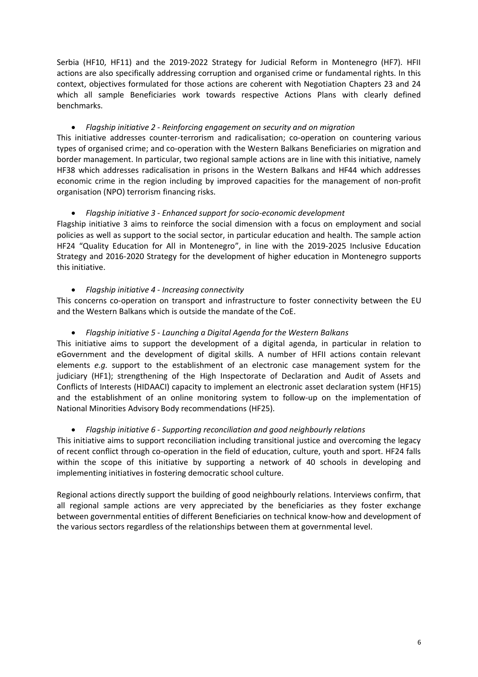Serbia (HF10, HF11) and the 2019-2022 Strategy for Judicial Reform in Montenegro (HF7). HFII actions are also specifically addressing corruption and organised crime or fundamental rights. In this context, objectives formulated for those actions are coherent with Negotiation Chapters 23 and 24 which all sample Beneficiaries work towards respective Actions Plans with clearly defined benchmarks.

#### • *Flagship initiative 2 - Reinforcing engagement on security and on migration*

This initiative addresses counter-terrorism and radicalisation; co-operation on countering various types of organised crime; and co-operation with the Western Balkans Beneficiaries on migration and border management. In particular, two regional sample actions are in line with this initiative, namely HF38 which addresses radicalisation in prisons in the Western Balkans and HF44 which addresses economic crime in the region including by improved capacities for the management of non-profit organisation (NPO) terrorism financing risks.

#### • *Flagship initiative 3 - Enhanced support for socio-economic development*

Flagship initiative 3 aims to reinforce the social dimension with a focus on employment and social policies as well as support to the social sector, in particular education and health. The sample action HF24 "Quality Education for All in Montenegro", in line with the 2019-2025 Inclusive Education Strategy and 2016-2020 Strategy for the development of higher education in Montenegro supports this initiative.

#### • *Flagship initiative 4 - Increasing connectivity*

This concerns co-operation on transport and infrastructure to foster connectivity between the EU and the Western Balkans which is outside the mandate of the CoE.

#### • *Flagship initiative 5 - Launching a Digital Agenda for the Western Balkans*

This initiative aims to support the development of a digital agenda, in particular in relation to eGovernment and the development of digital skills. A number of HFII actions contain relevant elements *e.g.* support to the establishment of an electronic case management system for the judiciary (HF1); strengthening of the High Inspectorate of Declaration and Audit of Assets and Conflicts of Interests (HIDAACI) capacity to implement an electronic asset declaration system (HF15) and the establishment of an online monitoring system to follow-up on the implementation of National Minorities Advisory Body recommendations (HF25).

#### • *Flagship initiative 6 - Supporting reconciliation and good neighbourly relations*

This initiative aims to support reconciliation including transitional justice and overcoming the legacy of recent conflict through co-operation in the field of education, culture, youth and sport. HF24 falls within the scope of this initiative by supporting a network of 40 schools in developing and implementing initiatives in fostering democratic school culture.

Regional actions directly support the building of good neighbourly relations. Interviews confirm, that all regional sample actions are very appreciated by the beneficiaries as they foster exchange between governmental entities of different Beneficiaries on technical know-how and development of the various sectors regardless of the relationships between them at governmental level.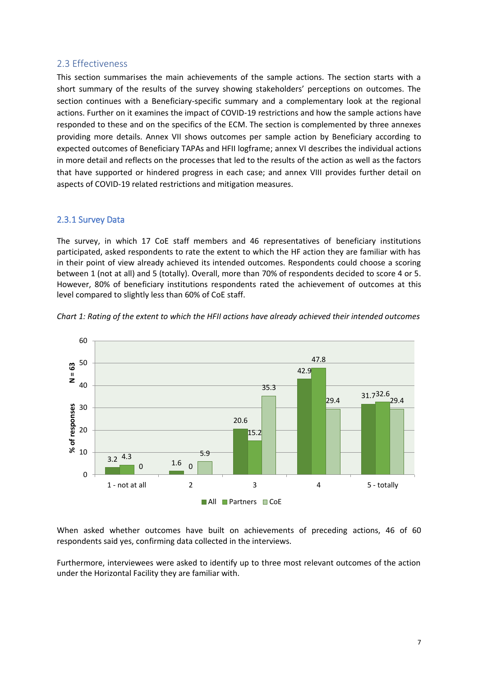#### 2.3 Effectiveness

This section summarises the main achievements of the sample actions. The section starts with a short summary of the results of the survey showing stakeholders' perceptions on outcomes. The section continues with a Beneficiary-specific summary and a complementary look at the regional actions. Further on it examines the impact of COVID-19 restrictions and how the sample actions have responded to these and on the specifics of the ECM. The section is complemented by three annexes providing more details. Annex VII shows outcomes per sample action by Beneficiary according to expected outcomes of Beneficiary TAPAs and HFII logframe; annex VI describes the individual actions in more detail and reflects on the processes that led to the results of the action as well as the factors that have supported or hindered progress in each case; and annex VIII provides further detail on aspects of COVID-19 related restrictions and mitigation measures.

#### 2.3.1 Survey Data

The survey, in which 17 CoE staff members and 46 representatives of beneficiary institutions participated, asked respondents to rate the extent to which the HF action they are familiar with has in their point of view already achieved its intended outcomes. Respondents could choose a scoring between 1 (not at all) and 5 (totally). Overall, more than 70% of respondents decided to score 4 or 5. However, 80% of beneficiary institutions respondents rated the achievement of outcomes at this level compared to slightly less than 60% of CoE staff.



*Chart 1: Rating of the extent to which the HFII actions have already achieved their intended outcomes*

When asked whether outcomes have built on achievements of preceding actions, 46 of 60 respondents said yes, confirming data collected in the interviews.

Furthermore, interviewees were asked to identify up to three most relevant outcomes of the action under the Horizontal Facility they are familiar with.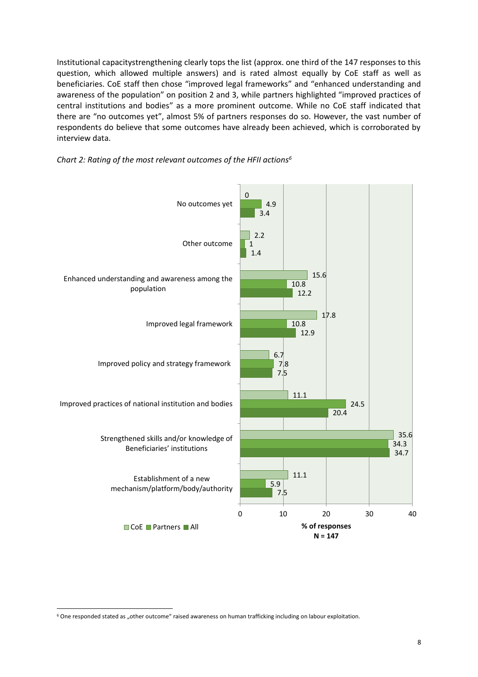Institutional capacitystrengthening clearly tops the list (approx. one third of the 147 responses to this question, which allowed multiple answers) and is rated almost equally by CoE staff as well as beneficiaries. CoE staff then chose "improved legal frameworks" and "enhanced understanding and awareness of the population" on position 2 and 3, while partners highlighted "improved practices of central institutions and bodies" as a more prominent outcome. While no CoE staff indicated that there are "no outcomes yet", almost 5% of partners responses do so. However, the vast number of respondents do believe that some outcomes have already been achieved, which is corroborated by interview data.





<sup>&</sup>lt;sup>6</sup> One responded stated as "other outcome" raised awareness on human trafficking including on labour exploitation.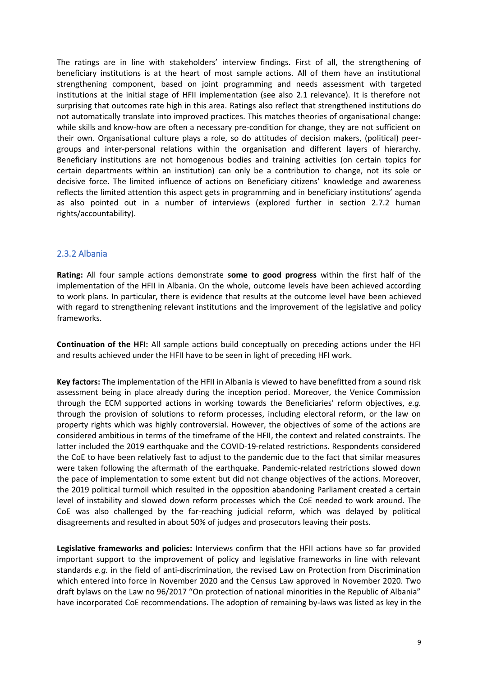The ratings are in line with stakeholders' interview findings. First of all, the strengthening of beneficiary institutions is at the heart of most sample actions. All of them have an institutional strengthening component, based on joint programming and needs assessment with targeted institutions at the initial stage of HFII implementation (see also 2.1 relevance). It is therefore not surprising that outcomes rate high in this area. Ratings also reflect that strengthened institutions do not automatically translate into improved practices. This matches theories of organisational change: while skills and know-how are often a necessary pre-condition for change, they are not sufficient on their own. Organisational culture plays a role, so do attitudes of decision makers, (political) peergroups and inter-personal relations within the organisation and different layers of hierarchy. Beneficiary institutions are not homogenous bodies and training activities (on certain topics for certain departments within an institution) can only be a contribution to change, not its sole or decisive force. The limited influence of actions on Beneficiary citizens' knowledge and awareness reflects the limited attention this aspect gets in programming and in beneficiary institutions' agenda as also pointed out in a number of interviews (explored further in section 2.7.2 human rights/accountability).

#### 2.3.2 Albania

**Rating:** All four sample actions demonstrate **some to good progress** within the first half of the implementation of the HFII in Albania. On the whole, outcome levels have been achieved according to work plans. In particular, there is evidence that results at the outcome level have been achieved with regard to strengthening relevant institutions and the improvement of the legislative and policy frameworks.

**Continuation of the HFI:** All sample actions build conceptually on preceding actions under the HFI and results achieved under the HFII have to be seen in light of preceding HFI work.

**Key factors:** The implementation of the HFII in Albania is viewed to have benefitted from a sound risk assessment being in place already during the inception period. Moreover, the Venice Commission through the ECM supported actions in working towards the Beneficiaries' reform objectives, *e.g.* through the provision of solutions to reform processes, including electoral reform, or the law on property rights which was highly controversial. However, the objectives of some of the actions are considered ambitious in terms of the timeframe of the HFII, the context and related constraints. The latter included the 2019 earthquake and the COVID-19-related restrictions. Respondents considered the CoE to have been relatively fast to adjust to the pandemic due to the fact that similar measures were taken following the aftermath of the earthquake. Pandemic-related restrictions slowed down the pace of implementation to some extent but did not change objectives of the actions. Moreover, the 2019 political turmoil which resulted in the opposition abandoning Parliament created a certain level of instability and slowed down reform processes which the CoE needed to work around. The CoE was also challenged by the far-reaching judicial reform, which was delayed by political disagreements and resulted in about 50% of judges and prosecutors leaving their posts.

**Legislative frameworks and policies:** Interviews confirm that the HFII actions have so far provided important support to the improvement of policy and legislative frameworks in line with relevant standards *e.g.* in the field of anti-discrimination, the revised Law on Protection from Discrimination which entered into force in November 2020 and the Census Law approved in November 2020. Two draft bylaws on the Law no 96/2017 "On protection of national minorities in the Republic of Albania" have incorporated CoE recommendations. The adoption of remaining by-laws was listed as key in the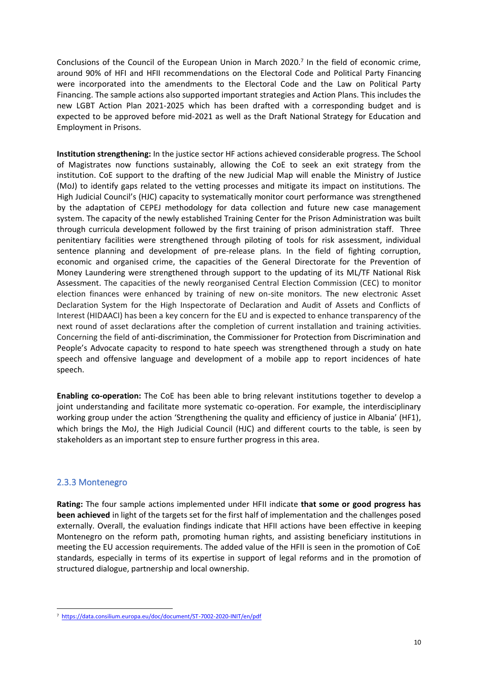Conclusions of the Council of the European Union in March 2020. 7 In the field of economic crime, around 90% of HFI and HFII recommendations on the Electoral Code and Political Party Financing were incorporated into the amendments to the Electoral Code and the Law on Political Party Financing. The sample actions also supported important strategies and Action Plans. This includes the new LGBT Action Plan 2021-2025 which has been drafted with a corresponding budget and is expected to be approved before mid-2021 as well as the Draft National Strategy for Education and Employment in Prisons.

**Institution strengthening:** In the justice sector HF actions achieved considerable progress. The School of Magistrates now functions sustainably, allowing the CoE to seek an exit strategy from the institution. CoE support to the drafting of the new Judicial Map will enable the Ministry of Justice (MoJ) to identify gaps related to the vetting processes and mitigate its impact on institutions. The High Judicial Council's (HJC) capacity to systematically monitor court performance was strengthened by the adaptation of CEPEJ methodology for data collection and future new case management system. The capacity of the newly established Training Center for the Prison Administration was built through curricula development followed by the first training of prison administration staff. Three penitentiary facilities were strengthened through piloting of tools for risk assessment, individual sentence planning and development of pre-release plans. In the field of fighting corruption, economic and organised crime, the capacities of the General Directorate for the Prevention of Money Laundering were strengthened through support to the updating of its ML/TF National Risk Assessment. The capacities of the newly reorganised Central Election Commission (CEC) to monitor election finances were enhanced by training of new on-site monitors. The new electronic Asset Declaration System for the High Inspectorate of Declaration and Audit of Assets and Conflicts of Interest (HIDAACI) has been a key concern for the EU and is expected to enhance transparency of the next round of asset declarations after the completion of current installation and training activities. Concerning the field of anti-discrimination, the Commissioner for Protection from Discrimination and People's Advocate capacity to respond to hate speech was strengthened through a study on hate speech and offensive language and development of a mobile app to report incidences of hate speech.

**Enabling co-operation:** The CoE has been able to bring relevant institutions together to develop a joint understanding and facilitate more systematic co-operation. For example, the interdisciplinary working group under the action 'Strengthening the quality and efficiency of justice in Albania' (HF1), which brings the MoJ, the High Judicial Council (HJC) and different courts to the table, is seen by stakeholders as an important step to ensure further progress in this area.

#### 2.3.3 Montenegro

**Rating:** The four sample actions implemented under HFII indicate **that some or good progress has been achieved** in light of the targets set for the first half of implementation and the challenges posed externally. Overall, the evaluation findings indicate that HFII actions have been effective in keeping Montenegro on the reform path, promoting human rights, and assisting beneficiary institutions in meeting the EU accession requirements. The added value of the HFII is seen in the promotion of CoE standards, especially in terms of its expertise in support of legal reforms and in the promotion of structured dialogue, partnership and local ownership.

<sup>7</sup> <https://data.consilium.europa.eu/doc/document/ST-7002-2020-INIT/en/pdf>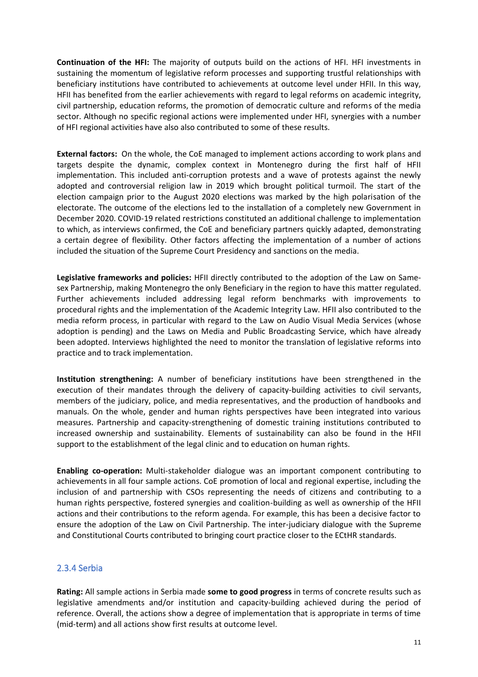**Continuation of the HFI:** The majority of outputs build on the actions of HFI. HFI investments in sustaining the momentum of legislative reform processes and supporting trustful relationships with beneficiary institutions have contributed to achievements at outcome level under HFII. In this way, HFII has benefited from the earlier achievements with regard to legal reforms on academic integrity, civil partnership, education reforms, the promotion of democratic culture and reforms of the media sector. Although no specific regional actions were implemented under HFI, synergies with a number of HFI regional activities have also also contributed to some of these results.

**External factors:** On the whole, the CoE managed to implement actions according to work plans and targets despite the dynamic, complex context in Montenegro during the first half of HFII implementation. This included anti-corruption protests and a wave of protests against the newly adopted and controversial religion law in 2019 which brought political turmoil. The start of the election campaign prior to the August 2020 elections was marked by the high polarisation of the electorate. The outcome of the elections led to the installation of a completely new Government in December 2020. COVID-19 related restrictions constituted an additional challenge to implementation to which, as interviews confirmed, the CoE and beneficiary partners quickly adapted, demonstrating a certain degree of flexibility. Other factors affecting the implementation of a number of actions included the situation of the Supreme Court Presidency and sanctions on the media.

**Legislative frameworks and policies:** HFII directly contributed to the adoption of the Law on Samesex Partnership, making Montenegro the only Beneficiary in the region to have this matter regulated. Further achievements included addressing legal reform benchmarks with improvements to procedural rights and the implementation of the Academic Integrity Law. HFII also contributed to the media reform process, in particular with regard to the Law on Audio Visual Media Services (whose adoption is pending) and the Laws on Media and Public Broadcasting Service, which have already been adopted. Interviews highlighted the need to monitor the translation of legislative reforms into practice and to track implementation.

**Institution strengthening:** A number of beneficiary institutions have been strengthened in the execution of their mandates through the delivery of capacity-building activities to civil servants, members of the judiciary, police, and media representatives, and the production of handbooks and manuals. On the whole, gender and human rights perspectives have been integrated into various measures. Partnership and capacity-strengthening of domestic training institutions contributed to increased ownership and sustainability. Elements of sustainability can also be found in the HFII support to the establishment of the legal clinic and to education on human rights.

**Enabling co-operation:** Multi-stakeholder dialogue was an important component contributing to achievements in all four sample actions. CoE promotion of local and regional expertise, including the inclusion of and partnership with CSOs representing the needs of citizens and contributing to a human rights perspective, fostered synergies and coalition-building as well as ownership of the HFII actions and their contributions to the reform agenda. For example, this has been a decisive factor to ensure the adoption of the Law on Civil Partnership. The inter-judiciary dialogue with the Supreme and Constitutional Courts contributed to bringing court practice closer to the ECtHR standards.

#### 2.3.4 Serbia

**Rating:** All sample actions in Serbia made **some to good progress** in terms of concrete results such as legislative amendments and/or institution and capacity-building achieved during the period of reference. Overall, the actions show a degree of implementation that is appropriate in terms of time (mid-term) and all actions show first results at outcome level.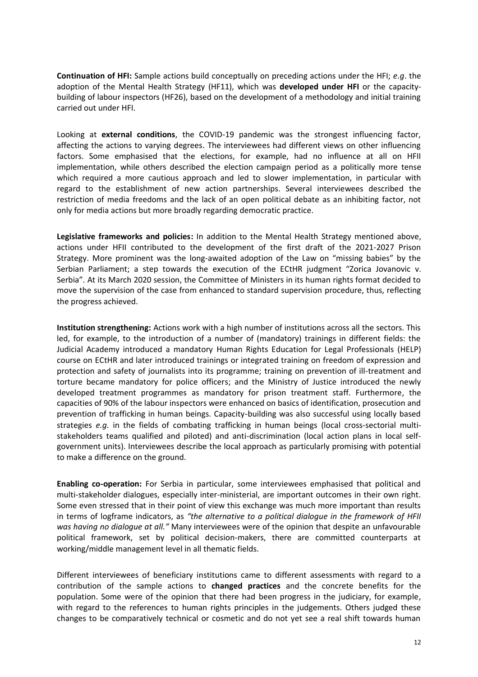**Continuation of HFI:** Sample actions build conceptually on preceding actions under the HFI; *e.g*. the adoption of the Mental Health Strategy (HF11), which was **developed under HFI** or the capacitybuilding of labour inspectors (HF26), based on the development of a methodology and initial training carried out under HFI.

Looking at **external conditions**, the COVID-19 pandemic was the strongest influencing factor, affecting the actions to varying degrees. The interviewees had different views on other influencing factors. Some emphasised that the elections, for example, had no influence at all on HFII implementation, while others described the election campaign period as a politically more tense which required a more cautious approach and led to slower implementation, in particular with regard to the establishment of new action partnerships. Several interviewees described the restriction of media freedoms and the lack of an open political debate as an inhibiting factor, not only for media actions but more broadly regarding democratic practice.

**Legislative frameworks and policies:** In addition to the Mental Health Strategy mentioned above, actions under HFII contributed to the development of the first draft of the 2021-2027 Prison Strategy. More prominent was the long-awaited adoption of the Law on "missing babies" by the Serbian Parliament; a step towards the execution of the ECtHR judgment "Zorica Jovanovic v. Serbia". At its March 2020 session, the Committee of Ministers in its human rights format decided to move the supervision of the case from enhanced to standard supervision procedure, thus, reflecting the progress achieved.

**Institution strengthening:** Actions work with a high number of institutions across all the sectors. This led, for example, to the introduction of a number of (mandatory) trainings in different fields: the Judicial Academy introduced a mandatory Human Rights Education for Legal Professionals (HELP) course on ECtHR and later introduced trainings or integrated training on freedom of expression and protection and safety of journalists into its programme; training on prevention of ill-treatment and torture became mandatory for police officers; and the Ministry of Justice introduced the newly developed treatment programmes as mandatory for prison treatment staff. Furthermore, the capacities of 90% of the labour inspectors were enhanced on basics of identification, prosecution and prevention of trafficking in human beings. Capacity-building was also successful using locally based strategies *e.g.* in the fields of combating trafficking in human beings (local cross-sectorial multistakeholders teams qualified and piloted) and anti-discrimination (local action plans in local selfgovernment units). Interviewees describe the local approach as particularly promising with potential to make a difference on the ground.

**Enabling co-operation:** For Serbia in particular, some interviewees emphasised that political and multi-stakeholder dialogues, especially inter-ministerial, are important outcomes in their own right. Some even stressed that in their point of view this exchange was much more important than results in terms of logframe indicators, as *"the alternative to a political dialogue in the framework of HFII was having no dialogue at all."* Many interviewees were of the opinion that despite an unfavourable political framework, set by political decision-makers, there are committed counterparts at working/middle management level in all thematic fields.

Different interviewees of beneficiary institutions came to different assessments with regard to a contribution of the sample actions to **changed practices** and the concrete benefits for the population. Some were of the opinion that there had been progress in the judiciary, for example, with regard to the references to human rights principles in the judgements. Others judged these changes to be comparatively technical or cosmetic and do not yet see a real shift towards human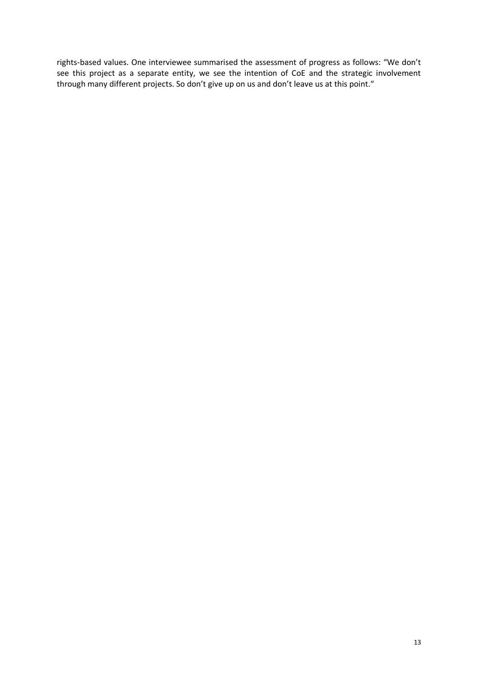rights-based values. One interviewee summarised the assessment of progress as follows: "We don't see this project as a separate entity, we see the intention of CoE and the strategic involvement through many different projects. So don't give up on us and don't leave us at this point."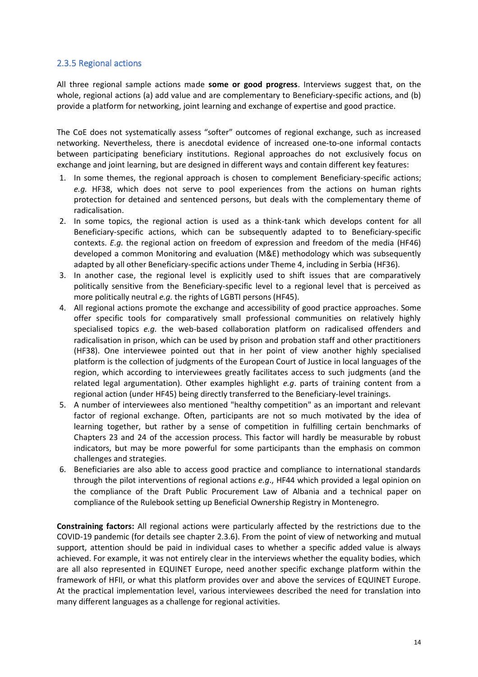#### 2.3.5 Regional actions

All three regional sample actions made **some or good progress**. Interviews suggest that, on the whole, regional actions (a) add value and are complementary to Beneficiary-specific actions, and (b) provide a platform for networking, joint learning and exchange of expertise and good practice.

The CoE does not systematically assess "softer" outcomes of regional exchange, such as increased networking. Nevertheless, there is anecdotal evidence of increased one-to-one informal contacts between participating beneficiary institutions. Regional approaches do not exclusively focus on exchange and joint learning, but are designed in different ways and contain different key features:

- 1. In some themes, the regional approach is chosen to complement Beneficiary-specific actions; *e.g.* HF38, which does not serve to pool experiences from the actions on human rights protection for detained and sentenced persons, but deals with the complementary theme of radicalisation.
- 2. In some topics, the regional action is used as a think-tank which develops content for all Beneficiary-specific actions, which can be subsequently adapted to to Beneficiary-specific contexts. *E.g.* the regional action on freedom of expression and freedom of the media (HF46) developed a common Monitoring and evaluation (M&E) methodology which was subsequently adapted by all other Beneficiary-specific actions under Theme 4, including in Serbia (HF36).
- 3. In another case, the regional level is explicitly used to shift issues that are comparatively politically sensitive from the Beneficiary-specific level to a regional level that is perceived as more politically neutral *e.g.* the rights of LGBTI persons (HF45).
- 4. All regional actions promote the exchange and accessibility of good practice approaches. Some offer specific tools for comparatively small professional communities on relatively highly specialised topics *e.g.* the web-based collaboration platform on radicalised offenders and radicalisation in prison, which can be used by prison and probation staff and other practitioners (HF38). One interviewee pointed out that in her point of view another highly specialised platform is the collection of judgments of the European Court of Justice in local languages of the region, which according to interviewees greatly facilitates access to such judgments (and the related legal argumentation). Other examples highlight *e.g*. parts of training content from a regional action (under HF45) being directly transferred to the Beneficiary-level trainings.
- 5. A number of interviewees also mentioned "healthy competition" as an important and relevant factor of regional exchange. Often, participants are not so much motivated by the idea of learning together, but rather by a sense of competition in fulfilling certain benchmarks of Chapters 23 and 24 of the accession process. This factor will hardly be measurable by robust indicators, but may be more powerful for some participants than the emphasis on common challenges and strategies.
- 6. Beneficiaries are also able to access good practice and compliance to international standards through the pilot interventions of regional actions *e.g*., HF44 which provided a legal opinion on the compliance of the Draft Public Procurement Law of Albania and a technical paper on compliance of the Rulebook setting up Beneficial Ownership Registry in Montenegro.

**Constraining factors:** All regional actions were particularly affected by the restrictions due to the COVID-19 pandemic (for details see chapter 2.3.6). From the point of view of networking and mutual support, attention should be paid in individual cases to whether a specific added value is always achieved. For example, it was not entirely clear in the interviews whether the equality bodies, which are all also represented in EQUINET Europe, need another specific exchange platform within the framework of HFII, or what this platform provides over and above the services of EQUINET Europe. At the practical implementation level, various interviewees described the need for translation into many different languages as a challenge for regional activities.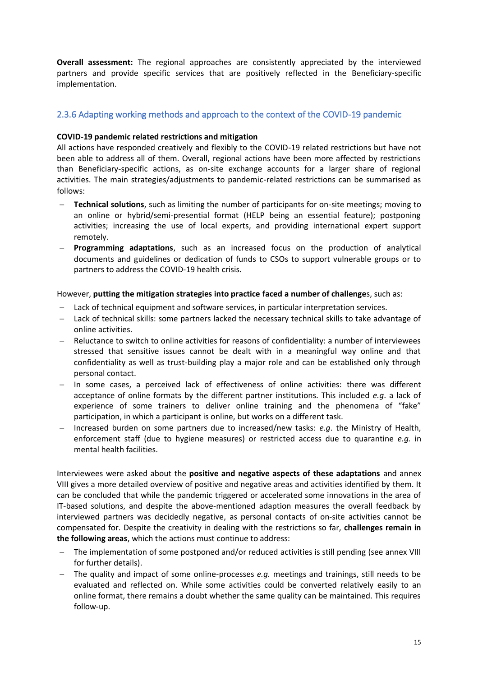**Overall assessment:** The regional approaches are consistently appreciated by the interviewed partners and provide specific services that are positively reflected in the Beneficiary-specific implementation.

#### 2.3.6 Adapting working methods and approach to the context of the COVID-19 pandemic

#### **COVID-19 pandemic related restrictions and mitigation**

All actions have responded creatively and flexibly to the COVID-19 related restrictions but have not been able to address all of them. Overall, regional actions have been more affected by restrictions than Beneficiary-specific actions, as on-site exchange accounts for a larger share of regional activities. The main strategies/adjustments to pandemic-related restrictions can be summarised as follows:

- − **Technical solutions**, such as limiting the number of participants for on-site meetings; moving to an online or hybrid/semi-presential format (HELP being an essential feature); postponing activities; increasing the use of local experts, and providing international expert support remotely.
- − **Programming adaptations**, such as an increased focus on the production of analytical documents and guidelines or dedication of funds to CSOs to support vulnerable groups or to partners to address the COVID-19 health crisis.

However, **putting the mitigation strategies into practice faced a number of challenge**s, such as:

- − Lack of technical equipment and software services, in particular interpretation services.
- − Lack of technical skills: some partners lacked the necessary technical skills to take advantage of online activities.
- − Reluctance to switch to online activities for reasons of confidentiality: a number of interviewees stressed that sensitive issues cannot be dealt with in a meaningful way online and that confidentiality as well as trust-building play a major role and can be established only through personal contact.
- − In some cases, a perceived lack of effectiveness of online activities: there was different acceptance of online formats by the different partner institutions. This included *e.g*. a lack of experience of some trainers to deliver online training and the phenomena of "fake" participation, in which a participant is online, but works on a different task.
- − Increased burden on some partners due to increased/new tasks: *e.g*. the Ministry of Health, enforcement staff (due to hygiene measures) or restricted access due to quarantine *e.g.* in mental health facilities.

Interviewees were asked about the **positive and negative aspects of these adaptations** and annex VIII gives a more detailed overview of positive and negative areas and activities identified by them. It can be concluded that while the pandemic triggered or accelerated some innovations in the area of IT-based solutions, and despite the above-mentioned adaption measures the overall feedback by interviewed partners was decidedly negative, as personal contacts of on-site activities cannot be compensated for. Despite the creativity in dealing with the restrictions so far, **challenges remain in the following areas**, which the actions must continue to address:

- − The implementation of some postponed and/or reduced activities is still pending (see annex VIII for further details).
- − The quality and impact of some online-processes *e.g.* meetings and trainings, still needs to be evaluated and reflected on. While some activities could be converted relatively easily to an online format, there remains a doubt whether the same quality can be maintained. This requires follow-up.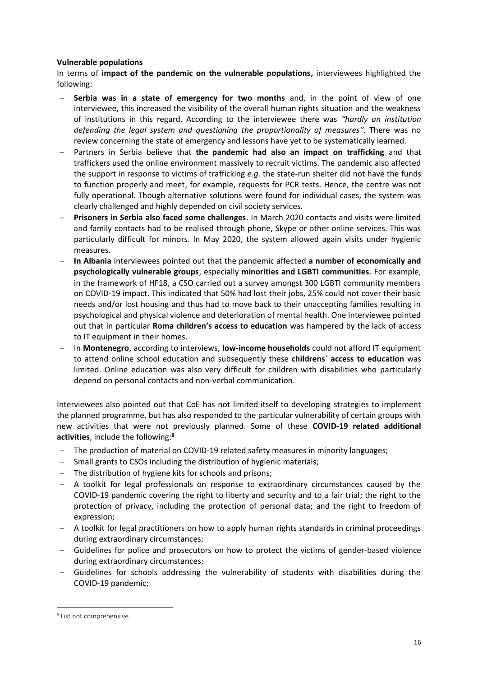#### **Vulnerable populations**

In terms of **impact of the pandemic on the vulnerable populations,** interviewees highlighted the following:

- − **Serbia was in a state of emergency for two months** and, in the point of view of one interviewee, this increased the visibility of the overall human rights situation and the weakness of institutions in this regard. According to the interviewee there was *"hardly an institution defending the legal system and questioning the proportionality of measures"*. There was no review concerning the state of emergency and lessons have yet to be systematically learned.
- − Partners in Serbia believe that **the pandemic had also an impact on trafficking** and that traffickers used the online environment massively to recruit victims. The pandemic also affected the support in response to victims of trafficking *e.g.* the state-run shelter did not have the funds to function properly and meet, for example, requests for PCR tests. Hence, the centre was not fully operational. Though alternative solutions were found for individual cases, the system was clearly challenged and highly depended on civil society services.
- − **Prisoners in Serbia also faced some challenges.** In March 2020 contacts and visits were limited and family contacts had to be realised through phone, Skype or other online services. This was particularly difficult for minors. In May 2020, the system allowed again visits under hygienic measures.
- − **In Albania** interviewees pointed out that the pandemic affected **a number of economically and psychologically vulnerable groups**, especially **minorities and LGBTI communities**. For example, in the framework of HF18, a CSO carried out a survey amongst 300 LGBTI community members on COVID-19 impact. This indicated that 50% had lost their jobs, 25% could not cover their basic needs and/or lost housing and thus had to move back to their unaccepting families resulting in psychological and physical violence and deterioration of mental health. One interviewee pointed out that in particular **Roma children's access to education** was hampered by the lack of access to IT equipment in their homes.
- − In **Montenegro**, according to interviews, **low-income households** could not afford IT equipment to attend online school education and subsequently these **childrens´ access to education** was limited. Online education was also very difficult for children with disabilities who particularly depend on personal contacts and non-verbal communication.

Interviewees also pointed out that CoE has not limited itself to developing strategies to implement the planned programme, but has also responded to the particular vulnerability of certain groups with new activities that were not previously planned. Some of these **COVID-19 related additional activities**, include the following:**<sup>8</sup>**

- − The production of material on COVID-19 related safety measures in minority languages;
- − Small grants to CSOs including the distribution of hygienic materials;
- − The distribution of hygiene kits for schools and prisons;
- − A toolkit for legal professionals on response to extraordinary circumstances caused by the COVID-19 pandemic covering the right to liberty and security and to a fair trial; the right to the protection of privacy, including the protection of personal data; and the right to freedom of expression;
- − A toolkit for legal practitioners on how to apply human rights standards in criminal proceedings during extraordinary circumstances;
- − Guidelines for police and prosecutors on how to protect the victims of gender-based violence during extraordinary circumstances;
- Guidelines for schools addressing the vulnerability of students with disabilities during the COVID-19 pandemic;

<sup>8</sup> List not comprehensive.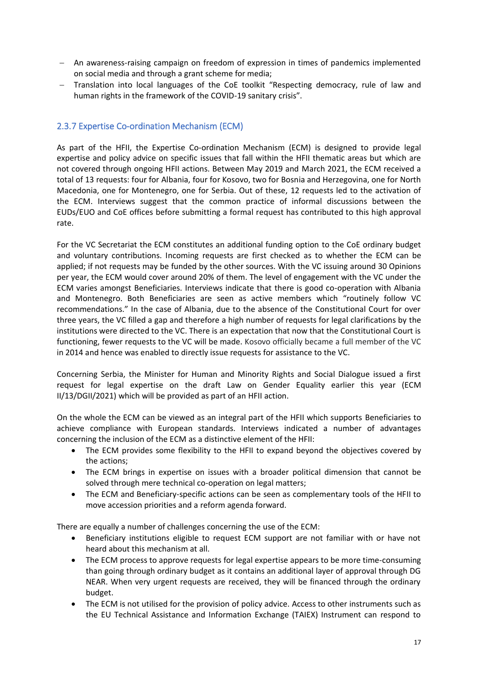- − An awareness-raising campaign on freedom of expression in times of pandemics implemented on social media and through a grant scheme for media;
- − Translation into local languages of the CoE toolkit "Respecting democracy, rule of law and human rights in the framework of the COVID-19 sanitary crisis".

#### 2.3.7 Expertise Co-ordination Mechanism (ECM)

As part of the HFII, the Expertise Co-ordination Mechanism (ECM) is designed to provide legal expertise and policy advice on specific issues that fall within the HFII thematic areas but which are not covered through ongoing HFII actions. Between May 2019 and March 2021, the ECM received a total of 13 requests: four for Albania, four for Kosovo, two for Bosnia and Herzegovina, one for North Macedonia, one for Montenegro, one for Serbia. Out of these, 12 requests led to the activation of the ECM. Interviews suggest that the common practice of informal discussions between the EUDs/EUO and CoE offices before submitting a formal request has contributed to this high approval rate.

For the VC Secretariat the ECM constitutes an additional funding option to the CoE ordinary budget and voluntary contributions. Incoming requests are first checked as to whether the ECM can be applied; if not requests may be funded by the other sources. With the VC issuing around 30 Opinions per year, the ECM would cover around 20% of them. The level of engagement with the VC under the ECM varies amongst Beneficiaries. Interviews indicate that there is good co-operation with Albania and Montenegro. Both Beneficiaries are seen as active members which "routinely follow VC recommendations." In the case of Albania, due to the absence of the Constitutional Court for over three years, the VC filled a gap and therefore a high number of requests for legal clarifications by the institutions were directed to the VC. There is an expectation that now that the Constitutional Court is functioning, fewer requests to the VC will be made. Kosovo officially became a full member of the VC in 2014 and hence was enabled to directly issue requests for assistance to the VC.

Concerning Serbia, the Minister for Human and Minority Rights and Social Dialogue issued a first request for legal expertise on the draft Law on Gender Equality earlier this year (ECM II/13/DGII/2021) which will be provided as part of an HFII action.

On the whole the ECM can be viewed as an integral part of the HFII which supports Beneficiaries to achieve compliance with European standards. Interviews indicated a number of advantages concerning the inclusion of the ECM as a distinctive element of the HFII:

- The ECM provides some flexibility to the HFII to expand beyond the objectives covered by the actions;
- The ECM brings in expertise on issues with a broader political dimension that cannot be solved through mere technical co-operation on legal matters;
- The ECM and Beneficiary-specific actions can be seen as complementary tools of the HFII to move accession priorities and a reform agenda forward.

There are equally a number of challenges concerning the use of the ECM:

- Beneficiary institutions eligible to request ECM support are not familiar with or have not heard about this mechanism at all.
- The ECM process to approve requests for legal expertise appears to be more time-consuming than going through ordinary budget as it contains an additional layer of approval through DG NEAR. When very urgent requests are received, they will be financed through the ordinary budget.
- The ECM is not utilised for the provision of policy advice. Access to other instruments such as the EU Technical Assistance and Information Exchange (TAIEX) Instrument can respond to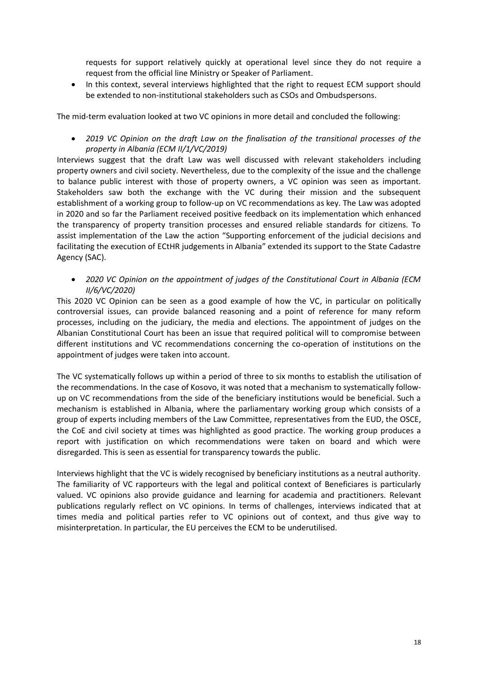requests for support relatively quickly at operational level since they do not require a request from the official line Ministry or Speaker of Parliament.

• In this context, several interviews highlighted that the right to request ECM support should be extended to non-institutional stakeholders such as CSOs and Ombudspersons.

The mid-term evaluation looked at two VC opinions in more detail and concluded the following:

• *2019 VC Opinion on the draft Law on the finalisation of the transitional processes of the property in Albania (ECM II/1/VC/2019)*

Interviews suggest that the draft Law was well discussed with relevant stakeholders including property owners and civil society. Nevertheless, due to the complexity of the issue and the challenge to balance public interest with those of property owners, a VC opinion was seen as important. Stakeholders saw both the exchange with the VC during their mission and the subsequent establishment of a working group to follow-up on VC recommendations as key. The Law was adopted in 2020 and so far the Parliament received positive feedback on its implementation which enhanced the transparency of property transition processes and ensured reliable standards for citizens. To assist implementation of the Law the action "Supporting enforcement of the judicial decisions and facilitating the execution of ECtHR judgements in Albania" extended its support to the State Cadastre Agency (SAC).

• *2020 VC Opinion on the appointment of judges of the Constitutional Court in Albania (ECM II/6/VC/2020)*

This 2020 VC Opinion can be seen as a good example of how the VC, in particular on politically controversial issues, can provide balanced reasoning and a point of reference for many reform processes, including on the judiciary, the media and elections. The appointment of judges on the Albanian Constitutional Court has been an issue that required political will to compromise between different institutions and VC recommendations concerning the co-operation of institutions on the appointment of judges were taken into account.

The VC systematically follows up within a period of three to six months to establish the utilisation of the recommendations. In the case of Kosovo, it was noted that a mechanism to systematically followup on VC recommendations from the side of the beneficiary institutions would be beneficial. Such a mechanism is established in Albania, where the parliamentary working group which consists of a group of experts including members of the Law Committee, representatives from the EUD, the OSCE, the CoE and civil society at times was highlighted as good practice. The working group produces a report with justification on which recommendations were taken on board and which were disregarded. This is seen as essential for transparency towards the public.

Interviews highlight that the VC is widely recognised by beneficiary institutions as a neutral authority. The familiarity of VC rapporteurs with the legal and political context of Beneficiares is particularly valued. VC opinions also provide guidance and learning for academia and practitioners. Relevant publications regularly reflect on VC opinions. In terms of challenges, interviews indicated that at times media and political parties refer to VC opinions out of context, and thus give way to misinterpretation. In particular, the EU perceives the ECM to be underutilised.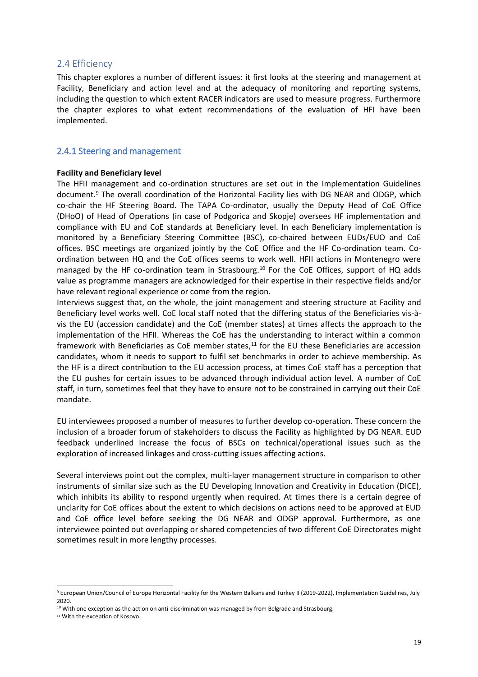#### 2.4 Efficiency

This chapter explores a number of different issues: it first looks at the steering and management at Facility, Beneficiary and action level and at the adequacy of monitoring and reporting systems, including the question to which extent RACER indicators are used to measure progress. Furthermore the chapter explores to what extent recommendations of the evaluation of HFI have been implemented.

#### 2.4.1 Steering and management

#### **Facility and Beneficiary level**

The HFII management and co-ordination structures are set out in the Implementation Guidelines document.<sup>9</sup> The overall coordination of the Horizontal Facility lies with DG NEAR and ODGP, which co-chair the HF Steering Board. The TAPA Co-ordinator, usually the Deputy Head of CoE Office (DHoO) of Head of Operations (in case of Podgorica and Skopje) oversees HF implementation and compliance with EU and CoE standards at Beneficiary level. In each Beneficiary implementation is monitored by a Beneficiary Steering Committee (BSC), co-chaired between EUDs/EUO and CoE offices. BSC meetings are organized jointly by the CoE Office and the HF Co-ordination team. Coordination between HQ and the CoE offices seems to work well. HFII actions in Montenegro were managed by the HF co-ordination team in Strasbourg.<sup>10</sup> For the CoE Offices, support of HQ adds value as programme managers are acknowledged for their expertise in their respective fields and/or have relevant regional experience or come from the region.

Interviews suggest that, on the whole, the joint management and steering structure at Facility and Beneficiary level works well. CoE local staff noted that the differing status of the Beneficiaries vis-àvis the EU (accession candidate) and the CoE (member states) at times affects the approach to the implementation of the HFII. Whereas the CoE has the understanding to interact within a common framework with Beneficiaries as CoE member states,<sup>11</sup> for the EU these Beneficiaries are accession candidates, whom it needs to support to fulfil set benchmarks in order to achieve membership. As the HF is a direct contribution to the EU accession process, at times CoE staff has a perception that the EU pushes for certain issues to be advanced through individual action level. A number of CoE staff, in turn, sometimes feel that they have to ensure not to be constrained in carrying out their CoE mandate.

EU interviewees proposed a number of measures to further develop co-operation. These concern the inclusion of a broader forum of stakeholders to discuss the Facility as highlighted by DG NEAR. EUD feedback underlined increase the focus of BSCs on technical/operational issues such as the exploration of increased linkages and cross-cutting issues affecting actions.

Several interviews point out the complex, multi-layer management structure in comparison to other instruments of similar size such as the EU Developing Innovation and Creativity in Education (DICE), which inhibits its ability to respond urgently when required. At times there is a certain degree of unclarity for CoE offices about the extent to which decisions on actions need to be approved at EUD and CoE office level before seeking the DG NEAR and ODGP approval. Furthermore, as one interviewee pointed out overlapping or shared competencies of two different CoE Directorates might sometimes result in more lengthy processes.

<sup>9</sup> European Union/Council of Europe Horizontal Facility for the Western Balkans and Turkey II (2019-2022), Implementation Guidelines, July 2020.

<sup>&</sup>lt;sup>10</sup> With one exception as the action on anti-discrimination was managed by from Belgrade and Strasbourg.

<sup>11</sup> With the exception of Kosovo.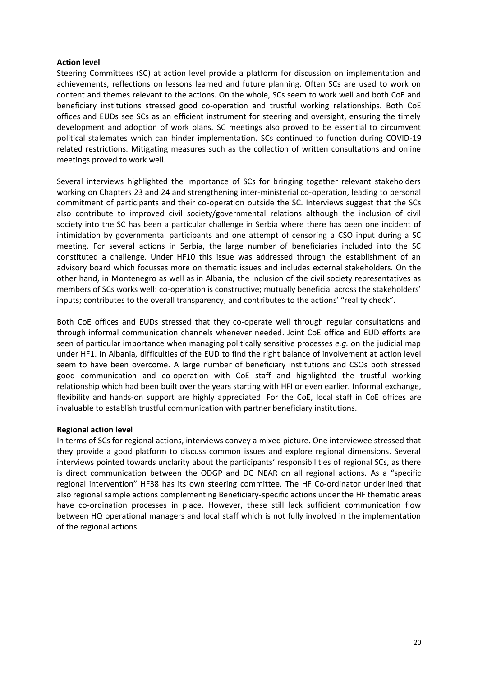#### **Action level**

Steering Committees (SC) at action level provide a platform for discussion on implementation and achievements, reflections on lessons learned and future planning. Often SCs are used to work on content and themes relevant to the actions. On the whole, SCs seem to work well and both CoE and beneficiary institutions stressed good co-operation and trustful working relationships. Both CoE offices and EUDs see SCs as an efficient instrument for steering and oversight, ensuring the timely development and adoption of work plans. SC meetings also proved to be essential to circumvent political stalemates which can hinder implementation. SCs continued to function during COVID-19 related restrictions. Mitigating measures such as the collection of written consultations and online meetings proved to work well.

Several interviews highlighted the importance of SCs for bringing together relevant stakeholders working on Chapters 23 and 24 and strengthening inter-ministerial co-operation, leading to personal commitment of participants and their co-operation outside the SC. Interviews suggest that the SCs also contribute to improved civil society/governmental relations although the inclusion of civil society into the SC has been a particular challenge in Serbia where there has been one incident of intimidation by governmental participants and one attempt of censoring a CSO input during a SC meeting. For several actions in Serbia, the large number of beneficiaries included into the SC constituted a challenge. Under HF10 this issue was addressed through the establishment of an advisory board which focusses more on thematic issues and includes external stakeholders. On the other hand, in Montenegro as well as in Albania, the inclusion of the civil society representatives as members of SCs works well: co-operation is constructive; mutually beneficial across the stakeholders' inputs; contributes to the overall transparency; and contributes to the actions' "reality check".

Both CoE offices and EUDs stressed that they co-operate well through regular consultations and through informal communication channels whenever needed. Joint CoE office and EUD efforts are seen of particular importance when managing politically sensitive processes *e.g.* on the judicial map under HF1. In Albania, difficulties of the EUD to find the right balance of involvement at action level seem to have been overcome. A large number of beneficiary institutions and CSOs both stressed good communication and co-operation with CoE staff and highlighted the trustful working relationship which had been built over the years starting with HFI or even earlier. Informal exchange, flexibility and hands-on support are highly appreciated. For the CoE, local staff in CoE offices are invaluable to establish trustful communication with partner beneficiary institutions.

#### **Regional action level**

In terms of SCs for regional actions, interviews convey a mixed picture. One interviewee stressed that they provide a good platform to discuss common issues and explore regional dimensions. Several interviews pointed towards unclarity about the participants' responsibilities of regional SCs, as there is direct communication between the ODGP and DG NEAR on all regional actions. As a "specific regional intervention" HF38 has its own steering committee. The HF Co-ordinator underlined that also regional sample actions complementing Beneficiary-specific actions under the HF thematic areas have co-ordination processes in place. However, these still lack sufficient communication flow between HQ operational managers and local staff which is not fully involved in the implementation of the regional actions.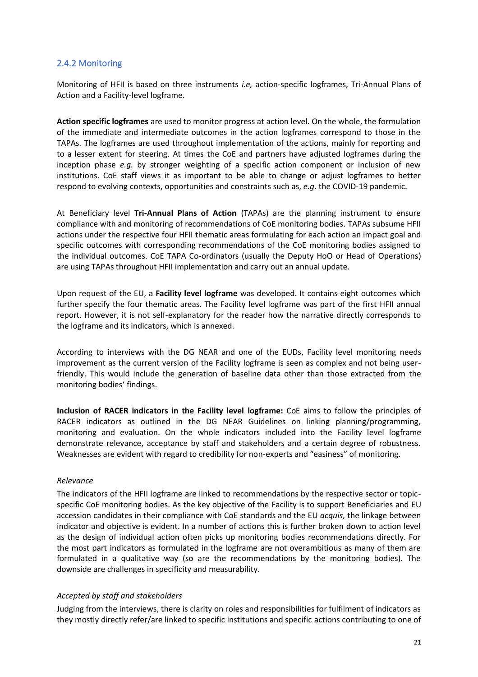#### 2.4.2 Monitoring

Monitoring of HFII is based on three instruments *i.e,* action-specific logframes, Tri-Annual Plans of Action and a Facility-level logframe.

**Action specific logframes** are used to monitor progress at action level. On the whole, the formulation of the immediate and intermediate outcomes in the action logframes correspond to those in the TAPAs. The logframes are used throughout implementation of the actions, mainly for reporting and to a lesser extent for steering. At times the CoE and partners have adjusted logframes during the inception phase *e.g.* by stronger weighting of a specific action component or inclusion of new institutions. CoE staff views it as important to be able to change or adjust logframes to better respond to evolving contexts, opportunities and constraints such as, *e.g*. the COVID-19 pandemic.

At Beneficiary level **Tri-Annual Plans of Action** (TAPAs) are the planning instrument to ensure compliance with and monitoring of recommendations of CoE monitoring bodies. TAPAs subsume HFII actions under the respective four HFII thematic areas formulating for each action an impact goal and specific outcomes with corresponding recommendations of the CoE monitoring bodies assigned to the individual outcomes. CoE TAPA Co-ordinators (usually the Deputy HoO or Head of Operations) are using TAPAs throughout HFII implementation and carry out an annual update.

Upon request of the EU, a **Facility level logframe** was developed. It contains eight outcomes which further specify the four thematic areas. The Facility level logframe was part of the first HFII annual report. However, it is not self-explanatory for the reader how the narrative directly corresponds to the logframe and its indicators, which is annexed.

According to interviews with the DG NEAR and one of the EUDs, Facility level monitoring needs improvement as the current version of the Facility logframe is seen as complex and not being userfriendly. This would include the generation of baseline data other than those extracted from the monitoring bodies' findings.

**Inclusion of RACER indicators in the Facility level logframe:** CoE aims to follow the principles of RACER indicators as outlined in the DG NEAR Guidelines on linking planning/programming, monitoring and evaluation. On the whole indicators included into the Facility level logframe demonstrate relevance, acceptance by staff and stakeholders and a certain degree of robustness. Weaknesses are evident with regard to credibility for non-experts and "easiness" of monitoring.

#### *Relevance*

The indicators of the HFII logframe are linked to recommendations by the respective sector or topicspecific CoE monitoring bodies. As the key objective of the Facility is to support Beneficiaries and EU accession candidates in their compliance with CoE standards and the EU *acquis,* the linkage between indicator and objective is evident. In a number of actions this is further broken down to action level as the design of individual action often picks up monitoring bodies recommendations directly. For the most part indicators as formulated in the logframe are not overambitious as many of them are formulated in a qualitative way (so are the recommendations by the monitoring bodies). The downside are challenges in specificity and measurability.

#### *Accepted by staff and stakeholders*

Judging from the interviews, there is clarity on roles and responsibilities for fulfilment of indicators as they mostly directly refer/are linked to specific institutions and specific actions contributing to one of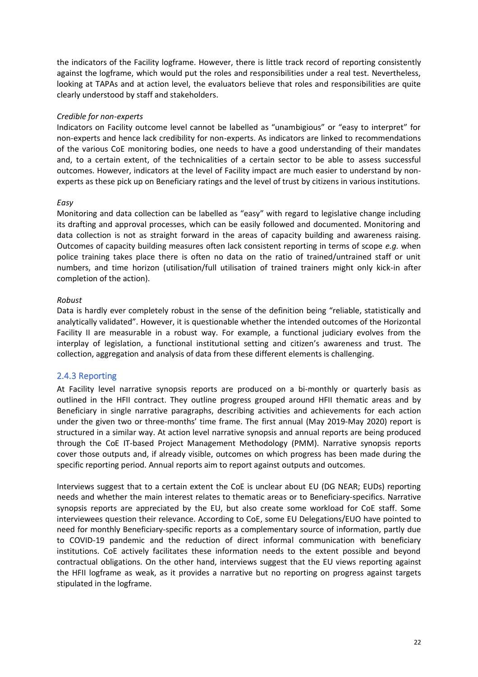the indicators of the Facility logframe. However, there is little track record of reporting consistently against the logframe, which would put the roles and responsibilities under a real test. Nevertheless, looking at TAPAs and at action level, the evaluators believe that roles and responsibilities are quite clearly understood by staff and stakeholders.

#### *Credible for non-experts*

Indicators on Facility outcome level cannot be labelled as "unambigious" or "easy to interpret" for non-experts and hence lack credibility for non-experts. As indicators are linked to recommendations of the various CoE monitoring bodies, one needs to have a good understanding of their mandates and, to a certain extent, of the technicalities of a certain sector to be able to assess successful outcomes. However, indicators at the level of Facility impact are much easier to understand by nonexperts as these pick up on Beneficiary ratings and the level of trust by citizens in various institutions.

#### *Easy*

Monitoring and data collection can be labelled as "easy" with regard to legislative change including its drafting and approval processes, which can be easily followed and documented. Monitoring and data collection is not as straight forward in the areas of capacity building and awareness raising. Outcomes of capacity building measures often lack consistent reporting in terms of scope *e.g.* when police training takes place there is often no data on the ratio of trained/untrained staff or unit numbers, and time horizon (utilisation/full utilisation of trained trainers might only kick-in after completion of the action).

#### *Robust*

Data is hardly ever completely robust in the sense of the definition being "reliable, statistically and analytically validated". However, it is questionable whether the intended outcomes of the Horizontal Facility II are measurable in a robust way. For example, a functional judiciary evolves from the interplay of legislation, a functional institutional setting and citizen's awareness and trust. The collection, aggregation and analysis of data from these different elements is challenging.

#### 2.4.3 Reporting

At Facility level narrative synopsis reports are produced on a bi-monthly or quarterly basis as outlined in the HFII contract. They outline progress grouped around HFII thematic areas and by Beneficiary in single narrative paragraphs, describing activities and achievements for each action under the given two or three-months' time frame. The first annual (May 2019-May 2020) report is structured in a similar way. At action level narrative synopsis and annual reports are being produced through the CoE IT-based Project Management Methodology (PMM). Narrative synopsis reports cover those outputs and, if already visible, outcomes on which progress has been made during the specific reporting period. Annual reports aim to report against outputs and outcomes.

Interviews suggest that to a certain extent the CoE is unclear about EU (DG NEAR; EUDs) reporting needs and whether the main interest relates to thematic areas or to Beneficiary-specifics. Narrative synopsis reports are appreciated by the EU, but also create some workload for CoE staff. Some interviewees question their relevance. According to CoE, some EU Delegations/EUO have pointed to need for monthly Beneficiary-specific reports as a complementary source of information, partly due to COVID-19 pandemic and the reduction of direct informal communication with beneficiary institutions. CoE actively facilitates these information needs to the extent possible and beyond contractual obligations. On the other hand, interviews suggest that the EU views reporting against the HFII logframe as weak, as it provides a narrative but no reporting on progress against targets stipulated in the logframe.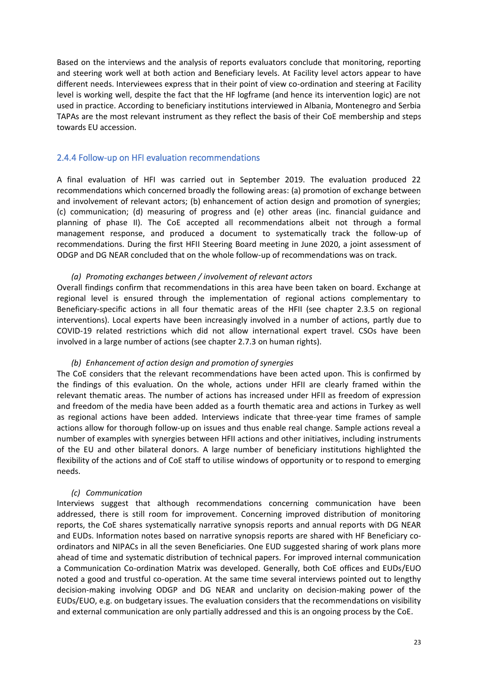Based on the interviews and the analysis of reports evaluators conclude that monitoring, reporting and steering work well at both action and Beneficiary levels. At Facility level actors appear to have different needs. Interviewees express that in their point of view co-ordination and steering at Facility level is working well, despite the fact that the HF logframe (and hence its intervention logic) are not used in practice. According to beneficiary institutions interviewed in Albania, Montenegro and Serbia TAPAs are the most relevant instrument as they reflect the basis of their CoE membership and steps towards EU accession.

#### 2.4.4 Follow-up on HFI evaluation recommendations

A final evaluation of HFI was carried out in September 2019. The evaluation produced 22 recommendations which concerned broadly the following areas: (a) promotion of exchange between and involvement of relevant actors; (b) enhancement of action design and promotion of synergies; (c) communication; (d) measuring of progress and (e) other areas (inc. financial guidance and planning of phase II). The CoE accepted all recommendations albeit not through a formal management response, and produced a document to systematically track the follow-up of recommendations. During the first HFII Steering Board meeting in June 2020, a joint assessment of ODGP and DG NEAR concluded that on the whole follow-up of recommendations was on track.

#### *(a) Promoting exchanges between / involvement of relevant actors*

Overall findings confirm that recommendations in this area have been taken on board. Exchange at regional level is ensured through the implementation of regional actions complementary to Beneficiary-specific actions in all four thematic areas of the HFII (see chapter 2.3.5 on regional interventions). Local experts have been increasingly involved in a number of actions, partly due to COVID-19 related restrictions which did not allow international expert travel. CSOs have been involved in a large number of actions (see chapter 2.7.3 on human rights).

#### *(b) Enhancement of action design and promotion of synergies*

The CoE considers that the relevant recommendations have been acted upon. This is confirmed by the findings of this evaluation. On the whole, actions under HFII are clearly framed within the relevant thematic areas. The number of actions has increased under HFII as freedom of expression and freedom of the media have been added as a fourth thematic area and actions in Turkey as well as regional actions have been added. Interviews indicate that three-year time frames of sample actions allow for thorough follow-up on issues and thus enable real change. Sample actions reveal a number of examples with synergies between HFII actions and other initiatives, including instruments of the EU and other bilateral donors. A large number of beneficiary institutions highlighted the flexibility of the actions and of CoE staff to utilise windows of opportunity or to respond to emerging needs.

#### *(c) Communication*

Interviews suggest that although recommendations concerning communication have been addressed, there is still room for improvement. Concerning improved distribution of monitoring reports, the CoE shares systematically narrative synopsis reports and annual reports with DG NEAR and EUDs. Information notes based on narrative synopsis reports are shared with HF Beneficiary coordinators and NIPACs in all the seven Beneficiaries. One EUD suggested sharing of work plans more ahead of time and systematic distribution of technical papers. For improved internal communication a Communication Co-ordination Matrix was developed. Generally, both CoE offices and EUDs/EUO noted a good and trustful co-operation. At the same time several interviews pointed out to lengthy decision-making involving ODGP and DG NEAR and unclarity on decision-making power of the EUDs/EUO, e.g. on budgetary issues. The evaluation considers that the recommendations on visibility and external communication are only partially addressed and this is an ongoing process by the CoE.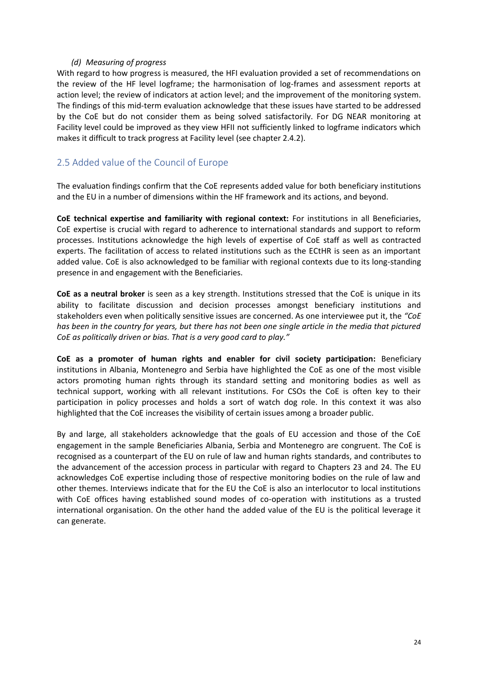#### *(d) Measuring of progress*

With regard to how progress is measured, the HFI evaluation provided a set of recommendations on the review of the HF level logframe; the harmonisation of log-frames and assessment reports at action level; the review of indicators at action level; and the improvement of the monitoring system. The findings of this mid-term evaluation acknowledge that these issues have started to be addressed by the CoE but do not consider them as being solved satisfactorily. For DG NEAR monitoring at Facility level could be improved as they view HFII not sufficiently linked to logframe indicators which makes it difficult to track progress at Facility level (see chapter 2.4.2).

#### 2.5 Added value of the Council of Europe

The evaluation findings confirm that the CoE represents added value for both beneficiary institutions and the EU in a number of dimensions within the HF framework and its actions, and beyond.

**CoE technical expertise and familiarity with regional context:** For institutions in all Beneficiaries, CoE expertise is crucial with regard to adherence to international standards and support to reform processes. Institutions acknowledge the high levels of expertise of CoE staff as well as contracted experts. The facilitation of access to related institutions such as the ECtHR is seen as an important added value. CoE is also acknowledged to be familiar with regional contexts due to its long-standing presence in and engagement with the Beneficiaries.

**CoE as a neutral broker** is seen as a key strength. Institutions stressed that the CoE is unique in its ability to facilitate discussion and decision processes amongst beneficiary institutions and stakeholders even when politically sensitive issues are concerned. As one interviewee put it, the *"CoE has been in the country for years, but there has not been one single article in the media that pictured CoE as politically driven or bias. That is a very good card to play."*

**CoE as a promoter of human rights and enabler for civil society participation:** Beneficiary institutions in Albania, Montenegro and Serbia have highlighted the CoE as one of the most visible actors promoting human rights through its standard setting and monitoring bodies as well as technical support, working with all relevant institutions. For CSOs the CoE is often key to their participation in policy processes and holds a sort of watch dog role. In this context it was also highlighted that the CoE increases the visibility of certain issues among a broader public.

By and large, all stakeholders acknowledge that the goals of EU accession and those of the CoE engagement in the sample Beneficiaries Albania, Serbia and Montenegro are congruent. The CoE is recognised as a counterpart of the EU on rule of law and human rights standards, and contributes to the advancement of the accession process in particular with regard to Chapters 23 and 24. The EU acknowledges CoE expertise including those of respective monitoring bodies on the rule of law and other themes. Interviews indicate that for the EU the CoE is also an interlocutor to local institutions with CoE offices having established sound modes of co-operation with institutions as a trusted international organisation. On the other hand the added value of the EU is the political leverage it can generate.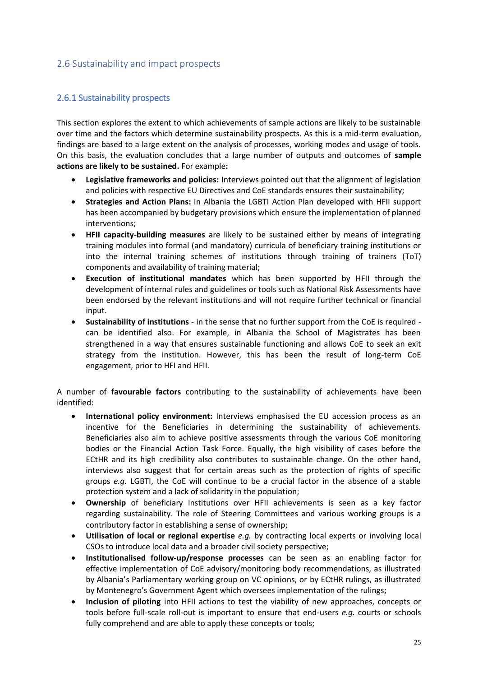#### 2.6 Sustainability and impact prospects

#### 2.6.1 Sustainability prospects

This section explores the extent to which achievements of sample actions are likely to be sustainable over time and the factors which determine sustainability prospects. As this is a mid-term evaluation, findings are based to a large extent on the analysis of processes, working modes and usage of tools. On this basis, the evaluation concludes that a large number of outputs and outcomes of **sample actions are likely to be sustained.** For example**:**

- **Legislative frameworks and policies:** Interviews pointed out that the alignment of legislation and policies with respective EU Directives and CoE standards ensures their sustainability;
- **Strategies and Action Plans:** In Albania the LGBTI Action Plan developed with HFII support has been accompanied by budgetary provisions which ensure the implementation of planned interventions;
- **HFII capacity-building measures** are likely to be sustained either by means of integrating training modules into formal (and mandatory) curricula of beneficiary training institutions or into the internal training schemes of institutions through training of trainers (ToT) components and availability of training material;
- **Execution of institutional mandates** which has been supported by HFII through the development of internal rules and guidelines or tools such as National Risk Assessments have been endorsed by the relevant institutions and will not require further technical or financial input.
- **Sustainability of institutions** in the sense that no further support from the CoE is required can be identified also. For example, in Albania the School of Magistrates has been strengthened in a way that ensures sustainable functioning and allows CoE to seek an exit strategy from the institution. However, this has been the result of long-term CoE engagement, prior to HFI and HFII.

A number of **favourable factors** contributing to the sustainability of achievements have been identified:

- **International policy environment:** Interviews emphasised the EU accession process as an incentive for the Beneficiaries in determining the sustainability of achievements. Beneficiaries also aim to achieve positive assessments through the various CoE monitoring bodies or the Financial Action Task Force. Equally, the high visibility of cases before the ECtHR and its high credibility also contributes to sustainable change. On the other hand, interviews also suggest that for certain areas such as the protection of rights of specific groups *e.g.* LGBTI, the CoE will continue to be a crucial factor in the absence of a stable protection system and a lack of solidarity in the population;
- **Ownership** of beneficiary institutions over HFII achievements is seen as a key factor regarding sustainability. The role of Steering Committees and various working groups is a contributory factor in establishing a sense of ownership;
- **Utilisation of local or regional expertise** *e.g.* by contracting local experts or involving local CSOs to introduce local data and a broader civil society perspective;
- **Institutionalised follow-up/response processes** can be seen as an enabling factor for effective implementation of CoE advisory/monitoring body recommendations, as illustrated by Albania's Parliamentary working group on VC opinions, or by ECtHR rulings, as illustrated by Montenegro's Government Agent which oversees implementation of the rulings;
- **Inclusion of piloting** into HFII actions to test the viability of new approaches, concepts or tools before full-scale roll-out is important to ensure that end-users *e.g.* courts or schools fully comprehend and are able to apply these concepts or tools;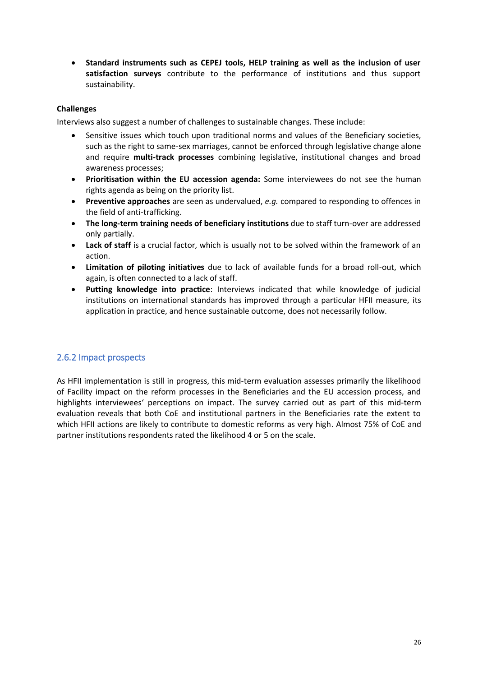• **Standard instruments such as CEPEJ tools, HELP training as well as the inclusion of user satisfaction surveys** contribute to the performance of institutions and thus support sustainability.

#### **Challenges**

Interviews also suggest a number of challenges to sustainable changes. These include:

- Sensitive issues which touch upon traditional norms and values of the Beneficiary societies, such as the right to same-sex marriages, cannot be enforced through legislative change alone and require **multi-track processes** combining legislative, institutional changes and broad awareness processes;
- **Prioritisation within the EU accession agenda:** Some interviewees do not see the human rights agenda as being on the priority list.
- **Preventive approaches** are seen as undervalued, *e.g.* compared to responding to offences in the field of anti-trafficking.
- **The long-term training needs of beneficiary institutions** due to staff turn-over are addressed only partially.
- **Lack of staff** is a crucial factor, which is usually not to be solved within the framework of an action.
- **Limitation of piloting initiatives** due to lack of available funds for a broad roll-out, which again, is often connected to a lack of staff.
- **Putting knowledge into practice**: Interviews indicated that while knowledge of judicial institutions on international standards has improved through a particular HFII measure, its application in practice, and hence sustainable outcome, does not necessarily follow.

#### 2.6.2 Impact prospects

As HFII implementation is still in progress, this mid-term evaluation assesses primarily the likelihood of Facility impact on the reform processes in the Beneficiaries and the EU accession process, and highlights interviewees' perceptions on impact. The survey carried out as part of this mid-term evaluation reveals that both CoE and institutional partners in the Beneficiaries rate the extent to which HFII actions are likely to contribute to domestic reforms as very high. Almost 75% of CoE and partner institutions respondents rated the likelihood 4 or 5 on the scale.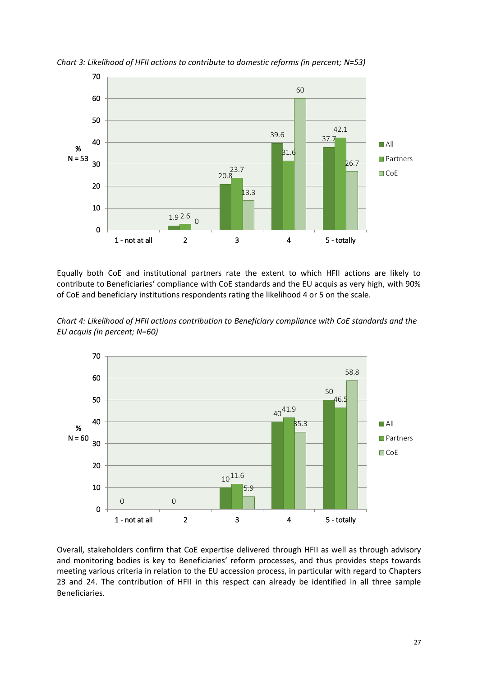

*Chart 3: Likelihood of HFII actions to contribute to domestic reforms (in percent; N=53)*

Equally both CoE and institutional partners rate the extent to which HFII actions are likely to contribute to Beneficiaries' compliance with CoE standards and the EU acquis as very high, with 90% of CoE and beneficiary institutions respondents rating the likelihood 4 or 5 on the scale.

*Chart 4: Likelihood of HFII actions contribution to Beneficiary compliance with CoE standards and the EU acquis (in percent; N=60)*



Overall, stakeholders confirm that CoE expertise delivered through HFII as well as through advisory and monitoring bodies is key to Beneficiaries' reform processes, and thus provides steps towards meeting various criteria in relation to the EU accession process, in particular with regard to Chapters 23 and 24. The contribution of HFII in this respect can already be identified in all three sample Beneficiaries.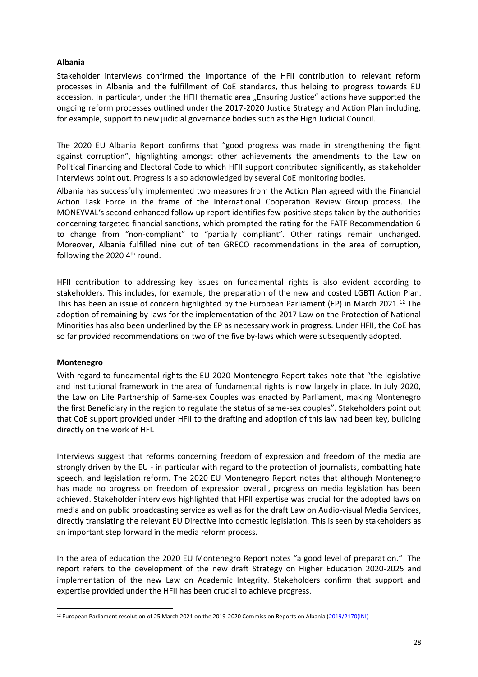# **Albania**

Stakeholder interviews confirmed the importance of the HFII contribution to relevant reform processes in Albania and the fulfillment of CoE standards, thus helping to progress towards EU accession. In particular, under the HFII thematic area "Ensuring Justice" actions have supported the ongoing reform processes outlined under the 2017-2020 Justice Strategy and Action Plan including, for example, support to new judicial governance bodies such as the High Judicial Council.

The 2020 EU Albania Report confirms that "good progress was made in strengthening the fight against corruption", highlighting amongst other achievements the amendments to the Law on Political Financing and Electoral Code to which HFII support contributed significantly, as stakeholder interviews point out. Progress is also acknowledged by several CoE monitoring bodies.

Albania has successfully implemented two measures from the Action Plan agreed with the Financial Action Task Force in the frame of the International Cooperation Review Group process. The MONEYVAL's second enhanced follow up report identifies few positive steps taken by the authorities concerning targeted financial sanctions, which prompted the rating for the FATF Recommendation 6 to change from "non-compliant" to "partially compliant". Other ratings remain unchanged. Moreover, Albania fulfilled nine out of ten GRECO recommendations in the area of corruption, following the 2020 4<sup>th</sup> round.

HFII contribution to addressing key issues on fundamental rights is also evident according to stakeholders. This includes, for example, the preparation of the new and costed LGBTI Action Plan. This has been an issue of concern highlighted by the European Parliament (EP) in March 2021.<sup>12</sup> The adoption of remaining by-laws for the implementation of the 2017 Law on the Protection of National Minorities has also been underlined by the EP as necessary work in progress. Under HFII, the CoE has so far provided recommendations on two of the five by-laws which were subsequently adopted.

# **Montenegro**

With regard to fundamental rights the EU 2020 Montenegro Report takes note that "the legislative and institutional framework in the area of fundamental rights is now largely in place. In July 2020, the Law on Life Partnership of Same-sex Couples was enacted by Parliament, making Montenegro the first Beneficiary in the region to regulate the status of same-sex couples". Stakeholders point out that CoE support provided under HFII to the drafting and adoption of this law had been key, building directly on the work of HFI.

Interviews suggest that reforms concerning freedom of expression and freedom of the media are strongly driven by the EU - in particular with regard to the protection of journalists, combatting hate speech, and legislation reform. The 2020 EU Montenegro Report notes that although Montenegro has made no progress on freedom of expression overall, progress on media legislation has been achieved. Stakeholder interviews highlighted that HFII expertise was crucial for the adopted laws on media and on public broadcasting service as well as for the draft Law on Audio-visual Media Services, directly translating the relevant EU Directive into domestic legislation. This is seen by stakeholders as an important step forward in the media reform process.

In the area of education the 2020 EU Montenegro Report notes "a good level of preparation." The report refers to the development of the new draft Strategy on Higher Education 2020-2025 and implementation of the new Law on Academic Integrity. Stakeholders confirm that support and expertise provided under the HFII has been crucial to achieve progress.

<sup>&</sup>lt;sup>12</sup> European Parliament resolution of 25 March 2021 on the 2019-2020 Commission Reports on Albania [\(2019/2170\(INI\)](https://oeil.secure.europarl.europa.eu/oeil/popups/ficheprocedure.do?lang=en&reference=2019/2170(INI))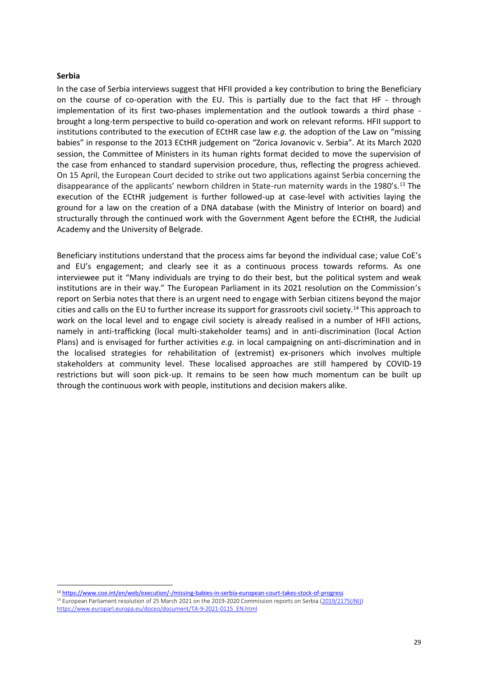#### **Serbia**

In the case of Serbia interviews suggest that HFII provided a key contribution to bring the Beneficiary on the course of co-operation with the EU. This is partially due to the fact that HF - through implementation of its first two-phases implementation and the outlook towards a third phase brought a long-term perspective to build co-operation and work on relevant reforms. HFII support to institutions contributed to the execution of ECtHR case law *e.g.* the adoption of the Law on "missing babies" in response to the 2013 ECtHR judgement on "Zorica Jovanovic v. Serbia". At its March 2020 session, the Committee of Ministers in its human rights format decided to move the supervision of the case from enhanced to standard supervision procedure, thus, reflecting the progress achieved. On 15 April, the European Court decided to strike out two applications against Serbia concerning the disappearance of the applicants' newborn children in State-run maternity wards in the 1980's.<sup>13</sup> The execution of the ECtHR judgement is further followed-up at case-level with activities laying the ground for a law on the creation of a DNA database (with the Ministry of Interior on board) and structurally through the continued work with the Government Agent before the ECtHR, the Judicial Academy and the University of Belgrade.

Beneficiary institutions understand that the process aims far beyond the individual case; value CoE's and EU's engagement; and clearly see it as a continuous process towards reforms. As one interviewee put it "Many individuals are trying to do their best, but the political system and weak institutions are in their way." The European Parliament in its 2021 resolution on the Commission's report on Serbia notes that there is an urgent need to engage with Serbian citizens beyond the major cities and calls on the EU to further increase its support for grassroots civil society.<sup>14</sup> This approach to work on the local level and to engage civil society is already realised in a number of HFII actions, namely in anti-trafficking (local multi-stakeholder teams) and in anti-discrimination (local Action Plans) and is envisaged for further activities *e.g.* in local campaigning on anti-discrimination and in the localised strategies for rehabilitation of (extremist) ex-prisoners which involves multiple stakeholders at community level. These localised approaches are still hampered by COVID-19 restrictions but will soon pick-up. It remains to be seen how much momentum can be built up through the continuous work with people, institutions and decision makers alike.

<sup>13</sup> <https://www.coe.int/en/web/execution/-/missing-babies-in-serbia-european-court-takes-stock-of-progress>

<sup>14</sup> European Parliament resolution of 25 March 2021 on the 2019-2020 Commission reports on Serbia [\(2019/2175\(INI\)\)](https://oeil.secure.europarl.europa.eu/oeil/popups/ficheprocedure.do?lang=en&reference=2019/2175(INI)) [https://www.europarl.europa.eu/doceo/document/TA-9-2021-0115\\_EN.html](https://www.europarl.europa.eu/doceo/document/TA-9-2021-0115_EN.html)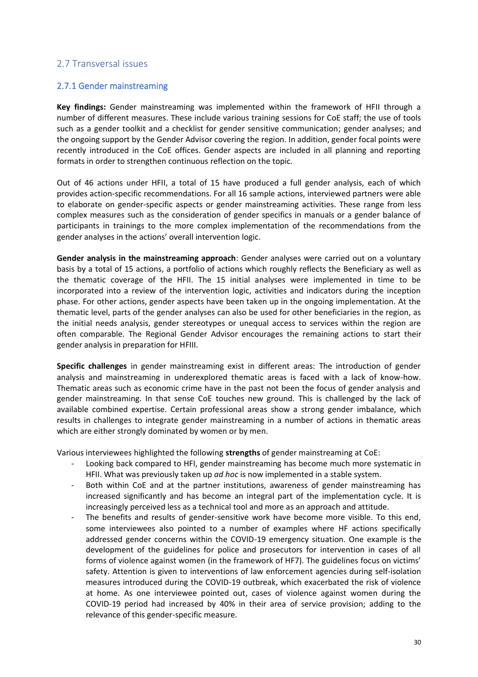# 2.7 Transversal issues

# 2.7.1 Gender mainstreaming

**Key findings:** Gender mainstreaming was implemented within the framework of HFII through a number of different measures. These include various training sessions for CoE staff; the use of tools such as a gender toolkit and a checklist for gender sensitive communication; gender analyses; and the ongoing support by the Gender Advisor covering the region. In addition, gender focal points were recently introduced in the CoE offices. Gender aspects are included in all planning and reporting formats in order to strengthen continuous reflection on the topic.

Out of 46 actions under HFII, a total of 15 have produced a full gender analysis, each of which provides action-specific recommendations. For all 16 sample actions, interviewed partners were able to elaborate on gender-specific aspects or gender mainstreaming activities. These range from less complex measures such as the consideration of gender specifics in manuals or a gender balance of participants in trainings to the more complex implementation of the recommendations from the gender analyses in the actions' overall intervention logic.

**Gender analysis in the mainstreaming approach**: Gender analyses were carried out on a voluntary basis by a total of 15 actions, a portfolio of actions which roughly reflects the Beneficiary as well as the thematic coverage of the HFII. The 15 initial analyses were implemented in time to be incorporated into a review of the intervention logic, activities and indicators during the inception phase. For other actions, gender aspects have been taken up in the ongoing implementation. At the thematic level, parts of the gender analyses can also be used for other beneficiaries in the region, as the initial needs analysis, gender stereotypes or unequal access to services within the region are often comparable. The Regional Gender Advisor encourages the remaining actions to start their gender analysis in preparation for HFIII.

**Specific challenges** in gender mainstreaming exist in different areas: The introduction of gender analysis and mainstreaming in underexplored thematic areas is faced with a lack of know-how. Thematic areas such as economic crime have in the past not been the focus of gender analysis and gender mainstreaming. In that sense CoE touches new ground. This is challenged by the lack of available combined expertise. Certain professional areas show a strong gender imbalance, which results in challenges to integrate gender mainstreaming in a number of actions in thematic areas which are either strongly dominated by women or by men.

Various interviewees highlighted the following **strengths** of gender mainstreaming at CoE:

- Looking back compared to HFI, gender mainstreaming has become much more systematic in HFII. What was previously taken up *ad hoc* is now implemented in a stable system.
- Both within CoE and at the partner institutions, awareness of gender mainstreaming has increased significantly and has become an integral part of the implementation cycle. It is increasingly perceived less as a technical tool and more as an approach and attitude.
- The benefits and results of gender-sensitive work have become more visible. To this end, some interviewees also pointed to a number of examples where HF actions specifically addressed gender concerns within the COVID-19 emergency situation. One example is the development of the guidelines for police and prosecutors for intervention in cases of all forms of violence against women (in the framework of HF7). The guidelines focus on victims' safety. Attention is given to interventions of law enforcement agencies during self-isolation measures introduced during the COVID-19 outbreak, which exacerbated the risk of violence at home. As one interviewee pointed out, cases of violence against women during the COVID-19 period had increased by 40% in their area of service provision; adding to the relevance of this gender-specific measure.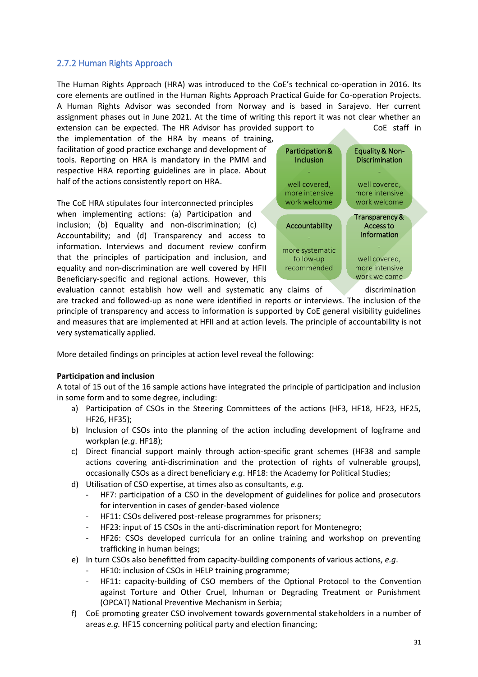# 2.7.2 Human Rights Approach

The Human Rights Approach (HRA) was introduced to the CoE's technical co-operation in 2016. Its core elements are outlined in the Human Rights Approach Practical Guide for Co-operation Projects. A Human Rights Advisor was seconded from Norway and is based in Sarajevo. Her current assignment phases out in June 2021. At the time of writing this report it was not clear whether an extension can be expected. The HR Advisor has provided support to COE staff in

the implementation of the HRA by means of training, facilitation of good practice exchange and development of tools. Reporting on HRA is mandatory in the PMM and respective HRA reporting guidelines are in place. About half of the actions consistently report on HRA.

The CoE HRA stipulates four interconnected principles when implementing actions: (a) Participation and inclusion; (b) Equality and non-discrimination; (c) Accountability; and (d) Transparency and access to information. Interviews and document review confirm that the principles of participation and inclusion, and equality and non-discrimination are well covered by HFII Beneficiary-specific and regional actions. However, this



are tracked and followed-up as none were identified in reports or interviews. The inclusion of the principle of transparency and access to information is supported by CoE general visibility guidelines and measures that are implemented at HFII and at action levels. The principle of accountability is not very systematically applied.

More detailed findings on principles at action level reveal the following:

# **Participation and inclusion**

A total of 15 out of the 16 sample actions have integrated the principle of participation and inclusion in some form and to some degree, including:

- a) Participation of CSOs in the Steering Committees of the actions (HF3, HF18, HF23, HF25, HF26, HF35);
- b) Inclusion of CSOs into the planning of the action including development of logframe and workplan (*e.g*. HF18);
- c) Direct financial support mainly through action-specific grant schemes (HF38 and sample actions covering anti-discrimination and the protection of rights of vulnerable groups), occasionally CSOs as a direct beneficiary *e.g*. HF18: the Academy for Political Studies;
- d) Utilisation of CSO expertise, at times also as consultants, *e.g.*
	- HF7: participation of a CSO in the development of guidelines for police and prosecutors for intervention in cases of gender-based violence
	- HF11: CSOs delivered post-release programmes for prisoners;
	- HF23: input of 15 CSOs in the anti-discrimination report for Montenegro;
	- HF26: CSOs developed curricula for an online training and workshop on preventing trafficking in human beings;
- e) In turn CSOs also benefitted from capacity-building components of various actions, *e.g*.
	- HF10: inclusion of CSOs in HELP training programme;
	- HF11: capacity-building of CSO members of the Optional Protocol to the Convention against Torture and Other Cruel, Inhuman or Degrading Treatment or Punishment (OPCAT) National Preventive Mechanism in Serbia;
- f) CoE promoting greater CSO involvement towards governmental stakeholders in a number of areas *e.g.* HF15 concerning political party and election financing;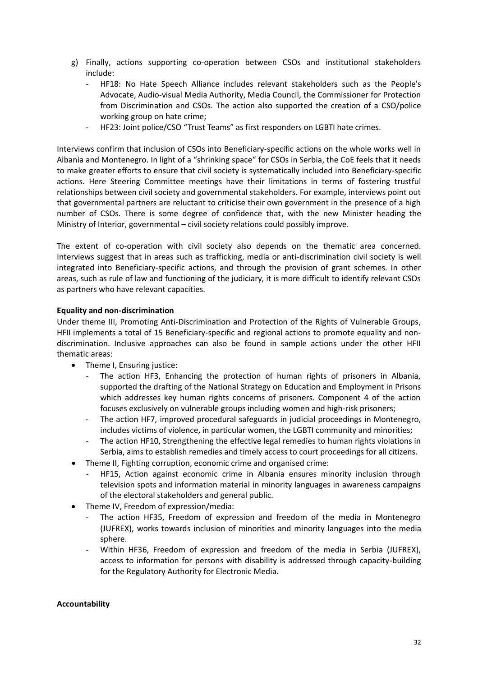- g) Finally, actions supporting co-operation between CSOs and institutional stakeholders include:
	- HF18: No Hate Speech Alliance includes relevant stakeholders such as the People's Advocate, Audio-visual Media Authority, Media Council, the Commissioner for Protection from Discrimination and CSOs. The action also supported the creation of a CSO/police working group on hate crime;
	- HF23: Joint police/CSO "Trust Teams" as first responders on LGBTI hate crimes.

Interviews confirm that inclusion of CSOs into Beneficiary-specific actions on the whole works well in Albania and Montenegro. In light of a "shrinking space" for CSOs in Serbia, the CoE feels that it needs to make greater efforts to ensure that civil society is systematically included into Beneficiary-specific actions. Here Steering Committee meetings have their limitations in terms of fostering trustful relationships between civil society and governmental stakeholders. For example, interviews point out that governmental partners are reluctant to criticise their own government in the presence of a high number of CSOs. There is some degree of confidence that, with the new Minister heading the Ministry of Interior, governmental – civil society relations could possibly improve.

The extent of co-operation with civil society also depends on the thematic area concerned. Interviews suggest that in areas such as trafficking, media or anti-discrimination civil society is well integrated into Beneficiary-specific actions, and through the provision of grant schemes. In other areas, such as rule of law and functioning of the judiciary, it is more difficult to identify relevant CSOs as partners who have relevant capacities.

# **Equality and non-discrimination**

Under theme III, Promoting Anti-Discrimination and Protection of the Rights of Vulnerable Groups, HFII implements a total of 15 Beneficiary-specific and regional actions to promote equality and nondiscrimination. Inclusive approaches can also be found in sample actions under the other HFII thematic areas:

- Theme I, Ensuring justice:
	- The action HF3, Enhancing the protection of human rights of prisoners in Albania, supported the drafting of the National Strategy on Education and Employment in Prisons which addresses key human rights concerns of prisoners. Component 4 of the action focuses exclusively on vulnerable groups including women and high-risk prisoners;
	- The action HF7, improved procedural safeguards in judicial proceedings in Montenegro, includes victims of violence, in particular women, the LGBTI community and minorities;
	- The action HF10, Strengthening the effective legal remedies to human rights violations in Serbia, aims to establish remedies and timely access to court proceedings for all citizens.
- Theme II, Fighting corruption, economic crime and organised crime:
	- HF15, Action against economic crime in Albania ensures minority inclusion through television spots and information material in minority languages in awareness campaigns of the electoral stakeholders and general public.
- Theme IV, Freedom of expression/media:
	- The action HF35, Freedom of expression and freedom of the media in Montenegro (JUFREX), works towards inclusion of minorities and minority languages into the media sphere.
	- Within HF36, Freedom of expression and freedom of the media in Serbia (JUFREX), access to information for persons with disability is addressed through capacity-building for the Regulatory Authority for Electronic Media.

# **Accountability**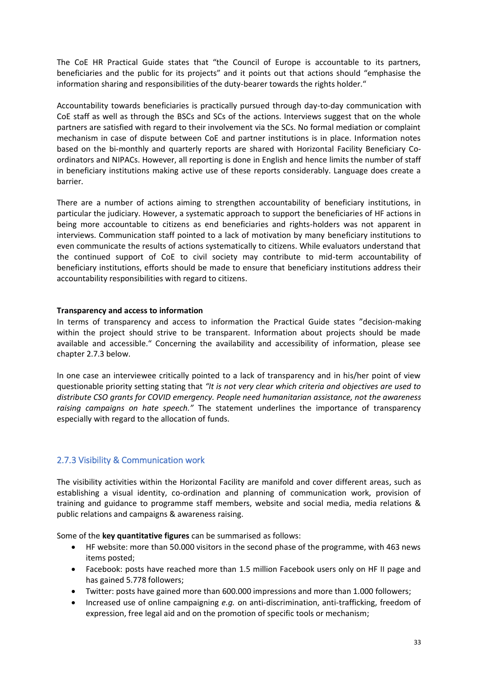The CoE HR Practical Guide states that "the Council of Europe is accountable to its partners, beneficiaries and the public for its projects" and it points out that actions should "emphasise the information sharing and responsibilities of the duty-bearer towards the rights holder."

Accountability towards beneficiaries is practically pursued through day-to-day communication with CoE staff as well as through the BSCs and SCs of the actions. Interviews suggest that on the whole partners are satisfied with regard to their involvement via the SCs. No formal mediation or complaint mechanism in case of dispute between CoE and partner institutions is in place. Information notes based on the bi-monthly and quarterly reports are shared with Horizontal Facility Beneficiary Coordinators and NIPACs. However, all reporting is done in English and hence limits the number of staff in beneficiary institutions making active use of these reports considerably. Language does create a barrier.

There are a number of actions aiming to strengthen accountability of beneficiary institutions, in particular the judiciary. However, a systematic approach to support the beneficiaries of HF actions in being more accountable to citizens as end beneficiaries and rights-holders was not apparent in interviews. Communication staff pointed to a lack of motivation by many beneficiary institutions to even communicate the results of actions systematically to citizens. While evaluators understand that the continued support of CoE to civil society may contribute to mid-term accountability of beneficiary institutions, efforts should be made to ensure that beneficiary institutions address their accountability responsibilities with regard to citizens.

# **Transparency and access to information**

In terms of transparency and access to information the Practical Guide states "decision-making within the project should strive to be transparent. Information about projects should be made available and accessible." Concerning the availability and accessibility of information, please see chapter 2.7.3 below.

In one case an interviewee critically pointed to a lack of transparency and in his/her point of view questionable priority setting stating that *"It is not very clear which criteria and objectives are used to distribute CSO grants for COVID emergency. People need humanitarian assistance, not the awareness raising campaigns on hate speech."* The statement underlines the importance of transparency especially with regard to the allocation of funds.

# 2.7.3 Visibility & Communication work

The visibility activities within the Horizontal Facility are manifold and cover different areas, such as establishing a visual identity, co-ordination and planning of communication work, provision of training and guidance to programme staff members, website and social media, media relations & public relations and campaigns & awareness raising.

Some of the **key quantitative figures** can be summarised as follows:

- HF website: more than 50.000 visitors in the second phase of the programme, with 463 news items posted;
- Facebook: posts have reached more than 1.5 million Facebook users only on HF II page and has gained 5.778 followers;
- Twitter: posts have gained more than 600.000 impressions and more than 1.000 followers;
- Increased use of online campaigning *e.g.* on anti-discrimination, anti-trafficking, freedom of expression, free legal aid and on the promotion of specific tools or mechanism;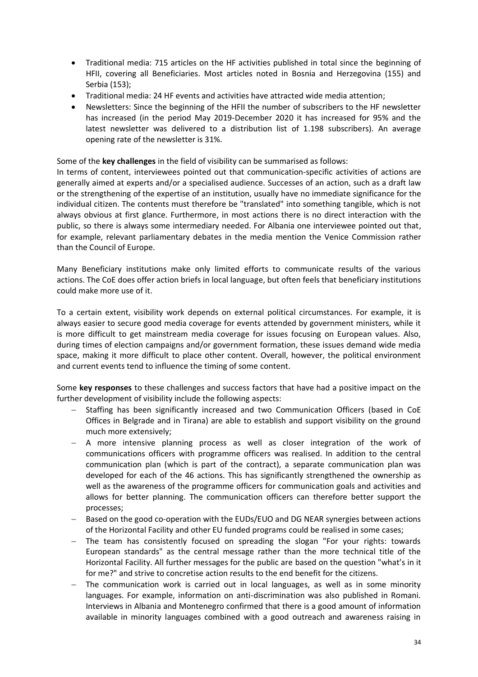- Traditional media: 715 articles on the HF activities published in total since the beginning of HFII, covering all Beneficiaries. Most articles noted in Bosnia and Herzegovina (155) and Serbia (153);
- Traditional media: 24 HF events and activities have attracted wide media attention;
- Newsletters: Since the beginning of the HFII the number of subscribers to the HF newsletter has increased (in the period May 2019-December 2020 it has increased for 95% and the latest newsletter was delivered to a distribution list of 1.198 subscribers). An average opening rate of the newsletter is 31%.

Some of the **key challenges** in the field of visibility can be summarised as follows:

In terms of content, interviewees pointed out that communication-specific activities of actions are generally aimed at experts and/or a specialised audience. Successes of an action, such as a draft law or the strengthening of the expertise of an institution, usually have no immediate significance for the individual citizen. The contents must therefore be "translated" into something tangible, which is not always obvious at first glance. Furthermore, in most actions there is no direct interaction with the public, so there is always some intermediary needed. For Albania one interviewee pointed out that, for example, relevant parliamentary debates in the media mention the Venice Commission rather than the Council of Europe.

Many Beneficiary institutions make only limited efforts to communicate results of the various actions. The CoE does offer action briefs in local language, but often feels that beneficiary institutions could make more use of it.

To a certain extent, visibility work depends on external political circumstances. For example, it is always easier to secure good media coverage for events attended by government ministers, while it is more difficult to get mainstream media coverage for issues focusing on European values. Also, during times of election campaigns and/or government formation, these issues demand wide media space, making it more difficult to place other content. Overall, however, the political environment and current events tend to influence the timing of some content.

Some **key responses** to these challenges and success factors that have had a positive impact on the further development of visibility include the following aspects:

- − Staffing has been significantly increased and two Communication Officers (based in CoE Offices in Belgrade and in Tirana) are able to establish and support visibility on the ground much more extensively;
- − A more intensive planning process as well as closer integration of the work of communications officers with programme officers was realised. In addition to the central communication plan (which is part of the contract), a separate communication plan was developed for each of the 46 actions. This has significantly strengthened the ownership as well as the awareness of the programme officers for communication goals and activities and allows for better planning. The communication officers can therefore better support the processes;
- − Based on the good co-operation with the EUDs/EUO and DG NEAR synergies between actions of the Horizontal Facility and other EU funded programs could be realised in some cases;
- − The team has consistently focused on spreading the slogan "For your rights: towards European standards" as the central message rather than the more technical title of the Horizontal Facility. All further messages for the public are based on the question "what's in it for me?" and strive to concretise action results to the end benefit for the citizens.
- The communication work is carried out in local languages, as well as in some minority languages. For example, information on anti-discrimination was also published in Romani. Interviews in Albania and Montenegro confirmed that there is a good amount of information available in minority languages combined with a good outreach and awareness raising in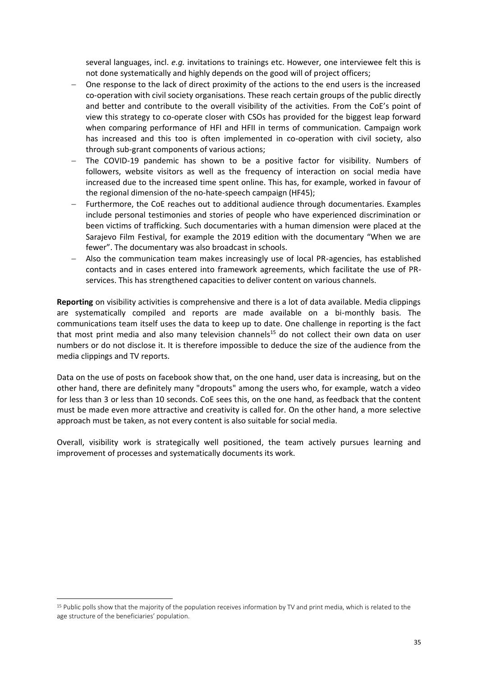several languages, incl. *e.g.* invitations to trainings etc. However, one interviewee felt this is not done systematically and highly depends on the good will of project officers;

- − One response to the lack of direct proximity of the actions to the end users is the increased co-operation with civil society organisations. These reach certain groups of the public directly and better and contribute to the overall visibility of the activities. From the CoE's point of view this strategy to co-operate closer with CSOs has provided for the biggest leap forward when comparing performance of HFI and HFII in terms of communication. Campaign work has increased and this too is often implemented in co-operation with civil society, also through sub-grant components of various actions;
- The COVID-19 pandemic has shown to be a positive factor for visibility. Numbers of followers, website visitors as well as the frequency of interaction on social media have increased due to the increased time spent online. This has, for example, worked in favour of the regional dimension of the no-hate-speech campaign (HF45);
- − Furthermore, the CoE reaches out to additional audience through documentaries. Examples include personal testimonies and stories of people who have experienced discrimination or been victims of trafficking. Such documentaries with a human dimension were placed at the Sarajevo Film Festival, for example the 2019 edition with the documentary "When we are fewer". The documentary was also broadcast in schools.
- − Also the communication team makes increasingly use of local PR-agencies, has established contacts and in cases entered into framework agreements, which facilitate the use of PRservices. This has strengthened capacities to deliver content on various channels.

**Reporting** on visibility activities is comprehensive and there is a lot of data available. Media clippings are systematically compiled and reports are made available on a bi-monthly basis. The communications team itself uses the data to keep up to date. One challenge in reporting is the fact that most print media and also many television channels<sup>15</sup> do not collect their own data on user numbers or do not disclose it. It is therefore impossible to deduce the size of the audience from the media clippings and TV reports.

Data on the use of posts on facebook show that, on the one hand, user data is increasing, but on the other hand, there are definitely many "dropouts" among the users who, for example, watch a video for less than 3 or less than 10 seconds. CoE sees this, on the one hand, as feedback that the content must be made even more attractive and creativity is called for. On the other hand, a more selective approach must be taken, as not every content is also suitable for social media.

Overall, visibility work is strategically well positioned, the team actively pursues learning and improvement of processes and systematically documents its work.

<sup>15</sup> Public polls show that the majority of the population receives information by TV and print media, which is related to the age structure of the beneficiaries' population.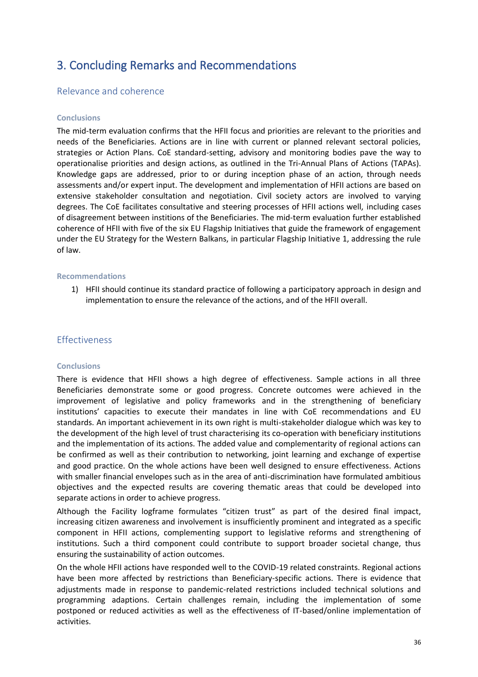# 3. Concluding Remarks and Recommendations

# Relevance and coherence

#### **Conclusions**

The mid-term evaluation confirms that the HFII focus and priorities are relevant to the priorities and needs of the Beneficiaries. Actions are in line with current or planned relevant sectoral policies, strategies or Action Plans. CoE standard-setting, advisory and monitoring bodies pave the way to operationalise priorities and design actions, as outlined in the Tri-Annual Plans of Actions (TAPAs). Knowledge gaps are addressed, prior to or during inception phase of an action, through needs assessments and/or expert input. The development and implementation of HFII actions are based on extensive stakeholder consultation and negotiation. Civil society actors are involved to varying degrees. The CoE facilitates consultative and steering processes of HFII actions well, including cases of disagreement between institions of the Beneficiaries. The mid-term evaluation further established coherence of HFII with five of the six EU Flagship Initiatives that guide the framework of engagement under the EU Strategy for the Western Balkans, in particular Flagship Initiative 1, addressing the rule of law.

#### **Recommendations**

1) HFII should continue its standard practice of following a participatory approach in design and implementation to ensure the relevance of the actions, and of the HFII overall.

# Effectiveness

#### **Conclusions**

There is evidence that HFII shows a high degree of effectiveness. Sample actions in all three Beneficiaries demonstrate some or good progress. Concrete outcomes were achieved in the improvement of legislative and policy frameworks and in the strengthening of beneficiary institutions' capacities to execute their mandates in line with CoE recommendations and EU standards. An important achievement in its own right is multi-stakeholder dialogue which was key to the development of the high level of trust characterising its co-operation with beneficiary institutions and the implementation of its actions. The added value and complementarity of regional actions can be confirmed as well as their contribution to networking, joint learning and exchange of expertise and good practice. On the whole actions have been well designed to ensure effectiveness. Actions with smaller financial envelopes such as in the area of anti-discrimination have formulated ambitious objectives and the expected results are covering thematic areas that could be developed into separate actions in order to achieve progress.

Although the Facility logframe formulates "citizen trust" as part of the desired final impact, increasing citizen awareness and involvement is insufficiently prominent and integrated as a specific component in HFII actions, complementing support to legislative reforms and strengthening of institutions. Such a third component could contribute to support broader societal change, thus ensuring the sustainability of action outcomes.

On the whole HFII actions have responded well to the COVID-19 related constraints. Regional actions have been more affected by restrictions than Beneficiary-specific actions. There is evidence that adjustments made in response to pandemic-related restrictions included technical solutions and programming adaptions. Certain challenges remain, including the implementation of some postponed or reduced activities as well as the effectiveness of IT-based/online implementation of activities.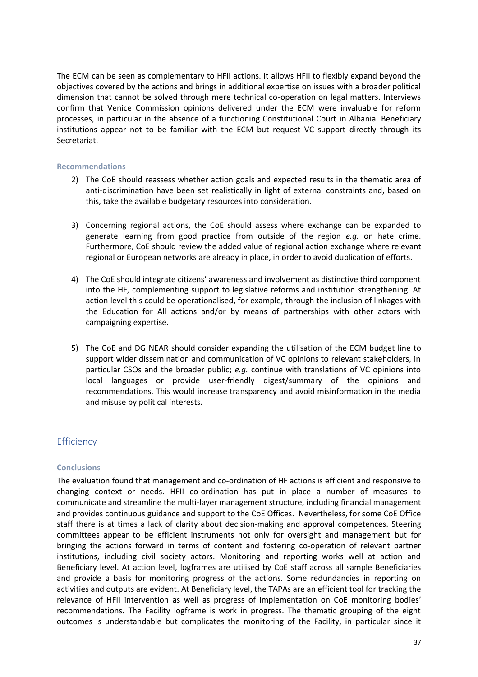The ECM can be seen as complementary to HFII actions. It allows HFII to flexibly expand beyond the objectives covered by the actions and brings in additional expertise on issues with a broader political dimension that cannot be solved through mere technical co-operation on legal matters. Interviews confirm that Venice Commission opinions delivered under the ECM were invaluable for reform processes, in particular in the absence of a functioning Constitutional Court in Albania. Beneficiary institutions appear not to be familiar with the ECM but request VC support directly through its Secretariat.

#### **Recommendations**

- 2) The CoE should reassess whether action goals and expected results in the thematic area of anti-discrimination have been set realistically in light of external constraints and, based on this, take the available budgetary resources into consideration.
- 3) Concerning regional actions, the CoE should assess where exchange can be expanded to generate learning from good practice from outside of the region *e.g.* on hate crime. Furthermore, CoE should review the added value of regional action exchange where relevant regional or European networks are already in place, in order to avoid duplication of efforts.
- 4) The CoE should integrate citizens' awareness and involvement as distinctive third component into the HF, complementing support to legislative reforms and institution strengthening. At action level this could be operationalised, for example, through the inclusion of linkages with the Education for All actions and/or by means of partnerships with other actors with campaigning expertise.
- 5) The CoE and DG NEAR should consider expanding the utilisation of the ECM budget line to support wider dissemination and communication of VC opinions to relevant stakeholders, in particular CSOs and the broader public; *e.g.* continue with translations of VC opinions into local languages or provide user-friendly digest/summary of the opinions and recommendations. This would increase transparency and avoid misinformation in the media and misuse by political interests.

# **Efficiency**

# **Conclusions**

The evaluation found that management and co-ordination of HF actions is efficient and responsive to changing context or needs. HFII co-ordination has put in place a number of measures to communicate and streamline the multi-layer management structure, including financial management and provides continuous guidance and support to the CoE Offices. Nevertheless, for some CoE Office staff there is at times a lack of clarity about decision-making and approval competences. Steering committees appear to be efficient instruments not only for oversight and management but for bringing the actions forward in terms of content and fostering co-operation of relevant partner institutions, including civil society actors. Monitoring and reporting works well at action and Beneficiary level. At action level, logframes are utilised by CoE staff across all sample Beneficiaries and provide a basis for monitoring progress of the actions. Some redundancies in reporting on activities and outputs are evident. At Beneficiary level, the TAPAs are an efficient tool for tracking the relevance of HFII intervention as well as progress of implementation on CoE monitoring bodies' recommendations. The Facility logframe is work in progress. The thematic grouping of the eight outcomes is understandable but complicates the monitoring of the Facility, in particular since it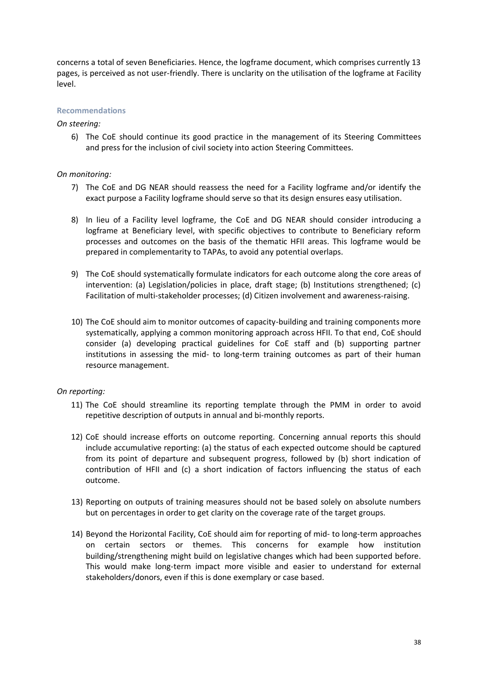concerns a total of seven Beneficiaries. Hence, the logframe document, which comprises currently 13 pages, is perceived as not user-friendly. There is unclarity on the utilisation of the logframe at Facility level.

# **Recommendations**

# *On steering:*

6) The CoE should continue its good practice in the management of its Steering Committees and press for the inclusion of civil society into action Steering Committees.

# *On monitoring:*

- 7) The CoE and DG NEAR should reassess the need for a Facility logframe and/or identify the exact purpose a Facility logframe should serve so that its design ensures easy utilisation.
- 8) In lieu of a Facility level logframe, the CoE and DG NEAR should consider introducing a logframe at Beneficiary level, with specific objectives to contribute to Beneficiary reform processes and outcomes on the basis of the thematic HFII areas. This logframe would be prepared in complementarity to TAPAs, to avoid any potential overlaps.
- 9) The CoE should systematically formulate indicators for each outcome along the core areas of intervention: (a) Legislation/policies in place, draft stage; (b) Institutions strengthened; (c) Facilitation of multi-stakeholder processes; (d) Citizen involvement and awareness-raising.
- 10) The CoE should aim to monitor outcomes of capacity-building and training components more systematically, applying a common monitoring approach across HFII. To that end, CoE should consider (a) developing practical guidelines for CoE staff and (b) supporting partner institutions in assessing the mid- to long-term training outcomes as part of their human resource management.

# *On reporting:*

- 11) The CoE should streamline its reporting template through the PMM in order to avoid repetitive description of outputs in annual and bi-monthly reports.
- 12) CoE should increase efforts on outcome reporting. Concerning annual reports this should include accumulative reporting: (a) the status of each expected outcome should be captured from its point of departure and subsequent progress, followed by (b) short indication of contribution of HFII and (c) a short indication of factors influencing the status of each outcome.
- 13) Reporting on outputs of training measures should not be based solely on absolute numbers but on percentages in order to get clarity on the coverage rate of the target groups.
- 14) Beyond the Horizontal Facility, CoE should aim for reporting of mid- to long-term approaches on certain sectors or themes. This concerns for example how institution building/strengthening might build on legislative changes which had been supported before. This would make long-term impact more visible and easier to understand for external stakeholders/donors, even if this is done exemplary or case based.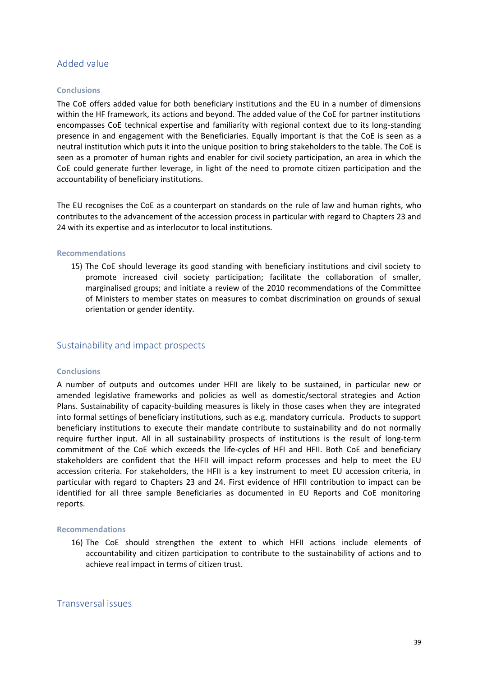# Added value

#### **Conclusions**

The CoE offers added value for both beneficiary institutions and the EU in a number of dimensions within the HF framework, its actions and beyond. The added value of the CoE for partner institutions encompasses CoE technical expertise and familiarity with regional context due to its long-standing presence in and engagement with the Beneficiaries. Equally important is that the CoE is seen as a neutral institution which puts it into the unique position to bring stakeholders to the table. The CoE is seen as a promoter of human rights and enabler for civil society participation, an area in which the CoE could generate further leverage, in light of the need to promote citizen participation and the accountability of beneficiary institutions.

The EU recognises the CoE as a counterpart on standards on the rule of law and human rights, who contributes to the advancement of the accession process in particular with regard to Chapters 23 and 24 with its expertise and as interlocutor to local institutions.

#### **Recommendations**

15) The CoE should leverage its good standing with beneficiary institutions and civil society to promote increased civil society participation; facilitate the collaboration of smaller, marginalised groups; and initiate a review of the 2010 recommendations of the Committee of Ministers to member states on measures to combat discrimination on grounds of sexual orientation or gender identity.

# Sustainability and impact prospects

#### **Conclusions**

A number of outputs and outcomes under HFII are likely to be sustained, in particular new or amended legislative frameworks and policies as well as domestic/sectoral strategies and Action Plans. Sustainability of capacity-building measures is likely in those cases when they are integrated into formal settings of beneficiary institutions, such as e.g. mandatory curricula. Products to support beneficiary institutions to execute their mandate contribute to sustainability and do not normally require further input. All in all sustainability prospects of institutions is the result of long-term commitment of the CoE which exceeds the life-cycles of HFI and HFII. Both CoE and beneficiary stakeholders are confident that the HFII will impact reform processes and help to meet the EU accession criteria. For stakeholders, the HFII is a key instrument to meet EU accession criteria, in particular with regard to Chapters 23 and 24. First evidence of HFII contribution to impact can be identified for all three sample Beneficiaries as documented in EU Reports and CoE monitoring reports.

#### **Recommendations**

16) The CoE should strengthen the extent to which HFII actions include elements of accountability and citizen participation to contribute to the sustainability of actions and to achieve real impact in terms of citizen trust.

# Transversal issues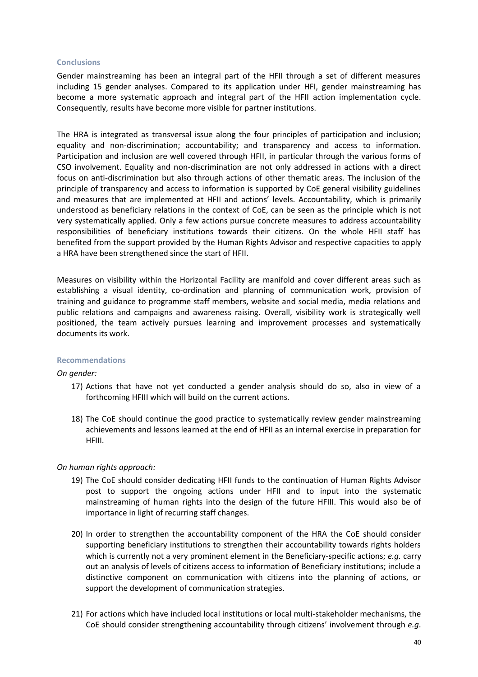#### **Conclusions**

Gender mainstreaming has been an integral part of the HFII through a set of different measures including 15 gender analyses. Compared to its application under HFI, gender mainstreaming has become a more systematic approach and integral part of the HFII action implementation cycle. Consequently, results have become more visible for partner institutions.

The HRA is integrated as transversal issue along the four principles of participation and inclusion; equality and non-discrimination; accountability; and transparency and access to information. Participation and inclusion are well covered through HFII, in particular through the various forms of CSO involvement. Equality and non-discrimination are not only addressed in actions with a direct focus on anti-discrimination but also through actions of other thematic areas. The inclusion of the principle of transparency and access to information is supported by CoE general visibility guidelines and measures that are implemented at HFII and actions' levels. Accountability, which is primarily understood as beneficiary relations in the context of CoE, can be seen as the principle which is not very systematically applied. Only a few actions pursue concrete measures to address accountability responsibilities of beneficiary institutions towards their citizens. On the whole HFII staff has benefited from the support provided by the Human Rights Advisor and respective capacities to apply a HRA have been strengthened since the start of HFII.

Measures on visibility within the Horizontal Facility are manifold and cover different areas such as establishing a visual identity, co-ordination and planning of communication work, provision of training and guidance to programme staff members, website and social media, media relations and public relations and campaigns and awareness raising. Overall, visibility work is strategically well positioned, the team actively pursues learning and improvement processes and systematically documents its work.

# **Recommendations**

# *On gender:*

- 17) Actions that have not yet conducted a gender analysis should do so, also in view of a forthcoming HFIII which will build on the current actions.
- 18) The CoE should continue the good practice to systematically review gender mainstreaming achievements and lessons learned at the end of HFII as an internal exercise in preparation for HFIII.

# *On human rights approach:*

- 19) The CoE should consider dedicating HFII funds to the continuation of Human Rights Advisor post to support the ongoing actions under HFII and to input into the systematic mainstreaming of human rights into the design of the future HFIII. This would also be of importance in light of recurring staff changes.
- 20) In order to strengthen the accountability component of the HRA the CoE should consider supporting beneficiary institutions to strengthen their accountability towards rights holders which is currently not a very prominent element in the Beneficiary-specific actions; *e.g.* carry out an analysis of levels of citizens access to information of Beneficiary institutions; include a distinctive component on communication with citizens into the planning of actions, or support the development of communication strategies.
- 21) For actions which have included local institutions or local multi-stakeholder mechanisms, the CoE should consider strengthening accountability through citizens' involvement through *e.g*.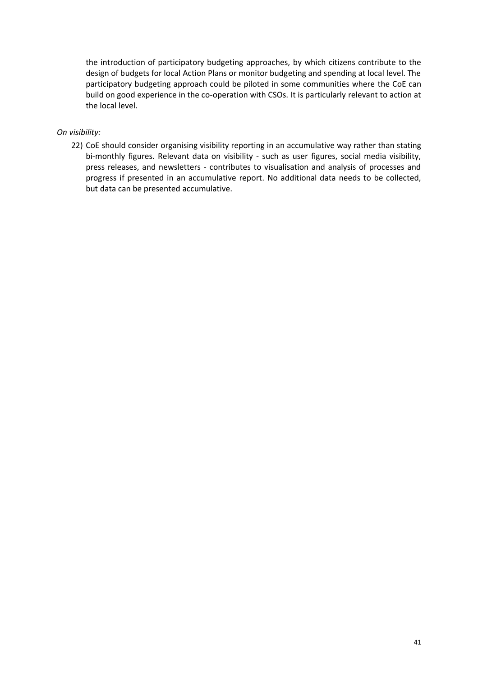the introduction of participatory budgeting approaches, by which citizens contribute to the design of budgets for local Action Plans or monitor budgeting and spending at local level. The participatory budgeting approach could be piloted in some communities where the CoE can build on good experience in the co-operation with CSOs. It is particularly relevant to action at the local level.

# *On visibility:*

22) CoE should consider organising visibility reporting in an accumulative way rather than stating bi-monthly figures. Relevant data on visibility - such as user figures, social media visibility, press releases, and newsletters - contributes to visualisation and analysis of processes and progress if presented in an accumulative report. No additional data needs to be collected, but data can be presented accumulative.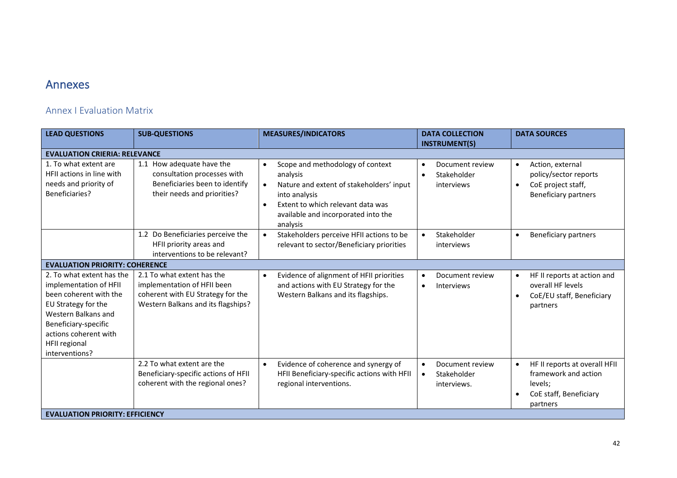# Annexes

# Annex I Evaluation Matrix

| <b>LEAD QUESTIONS</b>                                                                                                                                                                                           | <b>SUB-QUESTIONS</b>                                                                                                                 | <b>MEASURES/INDICATORS</b>                                                                                                                                                                                                               | <b>DATA COLLECTION</b><br><b>INSTRUMENT(S)</b>                          | <b>DATA SOURCES</b>                                                                                                      |
|-----------------------------------------------------------------------------------------------------------------------------------------------------------------------------------------------------------------|--------------------------------------------------------------------------------------------------------------------------------------|------------------------------------------------------------------------------------------------------------------------------------------------------------------------------------------------------------------------------------------|-------------------------------------------------------------------------|--------------------------------------------------------------------------------------------------------------------------|
| <b>EVALUATION CRIERIA: RELEVANCE</b>                                                                                                                                                                            |                                                                                                                                      |                                                                                                                                                                                                                                          |                                                                         |                                                                                                                          |
| 1. To what extent are<br>HFII actions in line with<br>needs and priority of<br>Beneficiaries?                                                                                                                   | 1.1 How adequate have the<br>consultation processes with<br>Beneficiaries been to identify<br>their needs and priorities?            | Scope and methodology of context<br>$\bullet$<br>analysis<br>Nature and extent of stakeholders' input<br>$\bullet$<br>into analysis<br>Extent to which relevant data was<br>$\bullet$<br>available and incorporated into the<br>analysis | Document review<br>$\bullet$<br>Stakeholder<br>$\bullet$<br>interviews  | Action, external<br>$\bullet$<br>policy/sector reports<br>CoE project staff,<br>$\bullet$<br><b>Beneficiary partners</b> |
|                                                                                                                                                                                                                 | 1.2 Do Beneficiaries perceive the<br>HFII priority areas and<br>interventions to be relevant?                                        | Stakeholders perceive HFII actions to be<br>relevant to sector/Beneficiary priorities                                                                                                                                                    | Stakeholder<br>$\bullet$<br>interviews                                  | <b>Beneficiary partners</b><br>$\bullet$                                                                                 |
| <b>EVALUATION PRIORITY: COHERENCE</b>                                                                                                                                                                           |                                                                                                                                      |                                                                                                                                                                                                                                          |                                                                         |                                                                                                                          |
| 2. To what extent has the<br>implementation of HFII<br>been coherent with the<br>EU Strategy for the<br>Western Balkans and<br>Beneficiary-specific<br>actions coherent with<br>HFII regional<br>interventions? | 2.1 To what extent has the<br>implementation of HFII been<br>coherent with EU Strategy for the<br>Western Balkans and its flagships? | Evidence of alignment of HFII priorities<br>$\bullet$<br>and actions with EU Strategy for the<br>Western Balkans and its flagships.                                                                                                      | Document review<br>$\bullet$<br><b>Interviews</b><br>$\bullet$          | HF II reports at action and<br>$\bullet$<br>overall HF levels<br>CoE/EU staff, Beneficiary<br>partners                   |
|                                                                                                                                                                                                                 | 2.2 To what extent are the<br>Beneficiary-specific actions of HFII<br>coherent with the regional ones?                               | Evidence of coherence and synergy of<br>$\bullet$<br>HFII Beneficiary-specific actions with HFII<br>regional interventions.                                                                                                              | Document review<br>$\bullet$<br>Stakeholder<br>$\bullet$<br>interviews. | HF II reports at overall HFII<br>framework and action<br>levels;<br>CoE staff, Beneficiary<br>partners                   |
| <b>EVALUATION PRIORITY: EFFICIENCY</b>                                                                                                                                                                          |                                                                                                                                      |                                                                                                                                                                                                                                          |                                                                         |                                                                                                                          |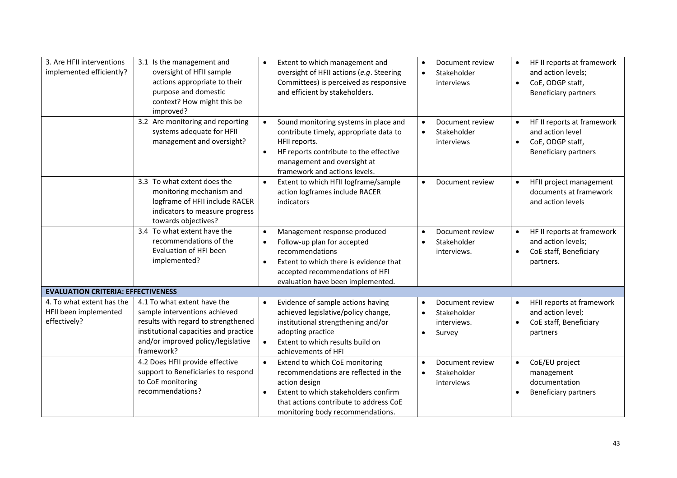| 3. Are HFII interventions<br>implemented efficiently?              | 3.1 Is the management and<br>oversight of HFII sample<br>actions appropriate to their<br>purpose and domestic<br>context? How might this be<br>improved?                                         | $\bullet$                           | Extent to which management and<br>oversight of HFII actions (e.g. Steering<br>Committees) is perceived as responsive<br>and efficient by stakeholders.                                                        | $\bullet$<br>$\bullet$              | Document review<br>Stakeholder<br>interviews            | $\bullet$              | HF II reports at framework<br>and action levels;<br>CoE, ODGP staff,<br><b>Beneficiary partners</b> |
|--------------------------------------------------------------------|--------------------------------------------------------------------------------------------------------------------------------------------------------------------------------------------------|-------------------------------------|---------------------------------------------------------------------------------------------------------------------------------------------------------------------------------------------------------------|-------------------------------------|---------------------------------------------------------|------------------------|-----------------------------------------------------------------------------------------------------|
|                                                                    | 3.2 Are monitoring and reporting<br>systems adequate for HFII<br>management and oversight?                                                                                                       | $\bullet$<br>$\bullet$              | Sound monitoring systems in place and<br>contribute timely, appropriate data to<br>HFII reports.<br>HF reports contribute to the effective<br>management and oversight at<br>framework and actions levels.    | $\bullet$<br>$\bullet$              | Document review<br>Stakeholder<br>interviews            | $\bullet$<br>$\bullet$ | HF II reports at framework<br>and action level<br>CoE, ODGP staff,<br><b>Beneficiary partners</b>   |
|                                                                    | 3.3 To what extent does the<br>monitoring mechanism and<br>logframe of HFII include RACER<br>indicators to measure progress<br>towards objectives?                                               | $\bullet$                           | Extent to which HFII logframe/sample<br>action logframes include RACER<br>indicators                                                                                                                          | $\bullet$                           | Document review                                         | $\bullet$              | HFII project management<br>documents at framework<br>and action levels                              |
|                                                                    | 3.4 To what extent have the<br>recommendations of the<br>Evaluation of HFI been<br>implemented?                                                                                                  | $\bullet$<br>$\bullet$<br>$\bullet$ | Management response produced<br>Follow-up plan for accepted<br>recommendations<br>Extent to which there is evidence that<br>accepted recommendations of HFI<br>evaluation have been implemented.              | $\bullet$<br>$\bullet$              | Document review<br>Stakeholder<br>interviews.           | $\bullet$<br>$\bullet$ | HF II reports at framework<br>and action levels;<br>CoE staff, Beneficiary<br>partners.             |
| <b>EVALUATION CRITERIA: EFFECTIVENESS</b>                          |                                                                                                                                                                                                  |                                     |                                                                                                                                                                                                               |                                     |                                                         |                        |                                                                                                     |
| 4. To what extent has the<br>HFII been implemented<br>effectively? | 4.1 To what extent have the<br>sample interventions achieved<br>results with regard to strengthened<br>institutional capacities and practice<br>and/or improved policy/legislative<br>framework? | $\bullet$                           | Evidence of sample actions having<br>achieved legislative/policy change,<br>institutional strengthening and/or<br>adopting practice<br>Extent to which results build on<br>achievements of HFI                | $\bullet$<br>$\bullet$<br>$\bullet$ | Document review<br>Stakeholder<br>interviews.<br>Survey |                        | HFII reports at framework<br>and action level;<br>CoE staff, Beneficiary<br>partners                |
|                                                                    | 4.2 Does HFII provide effective<br>support to Beneficiaries to respond<br>to CoE monitoring<br>recommendations?                                                                                  | $\bullet$<br>$\bullet$              | Extend to which CoE monitoring<br>recommendations are reflected in the<br>action design<br>Extent to which stakeholders confirm<br>that actions contribute to address CoE<br>monitoring body recommendations. | $\bullet$<br>$\bullet$              | Document review<br>Stakeholder<br>interviews            | $\bullet$              | CoE/EU project<br>management<br>documentation<br><b>Beneficiary partners</b>                        |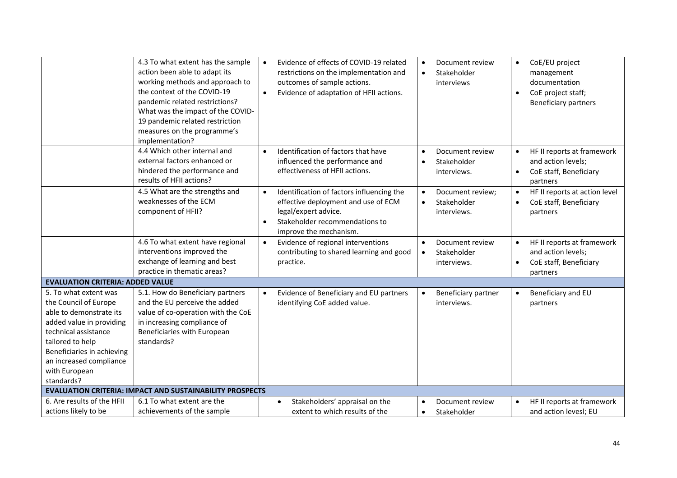|                                                                                                                                                                                                                                           | 4.3 To what extent has the sample<br>action been able to adapt its<br>working methods and approach to<br>the context of the COVID-19<br>pandemic related restrictions?<br>What was the impact of the COVID-<br>19 pandemic related restriction<br>measures on the programme's<br>implementation? | Evidence of effects of COVID-19 related<br>$\bullet$<br>restrictions on the implementation and<br>outcomes of sample actions.<br>Evidence of adaptation of HFII actions.<br>$\bullet$          | Document review<br>Stakeholder<br>$\bullet$<br>interviews               | CoE/EU project<br>$\bullet$<br>management<br>documentation<br>CoE project staff;<br>$\bullet$<br><b>Beneficiary partners</b> |
|-------------------------------------------------------------------------------------------------------------------------------------------------------------------------------------------------------------------------------------------|--------------------------------------------------------------------------------------------------------------------------------------------------------------------------------------------------------------------------------------------------------------------------------------------------|------------------------------------------------------------------------------------------------------------------------------------------------------------------------------------------------|-------------------------------------------------------------------------|------------------------------------------------------------------------------------------------------------------------------|
|                                                                                                                                                                                                                                           | 4.4 Which other internal and<br>external factors enhanced or<br>hindered the performance and<br>results of HFII actions?                                                                                                                                                                         | Identification of factors that have<br>$\bullet$<br>influenced the performance and<br>effectiveness of HFII actions.                                                                           | Document review<br>Stakeholder<br>interviews.                           | HF II reports at framework<br>$\bullet$<br>and action levels;<br>CoE staff, Beneficiary<br>partners                          |
|                                                                                                                                                                                                                                           | 4.5 What are the strengths and<br>weaknesses of the ECM<br>component of HFII?                                                                                                                                                                                                                    | Identification of factors influencing the<br>$\bullet$<br>effective deployment and use of ECM<br>legal/expert advice.<br>Stakeholder recommendations to<br>$\bullet$<br>improve the mechanism. | Document review;<br>Stakeholder<br>$\bullet$<br>interviews.             | HF II reports at action level<br>CoE staff, Beneficiary<br>$\bullet$<br>partners                                             |
|                                                                                                                                                                                                                                           | 4.6 To what extent have regional<br>interventions improved the<br>exchange of learning and best<br>practice in thematic areas?                                                                                                                                                                   | Evidence of regional interventions<br>$\bullet$<br>contributing to shared learning and good<br>practice.                                                                                       | Document review<br>$\bullet$<br>Stakeholder<br>$\bullet$<br>interviews. | HF II reports at framework<br>$\bullet$<br>and action levels;<br>CoE staff, Beneficiary<br>$\bullet$<br>partners             |
| <b>EVALUATION CRITERIA: ADDED VALUE</b>                                                                                                                                                                                                   |                                                                                                                                                                                                                                                                                                  |                                                                                                                                                                                                |                                                                         |                                                                                                                              |
| 5. To what extent was<br>the Council of Europe<br>able to demonstrate its<br>added value in providing<br>technical assistance<br>tailored to help<br>Beneficiaries in achieving<br>an increased compliance<br>with European<br>standards? | 5.1. How do Beneficiary partners<br>and the EU perceive the added<br>value of co-operation with the CoE<br>in increasing compliance of<br>Beneficiaries with European<br>standards?                                                                                                              | Evidence of Beneficiary and EU partners<br>$\bullet$<br>identifying CoE added value.                                                                                                           | Beneficiary partner<br>interviews.                                      | Beneficiary and EU<br>partners                                                                                               |
|                                                                                                                                                                                                                                           | <b>EVALUATION CRITERIA: IMPACT AND SUSTAINABILITY PROSPECTS</b>                                                                                                                                                                                                                                  |                                                                                                                                                                                                |                                                                         |                                                                                                                              |
| 6. Are results of the HFII<br>actions likely to be                                                                                                                                                                                        | 6.1 To what extent are the<br>achievements of the sample                                                                                                                                                                                                                                         | Stakeholders' appraisal on the<br>$\bullet$<br>extent to which results of the                                                                                                                  | Document review<br>Stakeholder<br>$\bullet$                             | HF II reports at framework<br>and action levesl; EU                                                                          |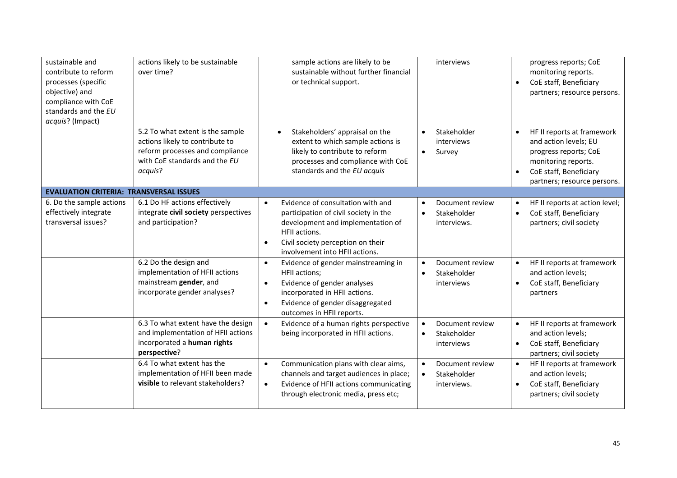| sustainable and<br>contribute to reform<br>processes (specific<br>objective) and<br>compliance with CoE<br>standards and the EU<br>acquis? (Impact) | actions likely to be sustainable<br>over time?                                                                                                     | sample actions are likely to be<br>sustainable without further financial<br>or technical support.                                                                                                                                 | interviews                                                             | progress reports; CoE<br>monitoring reports.<br>CoE staff, Beneficiary<br>partners; resource persons.                                                                                  |
|-----------------------------------------------------------------------------------------------------------------------------------------------------|----------------------------------------------------------------------------------------------------------------------------------------------------|-----------------------------------------------------------------------------------------------------------------------------------------------------------------------------------------------------------------------------------|------------------------------------------------------------------------|----------------------------------------------------------------------------------------------------------------------------------------------------------------------------------------|
|                                                                                                                                                     | 5.2 To what extent is the sample<br>actions likely to contribute to<br>reform processes and compliance<br>with CoE standards and the EU<br>acquis? | Stakeholders' appraisal on the<br>$\bullet$<br>extent to which sample actions is<br>likely to contribute to reform<br>processes and compliance with CoE<br>standards and the EU acquis                                            | Stakeholder<br>$\bullet$<br>interviews<br>Survey<br>$\bullet$          | HF II reports at framework<br>$\bullet$<br>and action levels; EU<br>progress reports; CoE<br>monitoring reports.<br>CoE staff, Beneficiary<br>$\bullet$<br>partners; resource persons. |
| <b>EVALUATION CRITERIA: TRANSVERSAL ISSUES</b>                                                                                                      |                                                                                                                                                    |                                                                                                                                                                                                                                   |                                                                        |                                                                                                                                                                                        |
| 6. Do the sample actions<br>effectively integrate<br>transversal issues?                                                                            | 6.1 Do HF actions effectively<br>integrate civil society perspectives<br>and participation?                                                        | Evidence of consultation with and<br>$\bullet$<br>participation of civil society in the<br>development and implementation of<br>HFII actions.<br>Civil society perception on their<br>$\bullet$<br>involvement into HFII actions. | Document review<br>Stakeholder<br>$\bullet$<br>interviews.             | HF II reports at action level;<br>CoE staff, Beneficiary<br>$\bullet$<br>partners; civil society                                                                                       |
|                                                                                                                                                     | 6.2 Do the design and<br>implementation of HFII actions<br>mainstream gender, and<br>incorporate gender analyses?                                  | Evidence of gender mainstreaming in<br>$\bullet$<br>HFII actions;<br>Evidence of gender analyses<br>$\bullet$<br>incorporated in HFII actions.<br>Evidence of gender disaggregated<br>$\bullet$<br>outcomes in HFII reports.      | Document review<br>Stakeholder<br>$\bullet$<br>interviews              | HF II reports at framework<br>and action levels;<br>CoE staff, Beneficiary<br>partners                                                                                                 |
|                                                                                                                                                     | 6.3 To what extent have the design<br>and implementation of HFII actions<br>incorporated a human rights<br>perspective?                            | Evidence of a human rights perspective<br>$\bullet$<br>being incorporated in HFII actions.                                                                                                                                        | Document review<br>$\bullet$<br>Stakeholder<br>$\bullet$<br>interviews | HF II reports at framework<br>$\bullet$<br>and action levels;<br>CoE staff, Beneficiary<br>partners; civil society                                                                     |
|                                                                                                                                                     | 6.4 To what extent has the<br>implementation of HFII been made<br>visible to relevant stakeholders?                                                | Communication plans with clear aims,<br>$\bullet$<br>channels and target audiences in place;<br>Evidence of HFII actions communicating<br>$\bullet$<br>through electronic media, press etc;                                       | Document review<br>Stakeholder<br>$\bullet$<br>interviews.             | HF II reports at framework<br>$\bullet$<br>and action levels;<br>CoE staff, Beneficiary<br>$\bullet$<br>partners; civil society                                                        |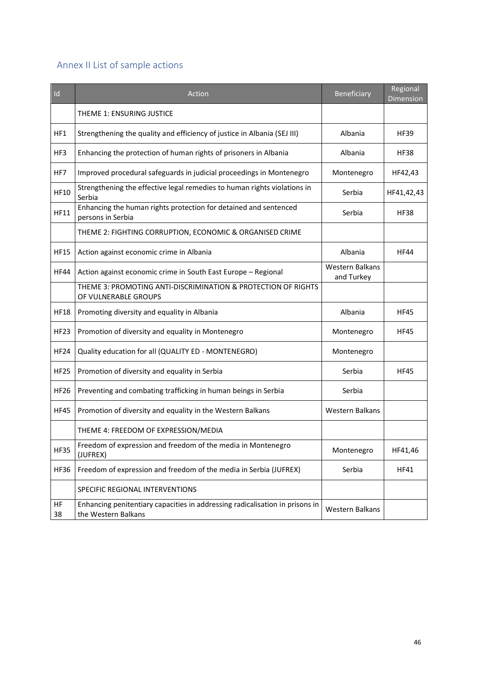# Annex II List of sample actions

| Id              | Action                                                                                              | Beneficiary                          | Regional<br>Dimension |
|-----------------|-----------------------------------------------------------------------------------------------------|--------------------------------------|-----------------------|
|                 | THEME 1: ENSURING JUSTICE                                                                           |                                      |                       |
| HF1             | Strengthening the quality and efficiency of justice in Albania (SEJ III)                            | Albania                              | <b>HF39</b>           |
| HF3             | Enhancing the protection of human rights of prisoners in Albania                                    | Albania                              | <b>HF38</b>           |
| HF7             | Improved procedural safeguards in judicial proceedings in Montenegro                                | Montenegro                           | HF42,43               |
| <b>HF10</b>     | Strengthening the effective legal remedies to human rights violations in<br>Serbia                  | Serbia                               | HF41,42,43            |
| <b>HF11</b>     | Enhancing the human rights protection for detained and sentenced<br>persons in Serbia               | Serbia                               | <b>HF38</b>           |
|                 | THEME 2: FIGHTING CORRUPTION, ECONOMIC & ORGANISED CRIME                                            |                                      |                       |
| <b>HF15</b>     | Action against economic crime in Albania                                                            | Albania                              | <b>HF44</b>           |
| HF44            | Action against economic crime in South East Europe - Regional                                       | <b>Western Balkans</b><br>and Turkey |                       |
|                 | THEME 3: PROMOTING ANTI-DISCRIMINATION & PROTECTION OF RIGHTS<br>OF VULNERABLE GROUPS               |                                      |                       |
| <b>HF18</b>     | Promoting diversity and equality in Albania                                                         | Albania                              | <b>HF45</b>           |
| <b>HF23</b>     | Promotion of diversity and equality in Montenegro                                                   | Montenegro                           | <b>HF45</b>           |
| HF24            | Quality education for all (QUALITY ED - MONTENEGRO)                                                 | Montenegro                           |                       |
| <b>HF25</b>     | Promotion of diversity and equality in Serbia                                                       | Serbia                               | <b>HF45</b>           |
| <b>HF26</b>     | Preventing and combating trafficking in human beings in Serbia                                      | Serbia                               |                       |
| <b>HF45</b>     | Promotion of diversity and equality in the Western Balkans                                          | <b>Western Balkans</b>               |                       |
|                 | THEME 4: FREEDOM OF EXPRESSION/MEDIA                                                                |                                      |                       |
| <b>HF35</b>     | Freedom of expression and freedom of the media in Montenegro<br>(JUFREX)                            | Montenegro                           | HF41,46               |
| <b>HF36</b>     | Freedom of expression and freedom of the media in Serbia (JUFREX)                                   | Serbia                               | HF41                  |
|                 | SPECIFIC REGIONAL INTERVENTIONS                                                                     |                                      |                       |
| <b>HF</b><br>38 | Enhancing penitentiary capacities in addressing radicalisation in prisons in<br>the Western Balkans | Western Balkans                      |                       |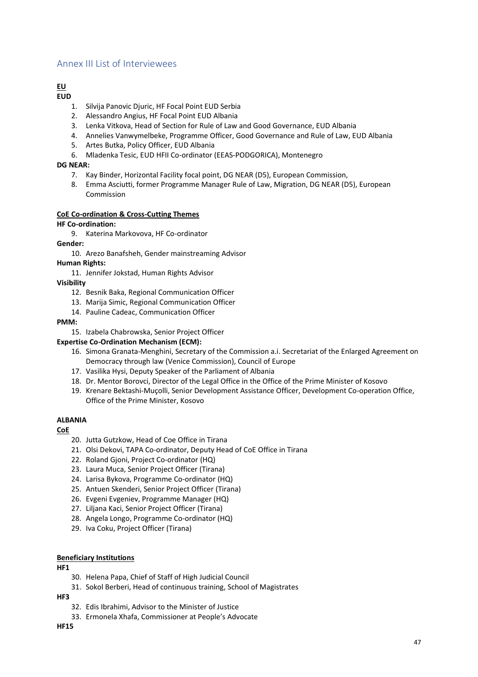# Annex III List of Interviewees

#### **EU EUD**

- 1. Silvija Panovic Diuric, HF Focal Point EUD Serbia
- 2. Alessandro Angius, HF Focal Point EUD Albania
- 3. Lenka Vitkova, Head of Section for Rule of Law and Good Governance, EUD Albania
- 4. Annelies Vanwymelbeke, Programme Officer, Good Governance and Rule of Law, EUD Albania
- 5. Artes Butka, Policy Officer, EUD Albania
- 6. Mladenka Tesic, EUD HFII Co-ordinator (EEAS-PODGORICA), Montenegro

#### **DG NEAR:**

- 7. Kay Binder, Horizontal Facility focal point, DG NEAR (D5), European Commission,
- 8. Emma Asciutti, former Programme Manager Rule of Law, Migration, DG NEAR (D5), European Commission

#### **CoE Co-ordination & Cross-Cutting Themes**

#### **HF Co-ordination:**

9. Katerina Markovova, HF Co-ordinator

#### **Gender:**

10. Arezo Banafsheh, Gender mainstreaming Advisor

**Human Rights:**

11. Jennifer Jokstad, Human Rights Advisor

#### **Visibility**

- 12. Besnik Baka, Regional Communication Officer
- 13. Marija Simic, Regional Communication Officer
- 14. Pauline Cadeac, Communication Officer

#### **PMM:**

15. Izabela Chabrowska, Senior Project Officer

# **Expertise Co-Ordination Mechanism (ECM):**

- 16. Simona Granata-Menghini, Secretary of the Commission a.i. Secretariat of the Enlarged Agreement on Democracy through law (Venice Commission), Council of Europe
- 17. Vasilika Hysi, Deputy Speaker of the Parliament of Albania
- 18. Dr. Mentor Borovci, Director of the Legal Office in the Office of the Prime Minister of Kosovo
- 19. Krenare Bektashi-Muçolli, Senior Development Assistance Officer, Development Co-operation Office, Office of the Prime Minister, Kosovo

# **ALBANIA**

**CoE**

- 20. Jutta Gutzkow, Head of Coe Office in Tirana
- 21. Olsi Dekovi, TAPA Co-ordinator, Deputy Head of CoE Office in Tirana
- 22. Roland Gjoni, Project Co-ordinator (HQ)
- 23. Laura Muca, Senior Project Officer (Tirana)
- 24. Larisa Bykova, Programme Co-ordinator (HQ)
- 25. Antuen Skenderi, Senior Project Officer (Tirana)
- 26. Evgeni Evgeniev, Programme Manager (HQ)
- 27. Liljana Kaci, Senior Project Officer (Tirana)
- 28. Angela Longo, Programme Co-ordinator (HQ)
- 29. Iva Coku, Project Officer (Tirana)

# **Beneficiary Institutions**

**HF1**

- 30. Helena Papa, Chief of Staff of High Judicial Council
- 31. Sokol Berberi, Head of continuous training, School of Magistrates

**HF3**

- 32. Edis Ibrahimi, Advisor to the Minister of Justice
- 33. Ermonela Xhafa, Commissioner at People's Advocate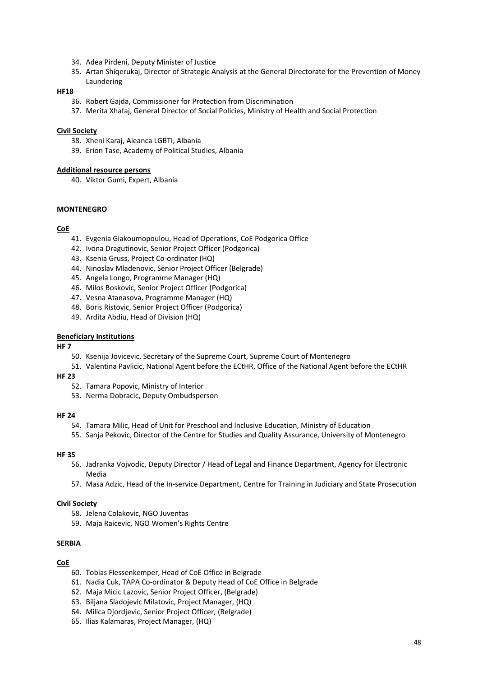- 34. Adea Pirdeni, Deputy Minister of Justice
- 35. Artan Shiqerukaj, Director of Strategic Analysis at the General Directorate for the Prevention of Money Laundering

#### **HF18**

- 36. Robert Gajda, Commissioner for Protection from Discrimination
- 37. Merita Xhafaj, General Director of Social Policies, Ministry of Health and Social Protection

#### **Civil Society**

- 38. Xheni Karaj, Aleanca LGBTI, Albania
- 39. Erion Tase, Academy of Political Studies, Albania

#### **Additional resource persons**

40. Viktor Gumi, Expert, Albania

#### **MONTENEGRO**

#### **CoE**

- 41. Evgenia Giakoumopoulou, Head of Operations, CoE Podgorica Office
- 42. Ivona Dragutinovic, Senior Project Officer (Podgorica)
- 43. Ksenia Gruss, Project Co-ordinator (HQ)
- 44. Ninoslav Mladenovic, Senior Project Officer (Belgrade)
- 45. Angela Longo, Programme Manager (HQ)
- 46. Milos Boskovic, Senior Project Officer (Podgorica)
- 47. Vesna Atanasova, Programme Manager (HQ)
- 48. Boris Ristovic, Senior Project Officer (Podgorica)
- 49. Ardita Abdiu, Head of Division (HQ)

#### **Beneficiary Institutions**

**HF 7**

- 50. Ksenija Jovicevic, Secretary of the Supreme Court, Supreme Court of Montenegro
- 51. Valentina Pavlicic, National Agent before the ECtHR, Office of the National Agent before the ECtHR

# **HF 23**

- 52. Tamara Popovic, Ministry of Interior
- 53. Nerma Dobracic, Deputy Ombudsperson

#### **HF 24**

- 54. Tamara Milic, Head of Unit for Preschool and Inclusive Education, Ministry of Education
- 55. Sanja Pekovic, Director of the Centre for Studies and Quality Assurance, University of Montenegro

# **HF 35**

- 56. Jadranka Vojvodic, Deputy Director / Head of Legal and Finance Department, Agency for Electronic Media
- 57. Masa Adzic, Head of the In-service Department, Centre for Training in Judiciary and State Prosecution

# **Civil Society**

- 58. Jelena Colakovic, NGO Juventas
- 59. Maja Raicevic, NGO Women's Rights Centre

# **SERBIA**

#### **CoE**

- 60. Tobias Flessenkemper, Head of CoE Office in Belgrade
- 61. Nadia Cuk, TAPA Co-ordinator & Deputy Head of CoE Office in Belgrade
- 62. Maja Micic Lazovic, Senior Project Officer, (Belgrade)
- 63. Biljana Sladojevic Milatovic, Project Manager, (HQ)
- 64. Milica Djordjevic, Senior Project Officer, (Belgrade)
- 65. Ilias Kalamaras, Project Manager, (HQ)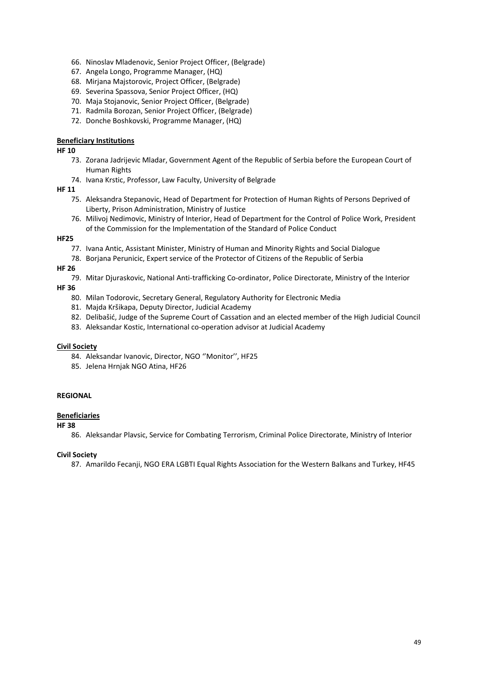- 66. Ninoslav Mladenovic, Senior Project Officer, (Belgrade)
- 67. Angela Longo, Programme Manager, (HQ)
- 68. Mirjana Majstorovic, Project Officer, (Belgrade)
- 69. Severina Spassova, Senior Project Officer, (HQ)
- 70. Maja Stojanovic, Senior Project Officer, (Belgrade)
- 71. Radmila Borozan, Senior Project Officer, (Belgrade)
- 72. Donche Boshkovski, Programme Manager, (HQ)

#### **Beneficiary Institutions**

#### **HF 10**

- 73. Zorana Jadrijevic Mladar, Government Agent of the Republic of Serbia before the European Court of Human Rights
- 74. Ivana Krstic, Professor, Law Faculty, University of Belgrade

#### **HF 11**

- 75. Aleksandra Stepanovic, Head of Department for Protection of Human Rights of Persons Deprived of Liberty, Prison Administration, Ministry of Justice
- 76. Milivoj Nedimovic, Ministry of Interior, Head of Department for the Control of Police Work, President of the Commission for the Implementation of the Standard of Police Conduct

#### **HF25**

- 77. Ivana Antic, Assistant Minister, Ministry of Human and Minority Rights and Social Dialogue
- 78. Borjana Perunicic, Expert service of the Protector of Citizens of the Republic of Serbia

#### **HF 26**

79. Mitar Djuraskovic, National Anti-trafficking Co-ordinator, Police Directorate, Ministry of the Interior

#### **HF 36**

- 80. Milan Todorovic, Secretary General, Regulatory Authority for Electronic Media
- 81. Majda Kršikapa, Deputy Director, Judicial Academy
- 82. Delibašić, Judge of the Supreme Court of Cassation and an elected member of the High Judicial Council
- 83. Aleksandar Kostic, International co-operation advisor at Judicial Academy

#### **Civil Society**

- 84. Aleksandar Ivanovic, Director, NGO ''Monitor'', HF25
- 85. Jelena Hrnjak NGO Atina, HF26

#### **REGIONAL**

#### **Beneficiaries**

#### **HF 38**

86. Aleksandar Plavsic, Service for Combating Terrorism, Criminal Police Directorate, Ministry of Interior

#### **Civil Society**

87. Amarildo Fecanji, NGO ERA LGBTI Equal Rights Association for the Western Balkans and Turkey, HF45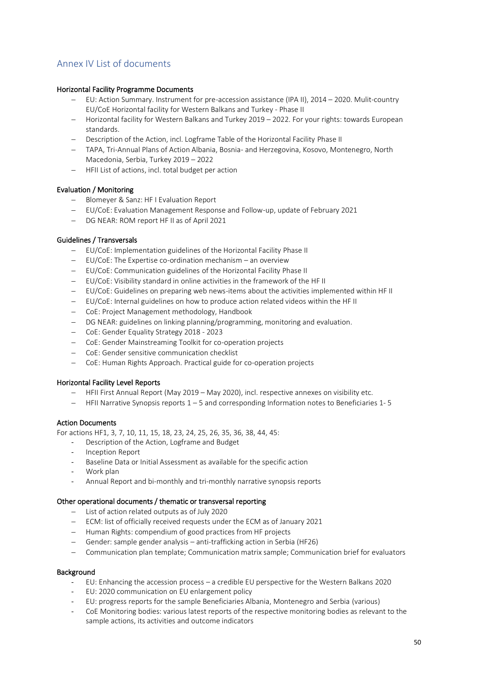# Annex IV List of documents

# Horizontal Facility Programme Documents

- − EU: Action Summary. Instrument for pre-accession assistance (IPA II), 2014 2020. Mulit-country EU/CoE Horizontal facility for Western Balkans and Turkey - Phase II
- − Horizontal facility for Western Balkans and Turkey 2019 2022. For your rights: towards European standards.
- − Description of the Action, incl. Logframe Table of the Horizontal Facility Phase II
- − TAPA, Tri-Annual Plans of Action Albania, Bosnia- and Herzegovina, Kosovo, Montenegro, North Macedonia, Serbia, Turkey 2019 – 2022
- − HFII List of actions, incl. total budget per action

#### Evaluation / Monitoring

- − Blomeyer & Sanz: HF I Evaluation Report
- − EU/CoE: Evaluation Management Response and Follow-up, update of February 2021
- − DG NEAR: ROM report HF II as of April 2021

#### Guidelines / Transversals

- − EU/CoE: Implementation guidelines of the Horizontal Facility Phase II
- − EU/CoE: The Expertise co-ordination mechanism an overview
- − EU/CoE: Communication guidelines of the Horizontal Facility Phase II
- − EU/CoE: Visibility standard in online activities in the framework of the HF II
- − EU/CoE: Guidelines on preparing web news-items about the activities implemented within HF II
- − EU/CoE: Internal guidelines on how to produce action related videos within the HF II
- − CoE: Project Management methodology, Handbook
- − DG NEAR: guidelines on linking planning/programming, monitoring and evaluation.
- − CoE: Gender Equality Strategy 2018 2023
- − CoE: Gender Mainstreaming Toolkit for co-operation projects
- − CoE: Gender sensitive communication checklist
- − CoE: Human Rights Approach. Practical guide for co-operation projects

#### Horizontal Facility Level Reports

- − HFII First Annual Report (May 2019 May 2020), incl. respective annexes on visibility etc.
- − HFII Narrative Synopsis reports 1 5 and corresponding Information notes to Beneficiaries 1- 5

#### Action Documents

For actions HF1, 3, 7, 10, 11, 15, 18, 23, 24, 25, 26, 35, 36, 38, 44, 45:

- Description of the Action, Logframe and Budget
- Inception Report
- Baseline Data or Initial Assessment as available for the specific action
- Work plan
- Annual Report and bi-monthly and tri-monthly narrative synopsis reports

#### Other operational documents / thematic or transversal reporting

- − List of action related outputs as of July 2020
- − ECM: list of officially received requests under the ECM as of January 2021
- − Human Rights: compendium of good practices from HF projects
- − Gender: sample gender analysis anti-trafficking action in Serbia (HF26)
- − Communication plan template; Communication matrix sample; Communication brief for evaluators

#### **Background**

- EU: Enhancing the accession process a credible EU perspective for the Western Balkans 2020
- EU: 2020 communication on EU enlargement policy
- EU: progress reports for the sample Beneficiaries Albania, Montenegro and Serbia (various)
- CoE Monitoring bodies: various latest reports of the respective monitoring bodies as relevant to the sample actions, its activities and outcome indicators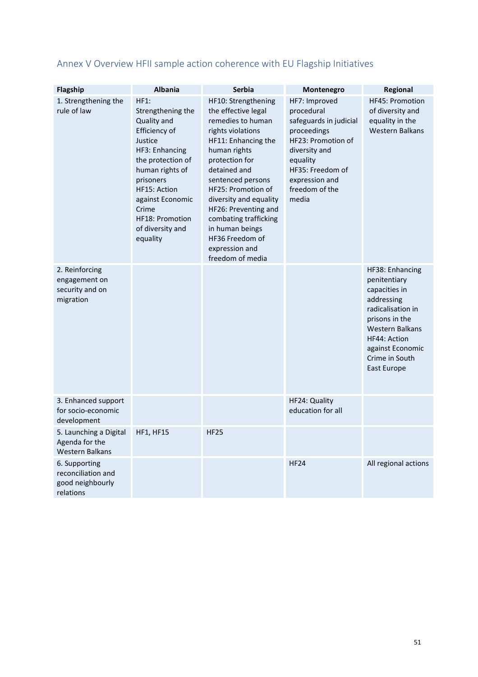| Flagship                                                             | <b>Albania</b>                                                                                                                                                                                                                                     | <b>Serbia</b>                                                                                                                                                                                                                                                                                                                                                   |                                                                                                                                                                                          | Regional                                                                                                                                                                                             |
|----------------------------------------------------------------------|----------------------------------------------------------------------------------------------------------------------------------------------------------------------------------------------------------------------------------------------------|-----------------------------------------------------------------------------------------------------------------------------------------------------------------------------------------------------------------------------------------------------------------------------------------------------------------------------------------------------------------|------------------------------------------------------------------------------------------------------------------------------------------------------------------------------------------|------------------------------------------------------------------------------------------------------------------------------------------------------------------------------------------------------|
|                                                                      |                                                                                                                                                                                                                                                    |                                                                                                                                                                                                                                                                                                                                                                 | Montenegro                                                                                                                                                                               |                                                                                                                                                                                                      |
| 1. Strengthening the<br>rule of law                                  | HF1:<br>Strengthening the<br>Quality and<br>Efficiency of<br>Justice<br>HF3: Enhancing<br>the protection of<br>human rights of<br>prisoners<br>HF15: Action<br>against Economic<br>Crime<br><b>HF18: Promotion</b><br>of diversity and<br>equality | HF10: Strengthening<br>the effective legal<br>remedies to human<br>rights violations<br>HF11: Enhancing the<br>human rights<br>protection for<br>detained and<br>sentenced persons<br>HF25: Promotion of<br>diversity and equality<br>HF26: Preventing and<br>combating trafficking<br>in human beings<br>HF36 Freedom of<br>expression and<br>freedom of media | HF7: Improved<br>procedural<br>safeguards in judicial<br>proceedings<br>HF23: Promotion of<br>diversity and<br>equality<br>HF35: Freedom of<br>expression and<br>freedom of the<br>media | HF45: Promotion<br>of diversity and<br>equality in the<br><b>Western Balkans</b>                                                                                                                     |
| 2. Reinforcing<br>engagement on<br>security and on<br>migration      |                                                                                                                                                                                                                                                    |                                                                                                                                                                                                                                                                                                                                                                 |                                                                                                                                                                                          | HF38: Enhancing<br>penitentiary<br>capacities in<br>addressing<br>radicalisation in<br>prisons in the<br><b>Western Balkans</b><br>HF44: Action<br>against Economic<br>Crime in South<br>East Europe |
| 3. Enhanced support<br>for socio-economic<br>development             |                                                                                                                                                                                                                                                    |                                                                                                                                                                                                                                                                                                                                                                 | HF24: Quality<br>education for all                                                                                                                                                       |                                                                                                                                                                                                      |
| 5. Launching a Digital<br>Agenda for the<br><b>Western Balkans</b>   | <b>HF1, HF15</b>                                                                                                                                                                                                                                   | <b>HF25</b>                                                                                                                                                                                                                                                                                                                                                     |                                                                                                                                                                                          |                                                                                                                                                                                                      |
| 6. Supporting<br>reconciliation and<br>good neighbourly<br>relations |                                                                                                                                                                                                                                                    |                                                                                                                                                                                                                                                                                                                                                                 | <b>HF24</b>                                                                                                                                                                              | All regional actions                                                                                                                                                                                 |

# Annex V Overview HFII sample action coherence with EU Flagship Initiatives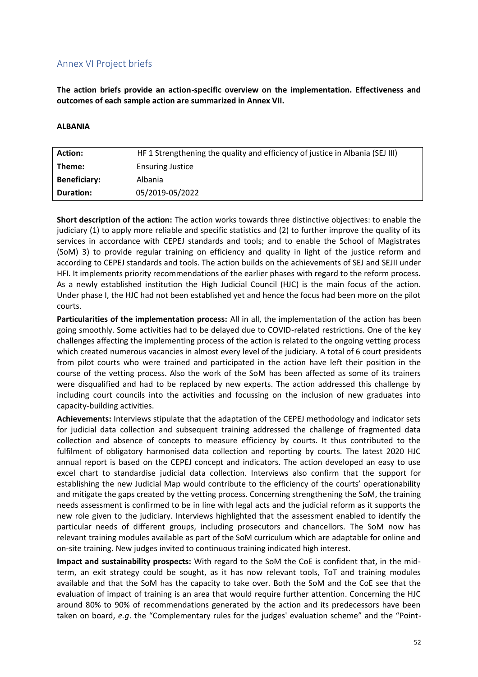# Annex VI Project briefs

**The action briefs provide an action-specific overview on the implementation. Effectiveness and outcomes of each sample action are summarized in Annex VII.**

#### **ALBANIA**

| <b>Action:</b>      | HF 1 Strengthening the quality and efficiency of justice in Albania (SEJ III) |
|---------------------|-------------------------------------------------------------------------------|
| Theme:              | <b>Ensuring Justice</b>                                                       |
| <b>Beneficiary:</b> | <b>Albania</b>                                                                |
| <b>Duration:</b>    | 05/2019-05/2022                                                               |
|                     |                                                                               |

**Short description of the action:** The action works towards three distinctive objectives: to enable the judiciary (1) to apply more reliable and specific statistics and (2) to further improve the quality of its services in accordance with CEPEJ standards and tools; and to enable the School of Magistrates (SoM) 3) to provide regular training on efficiency and quality in light of the justice reform and according to CEPEJ standards and tools. The action builds on the achievements of SEJ and SEJII under HFI. It implements priority recommendations of the earlier phases with regard to the reform process. As a newly established institution the High Judicial Council (HJC) is the main focus of the action. Under phase I, the HJC had not been established yet and hence the focus had been more on the pilot courts.

**Particularities of the implementation process:** All in all, the implementation of the action has been going smoothly. Some activities had to be delayed due to COVID-related restrictions. One of the key challenges affecting the implementing process of the action is related to the ongoing vetting process which created numerous vacancies in almost every level of the judiciary. A total of 6 court presidents from pilot courts who were trained and participated in the action have left their position in the course of the vetting process. Also the work of the SoM has been affected as some of its trainers were disqualified and had to be replaced by new experts. The action addressed this challenge by including court councils into the activities and focussing on the inclusion of new graduates into capacity-building activities.

**Achievements:** Interviews stipulate that the adaptation of the CEPEJ methodology and indicator sets for judicial data collection and subsequent training addressed the challenge of fragmented data collection and absence of concepts to measure efficiency by courts. It thus contributed to the fulfilment of obligatory harmonised data collection and reporting by courts. The latest 2020 HJC annual report is based on the CEPEJ concept and indicators. The action developed an easy to use excel chart to standardise judicial data collection. Interviews also confirm that the support for establishing the new Judicial Map would contribute to the efficiency of the courts' operationability and mitigate the gaps created by the vetting process. Concerning strengthening the SoM, the training needs assessment is confirmed to be in line with legal acts and the judicial reform as it supports the new role given to the judiciary. Interviews highlighted that the assessment enabled to identify the particular needs of different groups, including prosecutors and chancellors. The SoM now has relevant training modules available as part of the SoM curriculum which are adaptable for online and on-site training. New judges invited to continuous training indicated high interest.

**Impact and sustainability prospects:** With regard to the SoM the CoE is confident that, in the midterm, an exit strategy could be sought, as it has now relevant tools, ToT and training modules available and that the SoM has the capacity to take over. Both the SoM and the CoE see that the evaluation of impact of training is an area that would require further attention. Concerning the HJC around 80% to 90% of recommendations generated by the action and its predecessors have been taken on board, *e.g*. the "Complementary rules for the judges' evaluation scheme" and the "Point-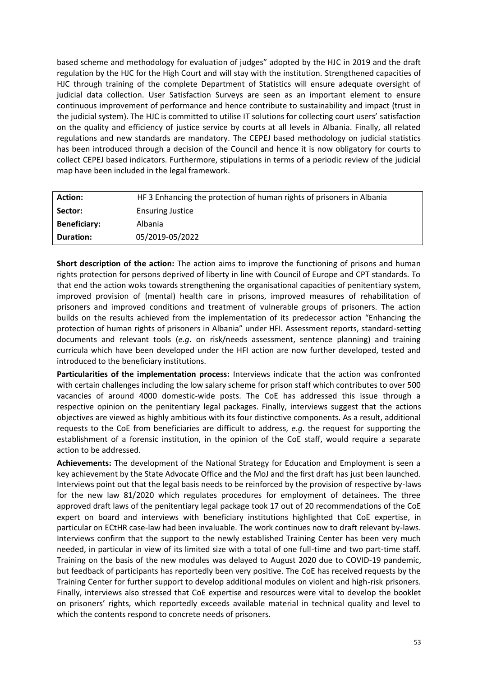based scheme and methodology for evaluation of judges" adopted by the HJC in 2019 and the draft regulation by the HJC for the High Court and will stay with the institution. Strengthened capacities of HJC through training of the complete Department of Statistics will ensure adequate oversight of judicial data collection. User Satisfaction Surveys are seen as an important element to ensure continuous improvement of performance and hence contribute to sustainability and impact (trust in the judicial system). The HJC is committed to utilise IT solutions for collecting court users' satisfaction on the quality and efficiency of justice service by courts at all levels in Albania. Finally, all related regulations and new standards are mandatory. The CEPEJ based methodology on judicial statistics has been introduced through a decision of the Council and hence it is now obligatory for courts to collect CEPEJ based indicators. Furthermore, stipulations in terms of a periodic review of the judicial map have been included in the legal framework.

| <b>Action:</b>      | HF 3 Enhancing the protection of human rights of prisoners in Albania |
|---------------------|-----------------------------------------------------------------------|
| Sector:             | <b>Ensuring Justice</b>                                               |
| <b>Beneficiary:</b> | <b>Albania</b>                                                        |
| Duration:           | 05/2019-05/2022                                                       |

**Short description of the action:** The action aims to improve the functioning of prisons and human rights protection for persons deprived of liberty in line with Council of Europe and CPT standards. To that end the action woks towards strengthening the organisational capacities of penitentiary system, improved provision of (mental) health care in prisons, improved measures of rehabilitation of prisoners and improved conditions and treatment of vulnerable groups of prisoners. The action builds on the results achieved from the implementation of its predecessor action "Enhancing the protection of human rights of prisoners in Albania" under HFI. Assessment reports, standard-setting documents and relevant tools (*e.g*. on risk/needs assessment, sentence planning) and training curricula which have been developed under the HFI action are now further developed, tested and introduced to the beneficiary institutions.

**Particularities of the implementation process:** Interviews indicate that the action was confronted with certain challenges including the low salary scheme for prison staff which contributes to over 500 vacancies of around 4000 domestic-wide posts. The CoE has addressed this issue through a respective opinion on the penitentiary legal packages. Finally, interviews suggest that the actions objectives are viewed as highly ambitious with its four distinctive components. As a result, additional requests to the CoE from beneficiaries are difficult to address, *e.g*. the request for supporting the establishment of a forensic institution, in the opinion of the CoE staff, would require a separate action to be addressed.

**Achievements:** The development of the National Strategy for Education and Employment is seen a key achievement by the State Advocate Office and the MoJ and the first draft has just been launched. Interviews point out that the legal basis needs to be reinforced by the provision of respective by-laws for the new law 81/2020 which regulates procedures for employment of detainees. The three approved draft laws of the penitentiary legal package took 17 out of 20 recommendations of the CoE expert on board and interviews with beneficiary institutions highlighted that CoE expertise, in particular on ECtHR case-law had been invaluable. The work continues now to draft relevant by-laws. Interviews confirm that the support to the newly established Training Center has been very much needed, in particular in view of its limited size with a total of one full-time and two part-time staff. Training on the basis of the new modules was delayed to August 2020 due to COVID-19 pandemic, but feedback of participants has reportedly been very positive. The CoE has received requests by the Training Center for further support to develop additional modules on violent and high-risk prisoners. Finally, interviews also stressed that CoE expertise and resources were vital to develop the booklet on prisoners' rights, which reportedly exceeds available material in technical quality and level to which the contents respond to concrete needs of prisoners.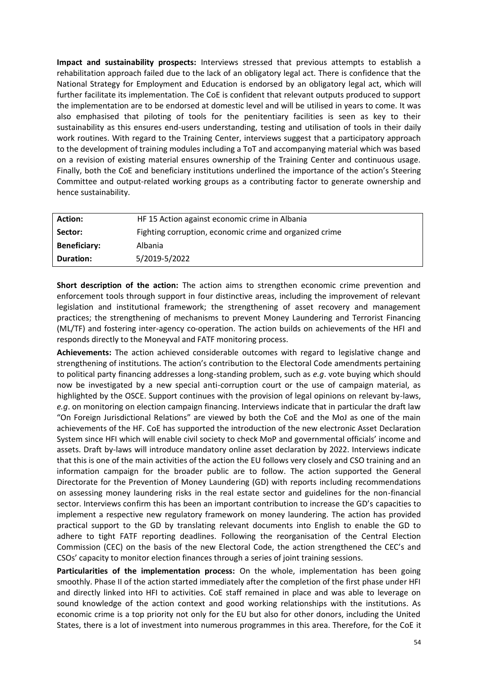**Impact and sustainability prospects:** Interviews stressed that previous attempts to establish a rehabilitation approach failed due to the lack of an obligatory legal act. There is confidence that the National Strategy for Employment and Education is endorsed by an obligatory legal act, which will further facilitate its implementation. The CoE is confident that relevant outputs produced to support the implementation are to be endorsed at domestic level and will be utilised in years to come. It was also emphasised that piloting of tools for the penitentiary facilities is seen as key to their sustainability as this ensures end-users understanding, testing and utilisation of tools in their daily work routines. With regard to the Training Center, interviews suggest that a participatory approach to the development of training modules including a ToT and accompanying material which was based on a revision of existing material ensures ownership of the Training Center and continuous usage. Finally, both the CoE and beneficiary institutions underlined the importance of the action's Steering Committee and output-related working groups as a contributing factor to generate ownership and hence sustainability.

| <b>Action:</b>      | HF 15 Action against economic crime in Albania          |
|---------------------|---------------------------------------------------------|
| Sector:             | Fighting corruption, economic crime and organized crime |
| <b>Beneficiary:</b> | <b>Albania</b>                                          |
| Duration:           | 5/2019-5/2022                                           |

**Short description of the action:** The action aims to strengthen economic crime prevention and enforcement tools through support in four distinctive areas, including the improvement of relevant legislation and institutional framework; the strengthening of asset recovery and management practices; the strengthening of mechanisms to prevent Money Laundering and Terrorist Financing (ML/TF) and fostering inter-agency co-operation. The action builds on achievements of the HFI and responds directly to the Moneyval and FATF monitoring process.

**Achievements:** The action achieved considerable outcomes with regard to legislative change and strengthening of institutions. The action's contribution to the Electoral Code amendments pertaining to political party financing addresses a long-standing problem, such as *e.g*. vote buying which should now be investigated by a new special anti-corruption court or the use of campaign material, as highlighted by the OSCE. Support continues with the provision of legal opinions on relevant by-laws, *e.g*. on monitoring on election campaign financing. Interviews indicate that in particular the draft law "On Foreign Jurisdictional Relations" are viewed by both the CoE and the MoJ as one of the main achievements of the HF. CoE has supported the introduction of the new electronic Asset Declaration System since HFI which will enable civil society to check MoP and governmental officials' income and assets. Draft by-laws will introduce mandatory online asset declaration by 2022. Interviews indicate that this is one of the main activities of the action the EU follows very closely and CSO training and an information campaign for the broader public are to follow. The action supported the General Directorate for the Prevention of Money Laundering (GD) with reports including recommendations on assessing money laundering risks in the real estate sector and guidelines for the non-financial sector. Interviews confirm this has been an important contribution to increase the GD's capacities to implement a respective new regulatory framework on money laundering. The action has provided practical support to the GD by translating relevant documents into English to enable the GD to adhere to tight FATF reporting deadlines. Following the reorganisation of the Central Election Commission (CEC) on the basis of the new Electoral Code, the action strengthened the CEC's and CSOs' capacity to monitor election finances through a series of joint training sessions.

**Particularities of the implementation process:** On the whole, implementation has been going smoothly. Phase II of the action started immediately after the completion of the first phase under HFI and directly linked into HFI to activities. CoE staff remained in place and was able to leverage on sound knowledge of the action context and good working relationships with the institutions. As economic crime is a top priority not only for the EU but also for other donors, including the United States, there is a lot of investment into numerous programmes in this area. Therefore, for the CoE it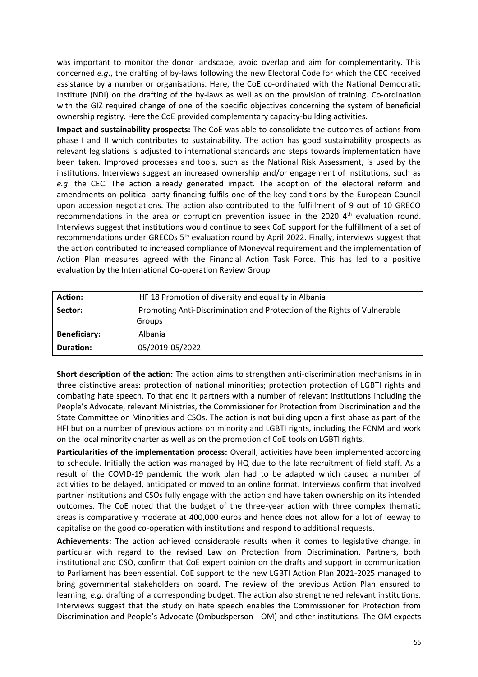was important to monitor the donor landscape, avoid overlap and aim for complementarity. This concerned *e.g*., the drafting of by-laws following the new Electoral Code for which the CEC received assistance by a number or organisations. Here, the CoE co-ordinated with the National Democratic Institute (NDI) on the drafting of the by-laws as well as on the provision of training. Co-ordination with the GIZ required change of one of the specific objectives concerning the system of beneficial ownership registry. Here the CoE provided complementary capacity-building activities.

**Impact and sustainability prospects:** The CoE was able to consolidate the outcomes of actions from phase I and II which contributes to sustainability. The action has good sustainability prospects as relevant legislations is adjusted to international standards and steps towards implementation have been taken. Improved processes and tools, such as the National Risk Assessment, is used by the institutions. Interviews suggest an increased ownership and/or engagement of institutions, such as *e.g*. the CEC. The action already generated impact. The adoption of the electoral reform and amendments on political party financing fulfils one of the key conditions by the European Council upon accession negotiations. The action also contributed to the fulfillment of 9 out of 10 GRECO recommendations in the area or corruption prevention issued in the 2020  $4<sup>th</sup>$  evaluation round. Interviews suggest that institutions would continue to seek CoE support for the fulfillment of a set of recommendations under GRECOs  $5<sup>th</sup>$  evaluation round by April 2022. Finally, interviews suggest that the action contributed to increased compliance of Moneyval requirement and the implementation of Action Plan measures agreed with the Financial Action Task Force. This has led to a positive evaluation by the International Co-operation Review Group.

| Action:             | HF 18 Promotion of diversity and equality in Albania                                      |
|---------------------|-------------------------------------------------------------------------------------------|
| Sector:             | Promoting Anti-Discrimination and Protection of the Rights of Vulnerable<br><b>Groups</b> |
| <b>Beneficiary:</b> | <b>Albania</b>                                                                            |
| <b>Duration:</b>    | 05/2019-05/2022                                                                           |

**Short description of the action:** The action aims to strengthen anti-discrimination mechanisms in in three distinctive areas: protection of national minorities; protection protection of LGBTI rights and combating hate speech. To that end it partners with a number of relevant institutions including the People's Advocate, relevant Ministries, the Commissioner for Protection from Discrimination and the State Committee on Minorities and CSOs. The action is not building upon a first phase as part of the HFI but on a number of previous actions on minority and LGBTI rights, including the FCNM and work on the local minority charter as well as on the promotion of CoE tools on LGBTI rights.

**Particularities of the implementation process:** Overall, activities have been implemented according to schedule. Initially the action was managed by HQ due to the late recruitment of field staff. As a result of the COVID-19 pandemic the work plan had to be adapted which caused a number of activities to be delayed, anticipated or moved to an online format. Interviews confirm that involved partner institutions and CSOs fully engage with the action and have taken ownership on its intended outcomes. The CoE noted that the budget of the three-year action with three complex thematic areas is comparatively moderate at 400,000 euros and hence does not allow for a lot of leeway to capitalise on the good co-operation with institutions and respond to additional requests.

**Achievements:** The action achieved considerable results when it comes to legislative change, in particular with regard to the revised Law on Protection from Discrimination. Partners, both institutional and CSO, confirm that CoE expert opinion on the drafts and support in communication to Parliament has been essential. CoE support to the new LGBTI Action Plan 2021-2025 managed to bring governmental stakeholders on board. The review of the previous Action Plan ensured to learning, *e.g*. drafting of a corresponding budget. The action also strengthened relevant institutions. Interviews suggest that the study on hate speech enables the Commissioner for Protection from Discrimination and People's Advocate (Ombudsperson - OM) and other institutions. The OM expects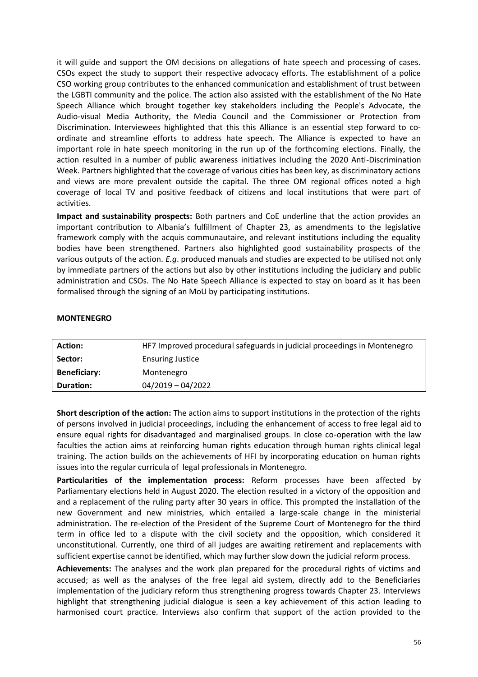it will guide and support the OM decisions on allegations of hate speech and processing of cases. CSOs expect the study to support their respective advocacy efforts. The establishment of a police CSO working group contributes to the enhanced communication and establishment of trust between the LGBTI community and the police. The action also assisted with the establishment of the No Hate Speech Alliance which brought together key stakeholders including the People's Advocate, the Audio-visual Media Authority, the Media Council and the Commissioner or Protection from Discrimination. Interviewees highlighted that this this Alliance is an essential step forward to coordinate and streamline efforts to address hate speech. The Alliance is expected to have an important role in hate speech monitoring in the run up of the forthcoming elections. Finally, the action resulted in a number of public awareness initiatives including the 2020 Anti-Discrimination Week. Partners highlighted that the coverage of various cities has been key, as discriminatory actions and views are more prevalent outside the capital. The three OM regional offices noted a high coverage of local TV and positive feedback of citizens and local institutions that were part of activities.

**Impact and sustainability prospects:** Both partners and CoE underline that the action provides an important contribution to Albania's fulfillment of Chapter 23, as amendments to the legislative framework comply with the acquis communautaire, and relevant institutions including the equality bodies have been strengthened. Partners also highlighted good sustainability prospects of the various outputs of the action. *E.g*. produced manuals and studies are expected to be utilised not only by immediate partners of the actions but also by other institutions including the judiciary and public administration and CSOs. The No Hate Speech Alliance is expected to stay on board as it has been formalised through the signing of an MoU by participating institutions.

#### **MONTENEGRO**

| <b>Action:</b>      | HF7 Improved procedural safeguards in judicial proceedings in Montenegro |
|---------------------|--------------------------------------------------------------------------|
| Sector:             | <b>Ensuring Justice</b>                                                  |
| <b>Beneficiary:</b> | Montenegro                                                               |
| <b>Duration:</b>    | $04/2019 - 04/2022$                                                      |
|                     |                                                                          |

**Short description of the action:** The action aims to support institutions in the protection of the rights of persons involved in judicial proceedings, including the enhancement of access to free legal aid to ensure equal rights for disadvantaged and marginalised groups. In close co-operation with the law faculties the action aims at reinforcing human rights education through human rights clinical legal training. The action builds on the achievements of HFI by incorporating education on human rights issues into the regular curricula of legal professionals in Montenegro.

**Particularities of the implementation process:** Reform processes have been affected by Parliamentary elections held in August 2020. The election resulted in a victory of the opposition and and a replacement of the ruling party after 30 years in office. This prompted the installation of the new Government and new ministries, which entailed a large-scale change in the ministerial administration. The re-election of the President of the Supreme Court of Montenegro for the third term in office led to a dispute with the civil society and the opposition, which considered it unconstitutional. Currently, one third of all judges are awaiting retirement and replacements with sufficient expertise cannot be identified, which may further slow down the judicial reform process.

**Achievements:** The analyses and the work plan prepared for the procedural rights of victims and accused; as well as the analyses of the free legal aid system, directly add to the Beneficiaries implementation of the judiciary reform thus strengthening progress towards Chapter 23. Interviews highlight that strengthening judicial dialogue is seen a key achievement of this action leading to harmonised court practice. Interviews also confirm that support of the action provided to the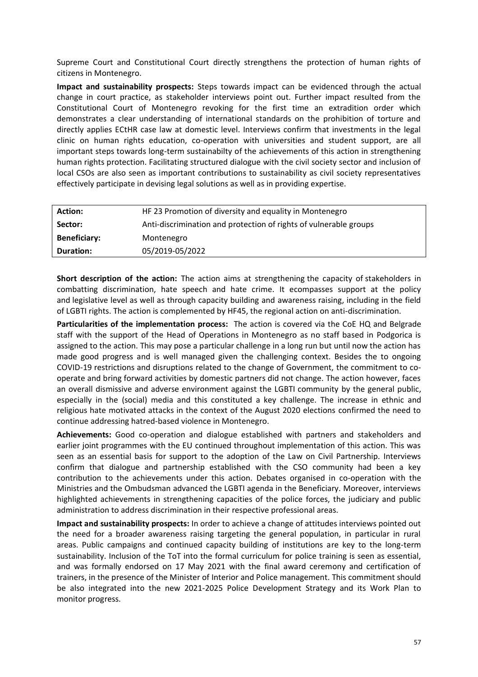Supreme Court and Constitutional Court directly strengthens the protection of human rights of citizens in Montenegro.

**Impact and sustainability prospects:** Steps towards impact can be evidenced through the actual change in court practice, as stakeholder interviews point out. Further impact resulted from the Constitutional Court of Montenegro revoking for the first time an extradition order which demonstrates a clear understanding of international standards on the prohibition of torture and directly applies ECtHR case law at domestic level. Interviews confirm that investments in the legal clinic on human rights education, co-operation with universities and student support, are all important steps towards long-term sustainabilty of the achievements of this action in strengthening human rights protection. Facilitating structured dialogue with the civil society sector and inclusion of local CSOs are also seen as important contributions to sustainability as civil society representatives effectively participate in devising legal solutions as well as in providing expertise.

| <b>Action:</b>      | HF 23 Promotion of diversity and equality in Montenegro           |
|---------------------|-------------------------------------------------------------------|
| Sector:             | Anti-discrimination and protection of rights of vulnerable groups |
| <b>Beneficiary:</b> | Montenegro                                                        |
| <b>Duration:</b>    | 05/2019-05/2022                                                   |

**Short description of the action:** The action aims at strengthening the capacity of stakeholders in combatting discrimination, hate speech and hate crime. It ecompasses support at the policy and legislative level as well as through capacity building and awareness raising, including in the field of LGBTI rights. The action is complemented by HF45, the regional action on anti-discrimination.

**Particularities of the implementation process:** The action is covered via the CoE HQ and Belgrade staff with the support of the Head of Operations in Montenegro as no staff based in Podgorica is assigned to the action. This may pose a particular challenge in a long run but until now the action has made good progress and is well managed given the challenging context. Besides the to ongoing COVID-19 restrictions and disruptions related to the change of Government, the commitment to cooperate and bring forward activities by domestic partners did not change. The action however, faces an overall dismissive and adverse environment against the LGBTI community by the general public, especially in the (social) media and this constituted a key challenge. The increase in ethnic and religious hate motivated attacks in the context of the August 2020 elections confirmed the need to continue addressing hatred-based violence in Montenegro.

**Achievements:** Good co-operation and dialogue established with partners and stakeholders and earlier joint programmes with the EU continued throughout implementation of this action. This was seen as an essential basis for support to the adoption of the Law on Civil Partnership. Interviews confirm that dialogue and partnership established with the CSO community had been a key contribution to the achievements under this action. Debates organised in co-operation with the Ministries and the Ombudsman advanced the LGBTI agenda in the Beneficiary. Moreover, interviews highlighted achievements in strengthening capacities of the police forces, the judiciary and public administration to address discrimination in their respective professional areas.

**Impact and sustainability prospects:** In order to achieve a change of attitudes interviews pointed out the need for a broader awareness raising targeting the general population, in particular in rural areas. Public campaigns and continued capacity building of institutions are key to the long-term sustainability. Inclusion of the ToT into the formal curriculum for police training is seen as essential, and was formally endorsed on 17 May 2021 with the final award ceremony and certification of trainers, in the presence of the Minister of Interior and Police management. This commitment should be also integrated into the new 2021-2025 Police Development Strategy and its Work Plan to monitor progress.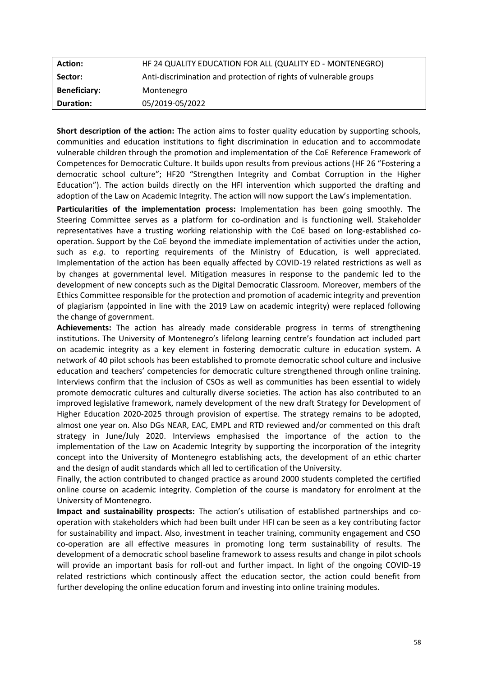| <b>Action:</b>      | HF 24 QUALITY EDUCATION FOR ALL (QUALITY ED - MONTENEGRO)         |
|---------------------|-------------------------------------------------------------------|
| Sector:             | Anti-discrimination and protection of rights of vulnerable groups |
| <b>Beneficiary:</b> | Montenegro                                                        |
| <b>Duration:</b>    | 05/2019-05/2022                                                   |

**Short description of the action:** The action aims to foster quality education by supporting schools, communities and education institutions to fight discrimination in education and to accommodate vulnerable children through the promotion and implementation of the CoE Reference Framework of Competences for Democratic Culture. It builds upon results from previous actions (HF 26 "Fostering a democratic school culture"; HF20 "Strengthen Integrity and Combat Corruption in the Higher Education"). The action builds directly on the HFI intervention which supported the drafting and adoption of the Law on Academic Integrity. The action will now support the Law's implementation.

**Particularities of the implementation process:** Implementation has been going smoothly. The Steering Committee serves as a platform for co-ordination and is functioning well. Stakeholder representatives have a trusting working relationship with the CoE based on long-established cooperation. Support by the CoE beyond the immediate implementation of activities under the action, such as *e.g*. to reporting requirements of the Ministry of Education, is well appreciated. Implementation of the action has been equally affected by COVID-19 related restrictions as well as by changes at governmental level. Mitigation measures in response to the pandemic led to the development of new concepts such as the Digital Democratic Classroom. Moreover, members of the Ethics Committee responsible for the protection and promotion of academic integrity and prevention of plagiarism (appointed in line with the 2019 Law on academic integrity) were replaced following the change of government.

**Achievements:** The action has already made considerable progress in terms of strengthening institutions. The University of Montenegro's lifelong learning centre's foundation act included part on academic integrity as a key element in fostering democratic culture in education system. A network of 40 pilot schools has been established to promote democratic school culture and inclusive education and teachers' competencies for democratic culture strengthened through online training. Interviews confirm that the inclusion of CSOs as well as communities has been essential to widely promote democratic cultures and culturally diverse societies. The action has also contributed to an improved legislative framework, namely development of the new draft Strategy for Development of Higher Education 2020-2025 through provision of expertise. The strategy remains to be adopted, almost one year on. Also DGs NEAR, EAC, EMPL and RTD reviewed and/or commented on this draft strategy in June/July 2020. Interviews emphasised the importance of the action to the implementation of the Law on Academic Integrity by supporting the incorporation of the integrity concept into the University of Montenegro establishing acts, the development of an ethic charter and the design of audit standards which all led to certification of the University.

Finally, the action contributed to changed practice as around 2000 students completed the certified online course on academic integrity. Completion of the course is mandatory for enrolment at the University of Montenegro.

**Impact and sustainability prospects:** The action's utilisation of established partnerships and cooperation with stakeholders which had been built under HFI can be seen as a key contributing factor for sustainability and impact. Also, investment in teacher training, community engagement and CSO co-operation are all effective measures in promoting long term sustainability of results. The development of a democratic school baseline framework to assess results and change in pilot schools will provide an important basis for roll-out and further impact. In light of the ongoing COVID-19 related restrictions which continously affect the education sector, the action could benefit from further developing the online education forum and investing into online training modules.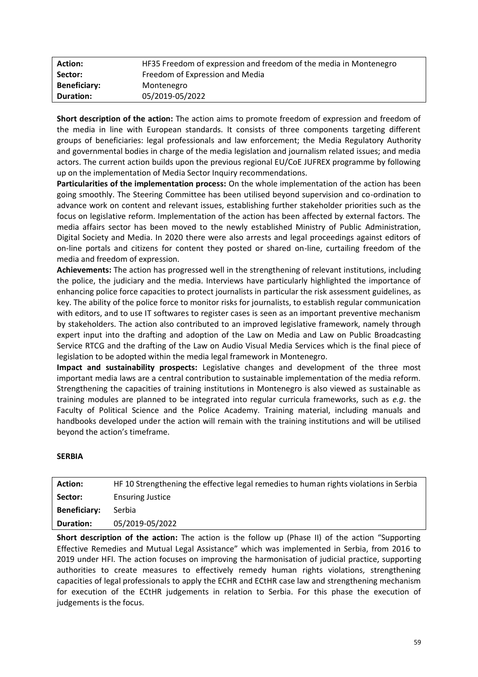| <b>Action:</b>      | HF35 Freedom of expression and freedom of the media in Montenegro |
|---------------------|-------------------------------------------------------------------|
| Sector:             | Freedom of Expression and Media                                   |
| <b>Beneficiary:</b> | Montenegro                                                        |
| Duration:           | 05/2019-05/2022                                                   |

**Short description of the action:** The action aims to promote freedom of expression and freedom of the media in line with European standards. It consists of three components targeting different groups of beneficiaries: legal professionals and law enforcement; the Media Regulatory Authority and governmental bodies in charge of the media legislation and journalism related issues; and media actors. The current action builds upon the previous regional EU/CoE JUFREX programme by following up on the implementation of Media Sector Inquiry recommendations.

**Particularities of the implementation process:** On the whole implementation of the action has been going smoothly. The Steering Committee has been utilised beyond supervision and co-ordination to advance work on content and relevant issues, establishing further stakeholder priorities such as the focus on legislative reform. Implementation of the action has been affected by external factors. The media affairs sector has been moved to the newly established Ministry of Public Administration, Digital Society and Media. In 2020 there were also arrests and legal proceedings against editors of on-line portals and citizens for content they posted or shared on-line, curtailing freedom of the media and freedom of expression.

**Achievements:** The action has progressed well in the strengthening of relevant institutions, including the police, the judiciary and the media. Interviews have particularly highlighted the importance of enhancing police force capacities to protect journalists in particular the risk assessment guidelines, as key. The ability of the police force to monitor risks for journalists, to establish regular communication with editors, and to use IT softwares to register cases is seen as an important preventive mechanism by stakeholders. The action also contributed to an improved legislative framework, namely through expert input into the drafting and adoption of the Law on Media and Law on Public Broadcasting Service RTCG and the drafting of the Law on Audio Visual Media Services which is the final piece of legislation to be adopted within the media legal framework in Montenegro.

**Impact and sustainability prospects:** Legislative changes and development of the three most important media laws are a central contribution to sustainable implementation of the media reform. Strengthening the capacities of training institutions in Montenegro is also viewed as sustainable as training modules are planned to be integrated into regular curricula frameworks, such as *e.g*. the Faculty of Political Science and the Police Academy. Training material, including manuals and handbooks developed under the action will remain with the training institutions and will be utilised beyond the action's timeframe.

# **SERBIA**

| <b>Action:</b>      | HF 10 Strengthening the effective legal remedies to human rights violations in Serbia |
|---------------------|---------------------------------------------------------------------------------------|
| Sector:             | <b>Ensuring Justice</b>                                                               |
| <b>Beneficiary:</b> | Serbia                                                                                |
| <b>Duration:</b>    | 05/2019-05/2022                                                                       |

**Short description of the action:** The action is the follow up (Phase II) of the action "Supporting Effective Remedies and Mutual Legal Assistance" which was implemented in Serbia, from 2016 to 2019 under HFI. The action focuses on improving the harmonisation of judicial practice, supporting authorities to create measures to effectively remedy human rights violations, strengthening capacities of legal professionals to apply the ECHR and ECtHR case law and strengthening mechanism for execution of the ECtHR judgements in relation to Serbia. For this phase the execution of judgements is the focus.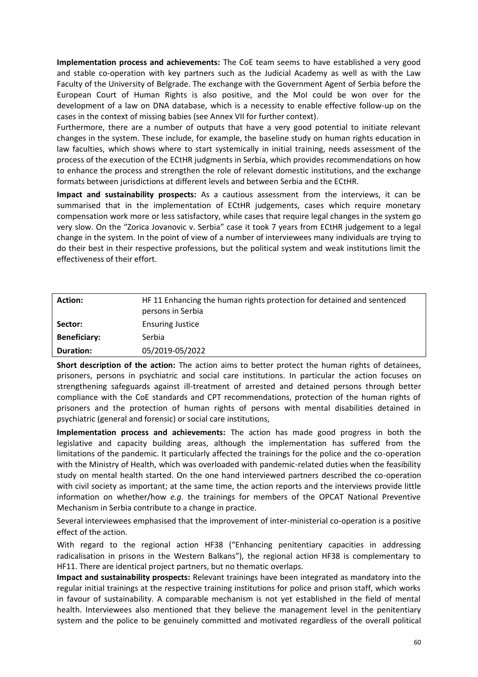**Implementation process and achievements:** The CoE team seems to have established a very good and stable co-operation with key partners such as the Judicial Academy as well as with the Law Faculty of the University of Belgrade. The exchange with the Government Agent of Serbia before the European Court of Human Rights is also positive, and the MoI could be won over for the development of a law on DNA database, which is a necessity to enable effective follow-up on the cases in the context of missing babies (see Annex VII for further context).

Furthermore, there are a number of outputs that have a very good potential to initiate relevant changes in the system. These include, for example, the baseline study on human rights education in law faculties, which shows where to start systemically in initial training, needs assessment of the process of the execution of the ECtHR judgments in Serbia, which provides recommendations on how to enhance the process and strengthen the role of relevant domestic institutions, and the exchange formats between jurisdictions at different levels and between Serbia and the ECtHR.

**Impact and sustainability prospects:** As a cautious assessment from the interviews, it can be summarised that in the implementation of ECtHR judgements, cases which require monetary compensation work more or less satisfactory, while cases that require legal changes in the system go very slow. On the "Zorica Jovanovic v. Serbia" case it took 7 years from ECtHR judgement to a legal change in the system. In the point of view of a number of interviewees many individuals are trying to do their best in their respective professions, but the political system and weak institutions limit the effectiveness of their effort.

| <b>Action:</b>      | HF 11 Enhancing the human rights protection for detained and sentenced<br>persons in Serbia |
|---------------------|---------------------------------------------------------------------------------------------|
| Sector:             | <b>Ensuring Justice</b>                                                                     |
| <b>Beneficiary:</b> | Serbia                                                                                      |
| <b>Duration:</b>    | 05/2019-05/2022                                                                             |

**Short description of the action:** The action aims to better protect the human rights of detainees, prisoners, persons in psychiatric and social care institutions. In particular the action focuses on strengthening safeguards against ill-treatment of arrested and detained persons through better compliance with the CoE standards and CPT recommendations, protection of the human rights of prisoners and the protection of human rights of persons with mental disabilities detained in psychiatric (general and forensic) or social care institutions,

**Implementation process and achievements:** The action has made good progress in both the legislative and capacity building areas, although the implementation has suffered from the limitations of the pandemic. It particularly affected the trainings for the police and the co-operation with the Ministry of Health, which was overloaded with pandemic-related duties when the feasibility study on mental health started. On the one hand interviewed partners described the co-operation with civil society as important; at the same time, the action reports and the interviews provide little information on whether/how *e.g.* the trainings for members of the OPCAT National Preventive Mechanism in Serbia contribute to a change in practice.

Several interviewees emphasised that the improvement of inter-ministerial co-operation is a positive effect of the action.

With regard to the regional action HF38 ("Enhancing penitentiary capacities in addressing radicalisation in prisons in the Western Balkans"), the regional action HF38 is complementary to HF11. There are identical project partners, but no thematic overlaps.

**Impact and sustainability prospects:** Relevant trainings have been integrated as mandatory into the regular initial trainings at the respective training institutions for police and prison staff, which works in favour of sustainability. A comparable mechanism is not yet established in the field of mental health. Interviewees also mentioned that they believe the management level in the penitentiary system and the police to be genuinely committed and motivated regardless of the overall political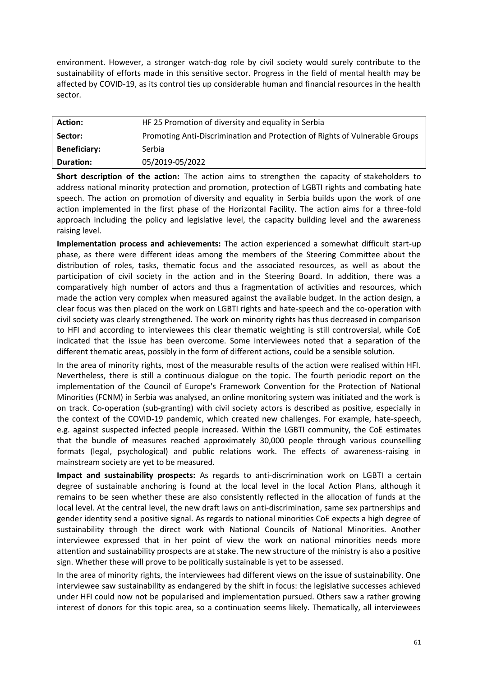environment. However, a stronger watch-dog role by civil society would surely contribute to the sustainability of efforts made in this sensitive sector. Progress in the field of mental health may be affected by COVID-19, as its control ties up considerable human and financial resources in the health sector.

| <b>Action:</b>      | HF 25 Promotion of diversity and equality in Serbia                         |
|---------------------|-----------------------------------------------------------------------------|
| Sector:             | Promoting Anti-Discrimination and Protection of Rights of Vulnerable Groups |
| <b>Beneficiary:</b> | Serbia                                                                      |
| <b>Duration:</b>    | 05/2019-05/2022                                                             |

**Short description of the action:** The action aims to strengthen the capacity of stakeholders to address national minority protection and promotion, protection of LGBTI rights and combating hate speech. The action on promotion of diversity and equality in Serbia builds upon the work of one action implemented in the first phase of the Horizontal Facility. The action aims for a three-fold approach including the policy and legislative level, the capacity building level and the awareness raising level.

**Implementation process and achievements:** The action experienced a somewhat difficult start-up phase, as there were different ideas among the members of the Steering Committee about the distribution of roles, tasks, thematic focus and the associated resources, as well as about the participation of civil society in the action and in the Steering Board. In addition, there was a comparatively high number of actors and thus a fragmentation of activities and resources, which made the action very complex when measured against the available budget. In the action design, a clear focus was then placed on the work on LGBTI rights and hate-speech and the co-operation with civil society was clearly strengthened. The work on minority rights has thus decreased in comparison to HFI and according to interviewees this clear thematic weighting is still controversial, while CoE indicated that the issue has been overcome. Some interviewees noted that a separation of the different thematic areas, possibly in the form of different actions, could be a sensible solution.

In the area of minority rights, most of the measurable results of the action were realised within HFI. Nevertheless, there is still a continuous dialogue on the topic. The fourth periodic report on the implementation of the Council of Europe's Framework Convention for the Protection of National Minorities (FCNM) in Serbia was analysed, an online monitoring system was initiated and the work is on track. Co-operation (sub-granting) with civil society actors is described as positive, especially in the context of the COVID-19 pandemic, which created new challenges. For example, hate-speech, e.g. against suspected infected people increased. Within the LGBTI community, the CoE estimates that the bundle of measures reached approximately 30,000 people through various counselling formats (legal, psychological) and public relations work. The effects of awareness-raising in mainstream society are yet to be measured.

**Impact and sustainability prospects:** As regards to anti-discrimination work on LGBTI a certain degree of sustainable anchoring is found at the local level in the local Action Plans, although it remains to be seen whether these are also consistently reflected in the allocation of funds at the local level. At the central level, the new draft laws on anti-discrimination, same sex partnerships and gender identity send a positive signal. As regards to national minorities CoE expects a high degree of sustainability through the direct work with National Councils of National Minorities. Another interviewee expressed that in her point of view the work on national minorities needs more attention and sustainability prospects are at stake. The new structure of the ministry is also a positive sign. Whether these will prove to be politically sustainable is yet to be assessed.

In the area of minority rights, the interviewees had different views on the issue of sustainability. One interviewee saw sustainability as endangered by the shift in focus: the legislative successes achieved under HFI could now not be popularised and implementation pursued. Others saw a rather growing interest of donors for this topic area, so a continuation seems likely. Thematically, all interviewees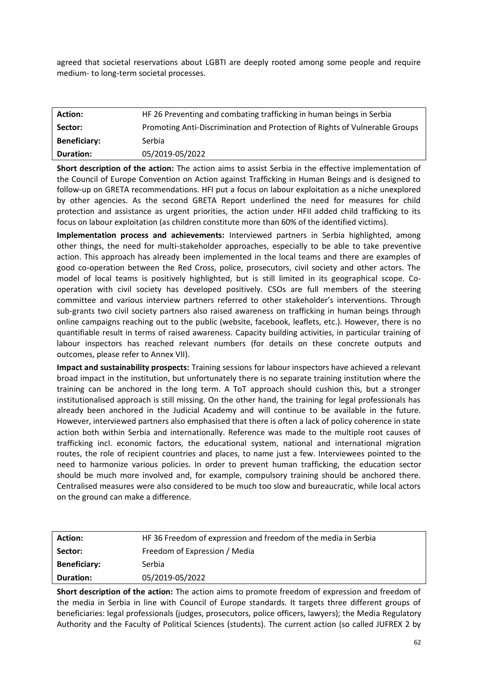agreed that societal reservations about LGBTI are deeply rooted among some people and require medium- to long-term societal processes.

| <b>Action:</b>      | HF 26 Preventing and combating trafficking in human beings in Serbia        |
|---------------------|-----------------------------------------------------------------------------|
| Sector:             | Promoting Anti-Discrimination and Protection of Rights of Vulnerable Groups |
| <b>Beneficiary:</b> | Serbia                                                                      |
| <b>Duration:</b>    | 05/2019-05/2022                                                             |

**Short description of the action:** The action aims to assist Serbia in the effective implementation of the Council of Europe Convention on Action against Trafficking in Human Beings and is designed to follow-up on GRETA recommendations. HFI put a focus on labour exploitation as a niche unexplored by other agencies. As the second GRETA Report underlined the need for measures for child protection and assistance as urgent priorities, the action under HFII added child trafficking to its focus on labour exploitation (as children constitute more than 60% of the identified victims).

**Implementation process and achievements:** Interviewed partners in Serbia highlighted, among other things, the need for multi-stakeholder approaches, especially to be able to take preventive action. This approach has already been implemented in the local teams and there are examples of good co-operation between the Red Cross, police, prosecutors, civil society and other actors. The model of local teams is positively highlighted, but is still limited in its geographical scope. Cooperation with civil society has developed positively. CSOs are full members of the steering committee and various interview partners referred to other stakeholder's interventions. Through sub-grants two civil society partners also raised awareness on trafficking in human beings through online campaigns reaching out to the public (website, facebook, leaflets, etc.). However, there is no quantifiable result in terms of raised awareness. Capacity building activities, in particular training of labour inspectors has reached relevant numbers (for details on these concrete outputs and outcomes, please refer to Annex VII).

**Impact and sustainability prospects:** Training sessions for labour inspectors have achieved a relevant broad impact in the institution, but unfortunately there is no separate training institution where the training can be anchored in the long term. A ToT approach should cushion this, but a stronger institutionalised approach is still missing. On the other hand, the training for legal professionals has already been anchored in the Judicial Academy and will continue to be available in the future. However, interviewed partners also emphasised that there is often a lack of policy coherence in state action both within Serbia and internationally. Reference was made to the multiple root causes of trafficking incl. economic factors, the educational system, national and international migration routes, the role of recipient countries and places, to name just a few. Interviewees pointed to the need to harmonize various policies. In order to prevent human trafficking, the education sector should be much more involved and, for example, compulsory training should be anchored there. Centralised measures were also considered to be much too slow and bureaucratic, while local actors on the ground can make a difference.

| <b>Action:</b>      | HF 36 Freedom of expression and freedom of the media in Serbia |
|---------------------|----------------------------------------------------------------|
| Sector:             | Freedom of Expression / Media                                  |
| <b>Beneficiary:</b> | Serbia                                                         |
| <b>Duration:</b>    | 05/2019-05/2022                                                |

**Short description of the action:** The action aims to promote freedom of expression and freedom of the media in Serbia in line with Council of Europe standards. It targets three different groups of beneficiaries: legal professionals (judges, prosecutors, police officers, lawyers); the Media Regulatory Authority and the Faculty of Political Sciences (students). The current action (so called JUFREX 2 by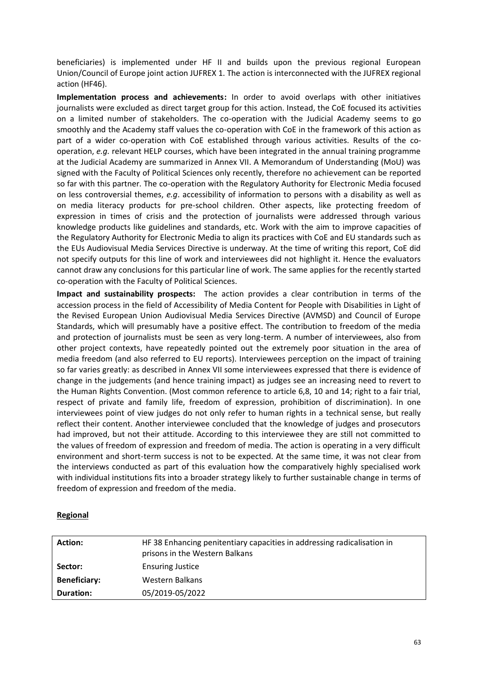beneficiaries) is implemented under HF II and builds upon the previous regional European Union/Council of Europe joint action JUFREX 1. The action is interconnected with the JUFREX regional action (HF46).

**Implementation process and achievements:** In order to avoid overlaps with other initiatives journalists were excluded as direct target group for this action. Instead, the CoE focused its activities on a limited number of stakeholders. The co-operation with the Judicial Academy seems to go smoothly and the Academy staff values the co-operation with CoE in the framework of this action as part of a wider co-operation with CoE established through various activities. Results of the cooperation, *e.g.* relevant HELP courses, which have been integrated in the annual training programme at the Judicial Academy are summarized in Annex VII. A Memorandum of Understanding (MoU) was signed with the Faculty of Political Sciences only recently, therefore no achievement can be reported so far with this partner. The co-operation with the Regulatory Authority for Electronic Media focused on less controversial themes, *e.g*. accessibility of information to persons with a disability as well as on media literacy products for pre-school children. Other aspects, like protecting freedom of expression in times of crisis and the protection of journalists were addressed through various knowledge products like guidelines and standards, etc. Work with the aim to improve capacities of the Regulatory Authority for Electronic Media to align its practices with CoE and EU standards such as the EUs Audiovisual Media Services Directive is underway. At the time of writing this report, CoE did not specify outputs for this line of work and interviewees did not highlight it. Hence the evaluators cannot draw any conclusions for this particular line of work. The same applies for the recently started co-operation with the Faculty of Political Sciences.

**Impact and sustainability prospects:** The action provides a clear contribution in terms of the accession process in the field of Accessibility of Media Content for People with Disabilities in Light of the Revised European Union Audiovisual Media Services Directive (AVMSD) and Council of Europe Standards, which will presumably have a positive effect. The contribution to freedom of the media and protection of journalists must be seen as very long-term. A number of interviewees, also from other project contexts, have repeatedly pointed out the extremely poor situation in the area of media freedom (and also referred to EU reports). Interviewees perception on the impact of training so far varies greatly: as described in Annex VII some interviewees expressed that there is evidence of change in the judgements (and hence training impact) as judges see an increasing need to revert to the Human Rights Convention. (Most common reference to article 6,8, 10 and 14; right to a fair trial, respect of private and family life, freedom of expression, prohibition of discrimination). In one interviewees point of view judges do not only refer to human rights in a technical sense, but really reflect their content. Another interviewee concluded that the knowledge of judges and prosecutors had improved, but not their attitude. According to this interviewee they are still not committed to the values of freedom of expression and freedom of media. The action is operating in a very difficult environment and short-term success is not to be expected. At the same time, it was not clear from the interviews conducted as part of this evaluation how the comparatively highly specialised work with individual institutions fits into a broader strategy likely to further sustainable change in terms of freedom of expression and freedom of the media.

# **Regional**

| <b>Action:</b>      | HF 38 Enhancing penitentiary capacities in addressing radicalisation in<br>prisons in the Western Balkans |
|---------------------|-----------------------------------------------------------------------------------------------------------|
| Sector:             | <b>Ensuring Justice</b>                                                                                   |
| <b>Beneficiary:</b> | Western Balkans                                                                                           |
| Duration:           | 05/2019-05/2022                                                                                           |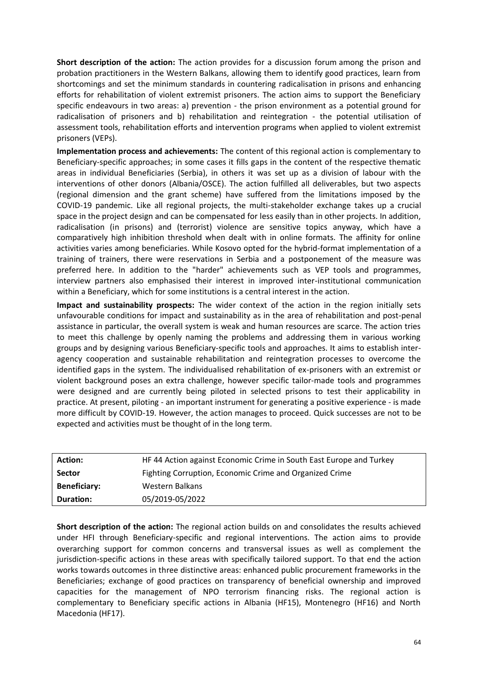**Short description of the action:** The action provides for a discussion forum among the prison and probation practitioners in the Western Balkans, allowing them to identify good practices, learn from shortcomings and set the minimum standards in countering radicalisation in prisons and enhancing efforts for rehabilitation of violent extremist prisoners. The action aims to support the Beneficiary specific endeavours in two areas: a) prevention - the prison environment as a potential ground for radicalisation of prisoners and b) rehabilitation and reintegration - the potential utilisation of assessment tools, rehabilitation efforts and intervention programs when applied to violent extremist prisoners (VEPs).

**Implementation process and achievements:** The content of this regional action is complementary to Beneficiary-specific approaches; in some cases it fills gaps in the content of the respective thematic areas in individual Beneficiaries (Serbia), in others it was set up as a division of labour with the interventions of other donors (Albania/OSCE). The action fulfilled all deliverables, but two aspects (regional dimension and the grant scheme) have suffered from the limitations imposed by the COVID-19 pandemic. Like all regional projects, the multi-stakeholder exchange takes up a crucial space in the project design and can be compensated for less easily than in other projects. In addition, radicalisation (in prisons) and (terrorist) violence are sensitive topics anyway, which have a comparatively high inhibition threshold when dealt with in online formats. The affinity for online activities varies among beneficiaries. While Kosovo opted for the hybrid-format implementation of a training of trainers, there were reservations in Serbia and a postponement of the measure was preferred here. In addition to the "harder" achievements such as VEP tools and programmes, interview partners also emphasised their interest in improved inter-institutional communication within a Beneficiary, which for some institutions is a central interest in the action.

**Impact and sustainability prospects:** The wider context of the action in the region initially sets unfavourable conditions for impact and sustainability as in the area of rehabilitation and post-penal assistance in particular, the overall system is weak and human resources are scarce. The action tries to meet this challenge by openly naming the problems and addressing them in various working groups and by designing various Beneficiary-specific tools and approaches. It aims to establish interagency cooperation and sustainable rehabilitation and reintegration processes to overcome the identified gaps in the system. The individualised rehabilitation of ex-prisoners with an extremist or violent background poses an extra challenge, however specific tailor-made tools and programmes were designed and are currently being piloted in selected prisons to test their applicability in practice. At present, piloting - an important instrument for generating a positive experience - is made more difficult by COVID-19. However, the action manages to proceed. Quick successes are not to be expected and activities must be thought of in the long term.

| <b>Action:</b>      | HF 44 Action against Economic Crime in South East Europe and Turkey |
|---------------------|---------------------------------------------------------------------|
| <b>Sector</b>       | Fighting Corruption, Economic Crime and Organized Crime             |
| <b>Beneficiary:</b> | Western Balkans                                                     |
| <b>Duration:</b>    | 05/2019-05/2022                                                     |

**Short description of the action:** The regional action builds on and consolidates the results achieved under HFI through Beneficiary-specific and regional interventions. The action aims to provide overarching support for common concerns and transversal issues as well as complement the jurisdiction-specific actions in these areas with specifically tailored support. To that end the action works towards outcomes in three distinctive areas: enhanced public procurement frameworks in the Beneficiaries; exchange of good practices on transparency of beneficial ownership and improved capacities for the management of NPO terrorism financing risks. The regional action is complementary to Beneficiary specific actions in Albania (HF15), Montenegro (HF16) and North Macedonia (HF17).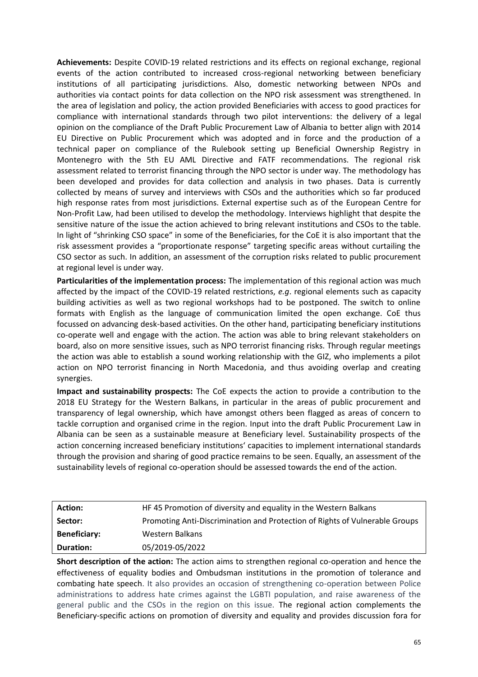**Achievements:** Despite COVID-19 related restrictions and its effects on regional exchange, regional events of the action contributed to increased cross-regional networking between beneficiary institutions of all participating jurisdictions. Also, domestic networking between NPOs and authorities via contact points for data collection on the NPO risk assessment was strengthened. In the area of legislation and policy, the action provided Beneficiaries with access to good practices for compliance with international standards through two pilot interventions: the delivery of a legal opinion on the compliance of the Draft Public Procurement Law of Albania to better align with 2014 EU Directive on Public Procurement which was adopted and in force and the production of a technical paper on compliance of the Rulebook setting up Beneficial Ownership Registry in Montenegro with the 5th EU AML Directive and FATF recommendations. The regional risk assessment related to terrorist financing through the NPO sector is under way. The methodology has been developed and provides for data collection and analysis in two phases. Data is currently collected by means of survey and interviews with CSOs and the authorities which so far produced high response rates from most jurisdictions. External expertise such as of the European Centre for Non-Profit Law, had been utilised to develop the methodology. Interviews highlight that despite the sensitive nature of the issue the action achieved to bring relevant institutions and CSOs to the table. In light of "shrinking CSO space" in some of the Beneficiaries, for the CoE it is also important that the risk assessment provides a "proportionate response" targeting specific areas without curtailing the CSO sector as such. In addition, an assessment of the corruption risks related to public procurement at regional level is under way.

**Particularities of the implementation process:** The implementation of this regional action was much affected by the impact of the COVID-19 related restrictions, *e.g*. regional elements such as capacity building activities as well as two regional workshops had to be postponed. The switch to online formats with English as the language of communication limited the open exchange. CoE thus focussed on advancing desk-based activities. On the other hand, participating beneficiary institutions co-operate well and engage with the action. The action was able to bring relevant stakeholders on board, also on more sensitive issues, such as NPO terrorist financing risks. Through regular meetings the action was able to establish a sound working relationship with the GIZ, who implements a pilot action on NPO terrorist financing in North Macedonia, and thus avoiding overlap and creating synergies.

**Impact and sustainability prospects:** The CoE expects the action to provide a contribution to the 2018 EU Strategy for the Western Balkans, in particular in the areas of public procurement and transparency of legal ownership, which have amongst others been flagged as areas of concern to tackle corruption and organised crime in the region. Input into the draft Public Procurement Law in Albania can be seen as a sustainable measure at Beneficiary level. Sustainability prospects of the action concerning increased beneficiary institutions' capacities to implement international standards through the provision and sharing of good practice remains to be seen. Equally, an assessment of the sustainability levels of regional co-operation should be assessed towards the end of the action.

| <b>Action:</b>      | HF45 Promotion of diversity and equality in the Western Balkans             |
|---------------------|-----------------------------------------------------------------------------|
| Sector:             | Promoting Anti-Discrimination and Protection of Rights of Vulnerable Groups |
| <b>Beneficiary:</b> | Western Balkans                                                             |
| <b>Duration:</b>    | 05/2019-05/2022                                                             |

**Short description of the action:** The action aims to strengthen regional co-operation and hence the effectiveness of equality bodies and Ombudsman institutions in the promotion of tolerance and combating hate speech. It also provides an occasion of strengthening co-operation between Police administrations to address hate crimes against the LGBTI population, and raise awareness of the general public and the CSOs in the region on this issue. The regional action complements the Beneficiary-specific actions on promotion of diversity and equality and provides discussion fora for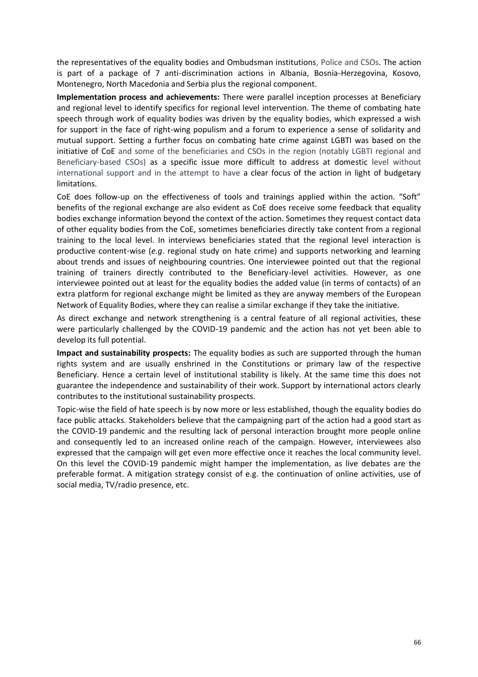the representatives of the equality bodies and Ombudsman institutions, Police and CSOs. The action is part of a package of 7 anti-discrimination actions in Albania, Bosnia-Herzegovina, Kosovo, Montenegro, North Macedonia and Serbia plus the regional component.

**Implementation process and achievements:** There were parallel inception processes at Beneficiary and regional level to identify specifics for regional level intervention. The theme of combating hate speech through work of equality bodies was driven by the equality bodies, which expressed a wish for support in the face of right-wing populism and a forum to experience a sense of solidarity and mutual support. Setting a further focus on combating hate crime against LGBTI was based on the initiative of CoE and some of the beneficiaries and CSOs in the region (notably LGBTI regional and Beneficiary-based CSOs) as a specific issue more difficult to address at domestic level without international support and in the attempt to have a clear focus of the action in light of budgetary limitations.

CoE does follow-up on the effectiveness of tools and trainings applied within the action. "Soft" benefits of the regional exchange are also evident as CoE does receive some feedback that equality bodies exchange information beyond the context of the action. Sometimes they request contact data of other equality bodies from the CoE, sometimes beneficiaries directly take content from a regional training to the local level. In interviews beneficiaries stated that the regional level interaction is productive content-wise (*e.g*. regional study on hate crime) and supports networking and learning about trends and issues of neighbouring countries. One interviewee pointed out that the regional training of trainers directly contributed to the Beneficiary-level activities. However, as one interviewee pointed out at least for the equality bodies the added value (in terms of contacts) of an extra platform for regional exchange might be limited as they are anyway members of the European Network of Equality Bodies, where they can realise a similar exchange if they take the initiative.

As direct exchange and network strengthening is a central feature of all regional activities, these were particularly challenged by the COVID-19 pandemic and the action has not yet been able to develop its full potential.

**Impact and sustainability prospects:** The equality bodies as such are supported through the human rights system and are usually enshrined in the Constitutions or primary law of the respective Beneficiary. Hence a certain level of institutional stability is likely. At the same time this does not guarantee the independence and sustainability of their work. Support by international actors clearly contributes to the institutional sustainability prospects.

Topic-wise the field of hate speech is by now more or less established, though the equality bodies do face public attacks. Stakeholders believe that the campaigning part of the action had a good start as the COVID-19 pandemic and the resulting lack of personal interaction brought more people online and consequently led to an increased online reach of the campaign. However, interviewees also expressed that the campaign will get even more effective once it reaches the local community level. On this level the COVID-19 pandemic might hamper the implementation, as live debates are the preferable format. A mitigation strategy consist of e.g. the continuation of online activities, use of social media, TV/radio presence, etc.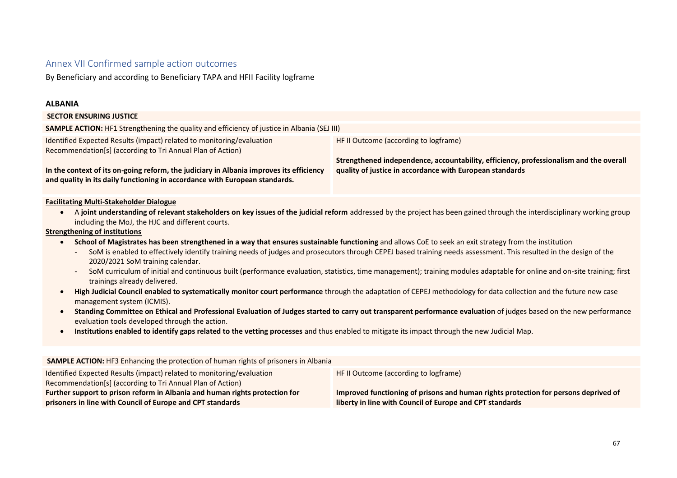# Annex VII Confirmed sample action outcomes

By Beneficiary and according to Beneficiary TAPA and HFII Facility logframe

## **ALBANIA**

| <b>SECTOR ENSURING JUSTICE</b>                                                                                                                                                                                                                                                                                                                                                                                                                                                                                                                                                                                                                                                                                                                                                                                                                                                                                                 |                                                                                                                                                                                             |  |
|--------------------------------------------------------------------------------------------------------------------------------------------------------------------------------------------------------------------------------------------------------------------------------------------------------------------------------------------------------------------------------------------------------------------------------------------------------------------------------------------------------------------------------------------------------------------------------------------------------------------------------------------------------------------------------------------------------------------------------------------------------------------------------------------------------------------------------------------------------------------------------------------------------------------------------|---------------------------------------------------------------------------------------------------------------------------------------------------------------------------------------------|--|
| SAMPLE ACTION: HF1 Strengthening the quality and efficiency of justice in Albania (SEJ III)                                                                                                                                                                                                                                                                                                                                                                                                                                                                                                                                                                                                                                                                                                                                                                                                                                    |                                                                                                                                                                                             |  |
| Identified Expected Results (impact) related to monitoring/evaluation<br>Recommendation[s] (according to Tri Annual Plan of Action)<br>In the context of its on-going reform, the judiciary in Albania improves its efficiency<br>and quality in its daily functioning in accordance with European standards.                                                                                                                                                                                                                                                                                                                                                                                                                                                                                                                                                                                                                  | HF II Outcome (according to logframe)<br>Strengthened independence, accountability, efficiency, professionalism and the overall<br>quality of justice in accordance with European standards |  |
| <b>Facilitating Multi-Stakeholder Dialogue</b><br>A joint understanding of relevant stakeholders on key issues of the judicial reform addressed by the project has been gained through the interdisciplinary working group<br>$\bullet$<br>including the MoJ, the HJC and different courts.<br><b>Strengthening of institutions</b><br>School of Magistrates has been strengthened in a way that ensures sustainable functioning and allows CoE to seek an exit strategy from the institution<br>$\bullet$<br>SoM is enabled to effectively identify training needs of judges and prosecutors through CEPEJ based training needs assessment. This resulted in the design of the<br>2020/2021 SoM training calendar.<br>SoM curriculum of initial and continuous built (performance evaluation, statistics, time management); training modules adaptable for online and on-site training; first<br>trainings already delivered. |                                                                                                                                                                                             |  |
| management system (ICMIS).                                                                                                                                                                                                                                                                                                                                                                                                                                                                                                                                                                                                                                                                                                                                                                                                                                                                                                     | High Judicial Council enabled to systematically monitor court performance through the adaptation of CEPEJ methodology for data collection and the future new case                           |  |

- **Standing Committee on Ethical and Professional Evaluation of Judges started to carry out transparent performance evaluation** of judges based on the new performance evaluation tools developed through the action.
- **Institutions enabled to identify gaps related to the vetting processes** and thus enabled to mitigate its impact through the new Judicial Map.

| <b>SAMPLE ACTION:</b> HF3 Enhancing the protection of human rights of prisoners in Albania |                                                                                     |  |
|--------------------------------------------------------------------------------------------|-------------------------------------------------------------------------------------|--|
|                                                                                            |                                                                                     |  |
| Identified Expected Results (impact) related to monitoring/evaluation                      | HF II Outcome (according to logframe)                                               |  |
| Recommendation[s] (according to Tri Annual Plan of Action)                                 |                                                                                     |  |
| Further support to prison reform in Albania and human rights protection for                | Improved functioning of prisons and human rights protection for persons deprived of |  |
| prisoners in line with Council of Europe and CPT standards                                 | liberty in line with Council of Europe and CPT standards                            |  |
|                                                                                            |                                                                                     |  |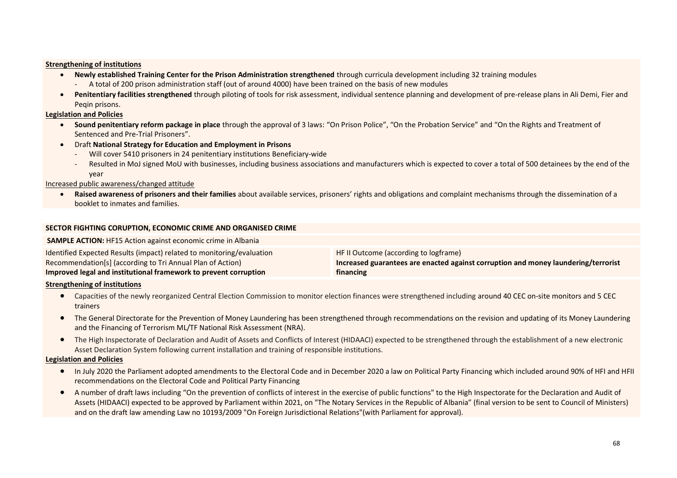#### **Strengthening of institutions**

- **Newly established Training Center for the Prison Administration strengthened** through curricula development including 32 training modules
	- A total of 200 prison administration staff (out of around 4000) have been trained on the basis of new modules
- **Penitentiary facilities strengthened** through piloting of tools for risk assessment, individual sentence planning and development of pre-release plans in Ali Demi, Fier and Peqin prisons.

#### **Legislation and Policies**

- **Sound penitentiary reform package in place** through the approval of 3 laws: "On Prison Police", "On the Probation Service" and "On the Rights and Treatment of Sentenced and Pre-Trial Prisoners".
- Draft **National Strategy for Education and Employment in Prisons**
	- Will cover 5410 prisoners in 24 penitentiary institutions Beneficiary-wide
	- Resulted in MoJ signed MoU with businesses, including business associations and manufacturers which is expected to cover a total of 500 detainees by the end of the year

#### Increased public awareness/changed attitude

**SAMPLE ACTION:** HF15 Action against economic crime in Albania

• **Raised awareness of prisoners and their families** about available services, prisoners' rights and obligations and complaint mechanisms through the dissemination of a booklet to inmates and families.

#### **SECTOR FIGHTING CORUPTION, ECONOMIC CRIME AND ORGANISED CRIME**

| Increased guarantees are enacted against corruption and money laundering/terrorist |
|------------------------------------------------------------------------------------|
|                                                                                    |
|                                                                                    |

#### **Strengthening of institutions**

- Capacities of the newly reorganized Central Election Commission to monitor election finances were strengthened including around 40 CEC on-site monitors and 5 CEC trainers
- The General Directorate for the Prevention of Money Laundering has been strengthened through recommendations on the revision and updating of its Money Laundering and the Financing of Terrorism ML/TF National Risk Assessment (NRA).
- The High Inspectorate of Declaration and Audit of Assets and Conflicts of Interest (HIDAACI) expected to be strengthened through the establishment of a new electronic Asset Declaration System following current installation and training of responsible institutions.

#### **Legislation and Policies**

- In July 2020 the Parliament adopted amendments to the Electoral Code and in December 2020 a law on Political Party Financing which included around 90% of HFI and HFII recommendations on the Electoral Code and Political Party Financing
- A number of draft laws including "On the prevention of conflicts of interest in the exercise of public functions" to the High Inspectorate for the Declaration and Audit of Assets (HIDAACI) expected to be approved by Parliament within 2021, on "The Notary Services in the Republic of Albania" (final version to be sent to Council of Ministers) and on the draft law amending Law no 10193/2009 "On Foreign Jurisdictional Relations"(with Parliament for approval).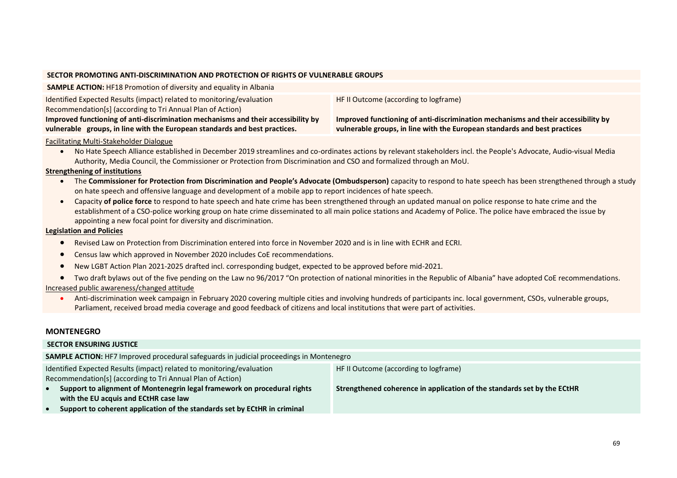#### **SECTOR PROMOTING ANTI-DISCRIMINATION AND PROTECTION OF RIGHTS OF VULNERABLE GROUPS**

| <b>SAMPLE ACTION: HF18 Promotion of diversity and equality in Albania</b>         |                                                                                   |
|-----------------------------------------------------------------------------------|-----------------------------------------------------------------------------------|
| Identified Expected Results (impact) related to monitoring/evaluation             | HF II Outcome (according to logframe)                                             |
| Recommendation[s] (according to Tri Annual Plan of Action)                        |                                                                                   |
| Improved functioning of anti-discrimination mechanisms and their accessibility by | Improved functioning of anti-discrimination mechanisms and their accessibility by |
| vulnerable groups, in line with the European standards and best practices.        | vulnerable groups, in line with the European standards and best practices         |
| Eacilitating Multi Stakeholder Dialogue                                           |                                                                                   |

#### Facilitating Multi-Stakeholder Dialogue

• No Hate Speech Alliance established in December 2019 streamlines and co-ordinates actions by relevant stakeholders incl. the People's Advocate, Audio-visual Media Authority, Media Council, the Commissioner or Protection from Discrimination and CSO and formalized through an MoU.

#### **Strengthening of institutions**

- The **Commissioner for Protection from Discrimination and People's Advocate (Ombudsperson)** capacity to respond to hate speech has been strengthened through a study on hate speech and offensive language and development of a mobile app to report incidences of hate speech.
- Capacity **of police force** to respond to hate speech and hate crime has been strengthened through an updated manual on police response to hate crime and the establishment of a CSO-police working group on hate crime disseminated to all main police stations and Academy of Police. The police have embraced the issue by appointing a new focal point for diversity and discrimination.

## **Legislation and Policies**

- Revised Law on Protection from Discrimination entered into force in November 2020 and is in line with ECHR and ECRI.
- Census law which approved in November 2020 includes CoE recommendations.
- New LGBT Action Plan 2021-2025 drafted incl. corresponding budget, expected to be approved before mid-2021.
- Two draft bylaws out of the five pending on the Law no 96/2017 "On protection of national minorities in the Republic of Albania" have adopted CoE recommendations. Increased public awareness/changed attitude
	- Anti-discrimination week campaign in February 2020 covering multiple cities and involving hundreds of participants inc. local government, CSOs, vulnerable groups, Parliament, received broad media coverage and good feedback of citizens and local institutions that were part of activities.

## **MONTENEGRO**

| <b>SECTOR ENSURING JUSTICE</b>                                                                                                                                               |                                                                         |  |
|------------------------------------------------------------------------------------------------------------------------------------------------------------------------------|-------------------------------------------------------------------------|--|
| <b>SAMPLE ACTION:</b> HF7 Improved procedural safeguards in judicial proceedings in Montenegro                                                                               |                                                                         |  |
| Identified Expected Results (impact) related to monitoring/evaluation<br>HF II Outcome (according to logframe)<br>Recommendation[s] (according to Tri Annual Plan of Action) |                                                                         |  |
| Support to alignment of Montenegrin legal framework on procedural rights<br>with the EU acquis and ECtHR case law                                                            | Strengthened coherence in application of the standards set by the ECtHR |  |
| Support to coherent application of the standards set by ECtHR in criminal                                                                                                    |                                                                         |  |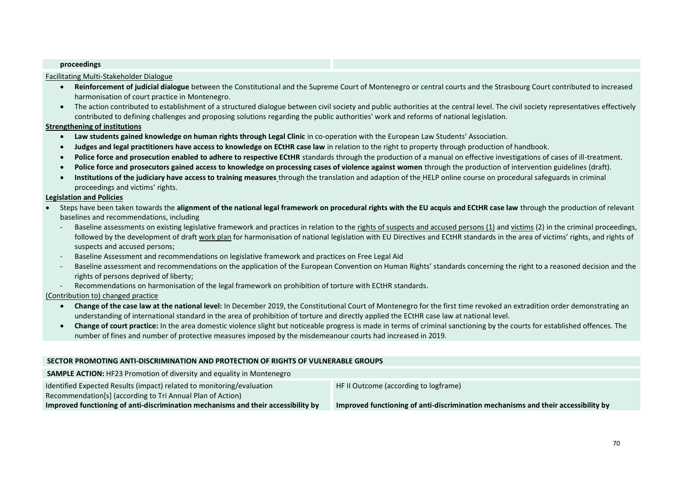#### **proceedings**

#### Facilitating Multi-Stakeholder Dialogue

- **Reinforcement of judicial dialogue** between the Constitutional and the Supreme Court of Montenegro or central courts and the Strasbourg Court contributed to increased harmonisation of court practice in Montenegro.
- The action contributed to establishment of a structured dialogue between civil society and public authorities at the central level. The civil society representatives effectively contributed to defining challenges and proposing solutions regarding the public authorities' work and reforms of national legislation.

#### **Strengthening of institutions**

- **Law students gained knowledge on human rights through Legal Clinic** in co-operation with the European Law Students' Association.
- **Judges and legal practitioners have access to knowledge on ECtHR case law** in relation to the right to property through production of handbook.
- **Police force and prosecution enabled to adhere to respective ECtHR** standards through the production of a manual on effective investigations of cases of ill-treatment.
- **Police force and prosecutors gained access to knowledge on processing cases of violence against women** through the production of intervention guidelines (draft).
- **Institutions of the judiciary have access to training measures** through the translation and adaption of the HELP online course on procedural safeguards in criminal proceedings and victims' rights.

#### **Legislation and Policies**

- Steps have been taken towards the **alignment of the national legal framework on procedural rights with the EU acquis and ECtHR case law** through the production of relevant baselines and recommendations, including
	- Baseline assessments on existing legislative framework and practices in relation to the rights of suspects and accused persons (1) and victims (2) in the criminal proceedings, followed by the development of draft work plan for harmonisation of national legislation with EU Directives and ECtHR standards in the area of victims' rights, and rights of suspects and accused persons;
	- Baseline Assessment and recommendations on legislative framework and practices on Free Legal Aid
	- Baseline assessment and recommendations on the application of the European Convention on Human Rights' standards concerning the right to a reasoned decision and the rights of persons deprived of liberty;
	- Recommendations on harmonisation of the legal framework on prohibition of torture with ECtHR standards.

## (Contribution to) changed practice

- **Change of the case law at the national level:** In December 2019, the Constitutional Court of Montenegro for the first time revoked an extradition order demonstrating an understanding of international standard in the area of prohibition of torture and directly applied the ECtHR case law at national level.
- **Change of court practice:** In the area domestic violence slight but noticeable progress is made in terms of criminal sanctioning by the courts for established offences. The number of fines and number of protective measures imposed by the misdemeanour courts had increased in 2019.

#### **SECTOR PROMOTING ANTI-DISCRIMINATION AND PROTECTION OF RIGHTS OF VULNERABLE GROUPS**

| <b>SAMPLE ACTION:</b> HF23 Promotion of diversity and equality in Montenegro      |                                                                                   |
|-----------------------------------------------------------------------------------|-----------------------------------------------------------------------------------|
| Identified Expected Results (impact) related to monitoring/evaluation             | HF II Outcome (according to logframe)                                             |
| Recommendation[s] (according to Tri Annual Plan of Action)                        |                                                                                   |
| Improved functioning of anti-discrimination mechanisms and their accessibility by | Improved functioning of anti-discrimination mechanisms and their accessibility by |
|                                                                                   |                                                                                   |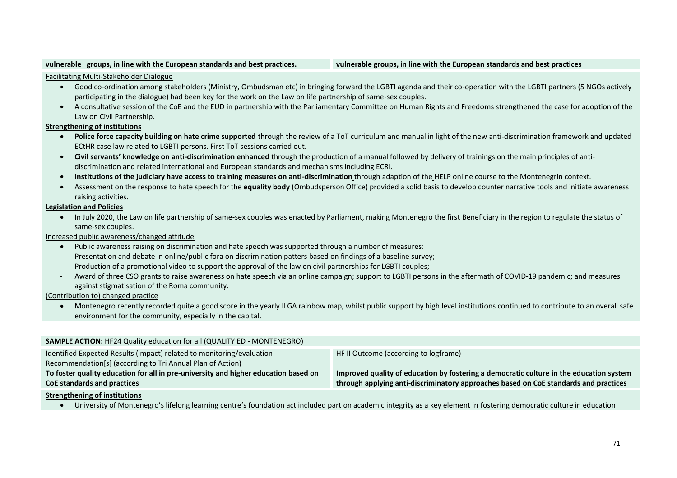#### **vulnerable groups, in line with the European standards and best practices. vulnerable groups, in line with the European standards and best practices**

#### Facilitating Multi-Stakeholder Dialogue

- Good co-ordination among stakeholders (Ministry, Ombudsman etc) in bringing forward the LGBTI agenda and their co-operation with the LGBTI partners (5 NGOs actively participating in the dialogue) had been key for the work on the Law on life partnership of same-sex couples.
- A consultative session of the CoE and the EUD in partnership with the Parliamentary Committee on Human Rights and Freedoms strengthened the case for adoption of the Law on Civil Partnership.

#### **Strengthening of institutions**

- **Police force capacity building on hate crime supported** through the review of a ToT curriculum and manual in light of the new anti-discrimination framework and updated ECtHR case law related to LGBTI persons. First ToT sessions carried out.
- **Civil servants' knowledge on anti-discrimination enhanced** through the production of a manual followed by delivery of trainings on the main principles of antidiscrimination and related international and European standards and mechanisms including ECRI.
- **Institutions of the judiciary have access to training measures on anti-discrimination** through adaption of the HELP online course to the Montenegrin context.
- Assessment on the response to hate speech for the **equality body** (Ombudsperson Office) provided a solid basis to develop counter narrative tools and initiate awareness raising activities.

## **Legislation and Policies**

• In July 2020, the Law on life partnership of same-sex couples was enacted by Parliament, making Montenegro the first Beneficiary in the region to regulate the status of same-sex couples.

### Increased public awareness/changed attitude

- Public awareness raising on discrimination and hate speech was supported through a number of measures:
- Presentation and debate in online/public fora on discrimination patters based on findings of a baseline survey;
- Production of a promotional video to support the approval of the law on civil partnerships for LGBTI couples;
- Award of three CSO grants to raise awareness on hate speech via an online campaign; support to LGBTI persons in the aftermath of COVID-19 pandemic; and measures against stigmatisation of the Roma community.

#### (Contribution to) changed practice

• Montenegro recently recorded quite a good score in the yearly ILGA rainbow map, whilst public support by high level institutions continued to contribute to an overall safe environment for the community, especially in the capital.

| <b>SAMPLE ACTION:</b> HF24 Quality education for all (QUALITY ED - MONTENEGRO)      |                                                                                         |
|-------------------------------------------------------------------------------------|-----------------------------------------------------------------------------------------|
| Identified Expected Results (impact) related to monitoring/evaluation               | HF II Outcome (according to logframe)                                                   |
| Recommendation[s] (according to Tri Annual Plan of Action)                          |                                                                                         |
| To foster quality education for all in pre-university and higher education based on | Improved quality of education by fostering a democratic culture in the education system |
| CoE standards and practices                                                         | through applying anti-discriminatory approaches based on CoE standards and practices    |
|                                                                                     |                                                                                         |

#### **Strengthening of institutions**

• University of Montenegro's lifelong learning centre's foundation act included part on academic integrity as a key element in fostering democratic culture in education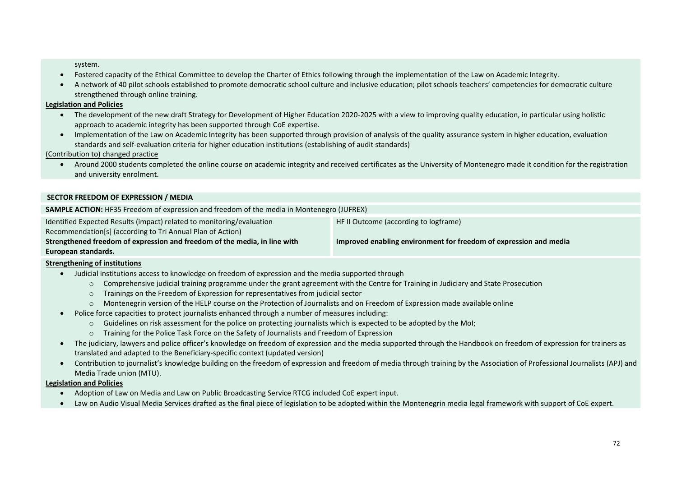system.

- Fostered capacity of the Ethical Committee to develop the Charter of Ethics following through the implementation of the Law on Academic Integrity.
- A network of 40 pilot schools established to promote democratic school culture and inclusive education; pilot schools teachers' competencies for democratic culture strengthened through online training.

## **Legislation and Policies**

- The development of the new draft Strategy for Development of Higher Education 2020-2025 with a view to improving quality education, in particular using holistic approach to academic integrity has been supported through CoE expertise.
- Implementation of the Law on Academic Integrity has been supported through provision of analysis of the quality assurance system in higher education, evaluation standards and self-evaluation criteria for higher education institutions (establishing of audit standards)

(Contribution to) changed practice

• Around 2000 students completed the online course on academic integrity and received certificates as the University of Montenegro made it condition for the registration and university enrolment.

## **SECTOR FREEDOM OF EXPRESSION / MEDIA**

| SAMPLE ACTION: HF35 Freedom of expression and freedom of the media in Montenegro (JUFREX) |                                                                   |  |
|-------------------------------------------------------------------------------------------|-------------------------------------------------------------------|--|
| Identified Expected Results (impact) related to monitoring/evaluation                     | HF II Outcome (according to logframe)                             |  |
| Recommendation[s] (according to Tri Annual Plan of Action)                                |                                                                   |  |
| Strengthened freedom of expression and freedom of the media, in line with                 | Improved enabling environment for freedom of expression and media |  |
| European standards.                                                                       |                                                                   |  |

## **Strengthening of institutions**

- Judicial institutions access to knowledge on freedom of expression and the media supported through
	- o Comprehensive judicial training programme under the grant agreement with the Centre for Training in Judiciary and State Prosecution
	- o Trainings on the Freedom of Expression for representatives from judicial sector
	- o Montenegrin version of the HELP course on the Protection of Journalists and on Freedom of Expression made available online
- Police force capacities to protect journalists enhanced through a number of measures including:
	- o Guidelines on risk assessment for the police on protecting journalists which is expected to be adopted by the MoI;
	- o Training for the Police Task Force on the Safety of Journalists and Freedom of Expression
- The judiciary, lawyers and police officer's knowledge on freedom of expression and the media supported through the Handbook on freedom of expression for trainers as translated and adapted to the Beneficiary-specific context (updated version)
- Contribution to journalist's knowledge building on the freedom of expression and freedom of media through training by the Association of Professional Journalists (APJ) and Media Trade union (MTU).

## **Legislation and Policies**

- Adoption of Law on Media and Law on Public Broadcasting Service RTCG included CoE expert input.
- Law on Audio Visual Media Services drafted as the final piece of legislation to be adopted within the Montenegrin media legal framework with support of CoE expert.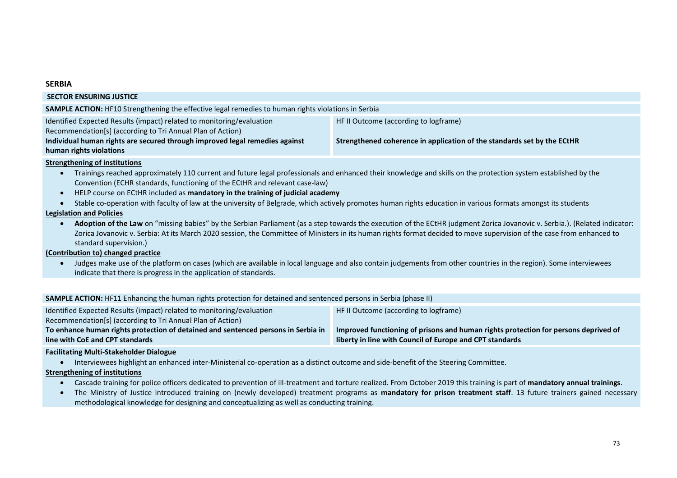### **SERBIA**

| <b>SECTOR ENSURING JUSTICE</b>                                                                                                      |                                                                         |  |
|-------------------------------------------------------------------------------------------------------------------------------------|-------------------------------------------------------------------------|--|
| SAMPLE ACTION: HF10 Strengthening the effective legal remedies to human rights violations in Serbia                                 |                                                                         |  |
| Identified Expected Results (impact) related to monitoring/evaluation<br>Recommendation[s] (according to Tri Annual Plan of Action) | HF II Outcome (according to logframe)                                   |  |
| Individual human rights are secured through improved legal remedies against<br>human rights violations                              | Strengthened coherence in application of the standards set by the ECtHR |  |

#### **Strengthening of institutions**

- Trainings reached approximately 110 current and future legal professionals and enhanced their knowledge and skills on the protection system established by the Convention (ECHR standards, functioning of the ECtHR and relevant case-law)
- HELP course on ECtHR included as **mandatory in the training of judicial academy**
- Stable co-operation with faculty of law at the university of Belgrade, which actively promotes human rights education in various formats amongst its students

#### **Legislation and Policies**

• **Adoption of the Law** on "missing babies" by the Serbian Parliament (as a step towards the execution of the ECtHR judgment Zorica Jovanovic v. Serbia.). (Related indicator: Zorica Jovanovic v. Serbia: At its March 2020 session, the Committee of Ministers in its human rights format decided to move supervision of the case from enhanced to standard supervision.)

## **(Contribution to) changed practice**

• Judges make use of the platform on cases (which are available in local language and also contain judgements from other countries in the region). Some interviewees indicate that there is progress in the application of standards.

#### **SAMPLE ACTION:** HF11 Enhancing the human rights protection for detained and sentenced persons in Serbia (phase II)

| Identified Expected Results (impact) related to monitoring/evaluation             | HF II Outcome (according to logframe)                                               |
|-----------------------------------------------------------------------------------|-------------------------------------------------------------------------------------|
| Recommendation[s] (according to Tri Annual Plan of Action)                        |                                                                                     |
| To enhance human rights protection of detained and sentenced persons in Serbia in | Improved functioning of prisons and human rights protection for persons deprived of |
| line with CoE and CPT standards                                                   | liberty in line with Council of Europe and CPT standards                            |
|                                                                                   |                                                                                     |

#### **Facilitating Multi-Stakeholder Dialogue**

• Interviewees highlight an enhanced inter-Ministerial co-operation as a distinct outcome and side-benefit of the Steering Committee.

#### **Strengthening of institutions**

- Cascade training for police officers dedicated to prevention of ill-treatment and torture realized. From October 2019 this training is part of **mandatory annual trainings**.
- The Ministry of Justice introduced training on (newly developed) treatment programs as **mandatory for prison treatment staff**. 13 future trainers gained necessary methodological knowledge for designing and conceptualizing as well as conducting training.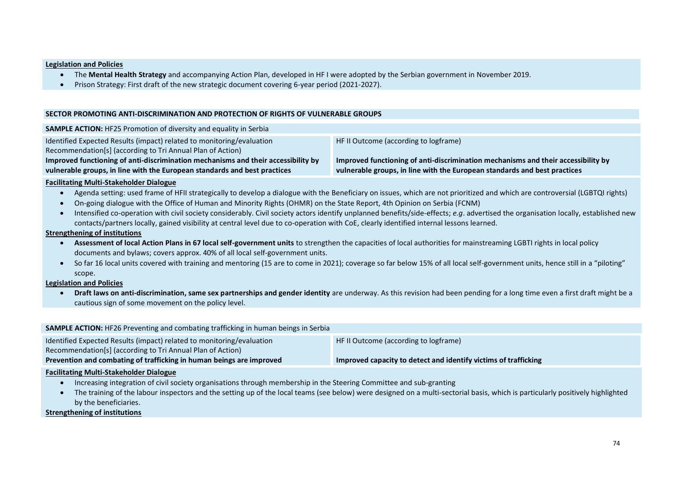#### **Legislation and Policies**

- The **Mental Health Strategy** and accompanying Action Plan, developed in HF I were adopted by the Serbian government in November 2019.
- Prison Strategy: First draft of the new strategic document covering 6-year period (2021-2027).

#### **SECTOR PROMOTING ANTI-DISCRIMINATION AND PROTECTION OF RIGHTS OF VULNERABLE GROUPS**

| <b>SAMPLE ACTION:</b> HF25 Promotion of diversity and equality in Serbia          |                                                                                   |
|-----------------------------------------------------------------------------------|-----------------------------------------------------------------------------------|
| Identified Expected Results (impact) related to monitoring/evaluation             | HF II Outcome (according to logframe)                                             |
| Recommendation[s] (according to Tri Annual Plan of Action)                        |                                                                                   |
| Improved functioning of anti-discrimination mechanisms and their accessibility by | Improved functioning of anti-discrimination mechanisms and their accessibility by |
| vulnerable groups, in line with the European standards and best practices         | vulnerable groups, in line with the European standards and best practices         |
| . Barattera de la Anglet, Cerdera la Islam Pitalia esta                           |                                                                                   |

#### **Facilitating Multi-Stakeholder Dialogue**

- Agenda setting: used frame of HFII strategically to develop a dialogue with the Beneficiary on issues, which are not prioritized and which are controversial (LGBTQI rights)
- On-going dialogue with the Office of Human and Minority Rights (OHMR) on the State Report, 4th Opinion on Serbia (FCNM)
- Intensified co-operation with civil society considerably. Civil society actors identify unplanned benefits/side-effects; *e.g*. advertised the organisation locally, established new contacts/partners locally, gained visibility at central level due to co-operation with CoE, clearly identified internal lessons learned.

#### **Strengthening of institutions**

- **Assessment of local Action Plans in 67 local self-government units** to strengthen the capacities of local authorities for mainstreaming LGBTI rights in local policy documents and bylaws; covers approx. 40% of all local self-government units.
- So far 16 local units covered with training and mentoring (15 are to come in 2021); coverage so far below 15% of all local self-government units, hence still in a "piloting" scope.

#### **Legislation and Policies**

• **Draft laws on anti-discrimination, same sex partnerships and gender identity** are underway. As this revision had been pending for a long time even a first draft might be a cautious sign of some movement on the policy level.

| <b>SAMPLE ACTION:</b> HF26 Preventing and combating trafficking in human beings in Serbia |                                                                 |
|-------------------------------------------------------------------------------------------|-----------------------------------------------------------------|
| Identified Expected Results (impact) related to monitoring/evaluation                     | HF II Outcome (according to logframe)                           |
| Recommendation[s] (according to Tri Annual Plan of Action)                                |                                                                 |
| Prevention and combating of trafficking in human beings are improved                      | Improved capacity to detect and identify victims of trafficking |
| . Maraiki antara Antarki Musika katalan Musika ang p                                      |                                                                 |

#### **Facilitating Multi-Stakeholder Dialogue**

- Increasing integration of civil society organisations through membership in the Steering Committee and sub-granting
- The training of the labour inspectors and the setting up of the local teams (see below) were designed on a multi-sectorial basis, which is particularly positively highlighted by the beneficiaries.

#### **Strengthening of institutions**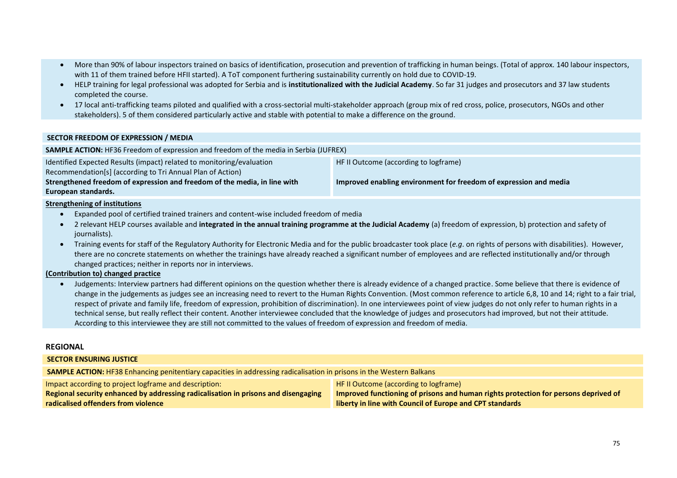- More than 90% of labour inspectors trained on basics of identification, prosecution and prevention of trafficking in human beings. (Total of approx. 140 labour inspectors, with 11 of them trained before HFII started). A ToT component furthering sustainability currently on hold due to COVID-19.
- HELP training for legal professional was adopted for Serbia and is **institutionalized with the Judicial Academy**. So far 31 judges and prosecutors and 37 law students completed the course.
- 17 local anti-trafficking teams piloted and qualified with a cross-sectorial multi-stakeholder approach (group mix of red cross, police, prosecutors, NGOs and other stakeholders). 5 of them considered particularly active and stable with potential to make a difference on the ground.

#### **SECTOR FREEDOM OF EXPRESSION / MEDIA**

| <b>SAMPLE ACTION:</b> HF36 Freedom of expression and freedom of the media in Serbia (JUFREX) |                                                                   |  |
|----------------------------------------------------------------------------------------------|-------------------------------------------------------------------|--|
| Identified Expected Results (impact) related to monitoring/evaluation                        | HF II Outcome (according to logframe)                             |  |
| Recommendation[s] (according to Tri Annual Plan of Action)                                   |                                                                   |  |
| Strengthened freedom of expression and freedom of the media, in line with                    | Improved enabling environment for freedom of expression and media |  |
| European standards.                                                                          |                                                                   |  |

#### **Strengthening of institutions**

- Expanded pool of certified trained trainers and content-wise included freedom of media
- 2 relevant HELP courses available and **integrated in the annual training programme at the Judicial Academy** (a) freedom of expression, b) protection and safety of iournalists).
- Training events for staff of the Regulatory Authority for Electronic Media and for the public broadcaster took place (*e.g*. on rights of persons with disabilities). However, there are no concrete statements on whether the trainings have already reached a significant number of employees and are reflected institutionally and/or through changed practices; neither in reports nor in interviews.

#### **(Contribution to) changed practice**

• Judgements: Interview partners had different opinions on the question whether there is already evidence of a changed practice. Some believe that there is evidence of change in the judgements as judges see an increasing need to revert to the Human Rights Convention. (Most common reference to article 6,8, 10 and 14; right to a fair trial, respect of private and family life, freedom of expression, prohibition of discrimination). In one interviewees point of view judges do not only refer to human rights in a technical sense, but really reflect their content. Another interviewee concluded that the knowledge of judges and prosecutors had improved, but not their attitude. According to this interviewee they are still not committed to the values of freedom of expression and freedom of media.

#### **REGIONAL**

#### **SECTOR ENSURING JUSTICE**

**SAMPLE ACTION:** HF38 Enhancing penitentiary capacities in addressing radicalisation in prisons in the Western Balkans

Impact according to project logframe and description:

**Regional security enhanced by addressing radicalisation in prisons and disengaging radicalised offenders from violence**

HF II Outcome (according to logframe) **Improved functioning of prisons and human rights protection for persons deprived of liberty in line with Council of Europe and CPT standards**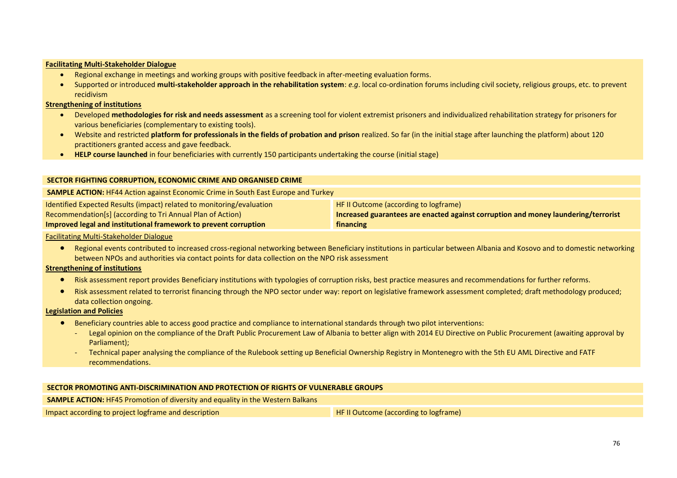#### **Facilitating Multi-Stakeholder Dialogue**

- Regional exchange in meetings and working groups with positive feedback in after-meeting evaluation forms.
- Supported or introduced **multi-stakeholder approach in the rehabilitation system**: *e.g*. local co-ordination forums including civil society, religious groups, etc. to prevent recidivism

#### **Strengthening of institutions**

- Developed **methodologies for risk and needs assessment** as a screening tool for violent extremist prisoners and individualized rehabilitation strategy for prisoners for various beneficiaries (complementary to existing tools).
- Website and restricted **platform for professionals in the fields of probation and prison** realized. So far (in the initial stage after launching the platform) about 120 practitioners granted access and gave feedback.
- **HELP course launched** in four beneficiaries with currently 150 participants undertaking the course (initial stage)

| SECTOR FIGHTING CORRUPTION, ECONOMIC CRIME AND ORGANISED CRIME                                                                                                                                          |                                                                                                                                          |  |
|---------------------------------------------------------------------------------------------------------------------------------------------------------------------------------------------------------|------------------------------------------------------------------------------------------------------------------------------------------|--|
| <b>SAMPLE ACTION: HF44 Action against Economic Crime in South East Europe and Turkey</b>                                                                                                                |                                                                                                                                          |  |
| Identified Expected Results (impact) related to monitoring/evaluation<br>Recommendation[s] (according to Tri Annual Plan of Action)<br>Improved legal and institutional framework to prevent corruption | HF II Outcome (according to logframe)<br>Increased guarantees are enacted against corruption and money laundering/terrorist<br>financing |  |

#### Facilitating Multi-Stakeholder Dialogue

• Regional events contributed to increased cross-regional networking between Beneficiary institutions in particular between Albania and Kosovo and to domestic networking between NPOs and authorities via contact points for data collection on the NPO risk assessment

#### **Strengthening of institutions**

- Risk assessment report provides Beneficiary institutions with typologies of corruption risks, best practice measures and recommendations for further reforms.
- Risk assessment related to terrorist financing through the NPO sector under way: report on legislative framework assessment completed; draft methodology produced; data collection ongoing.

#### **Legislation and Policies**

- Beneficiary countries able to access good practice and compliance to international standards through two pilot interventions:
	- Legal opinion on the compliance of the Draft Public Procurement Law of Albania to better align with 2014 EU Directive on Public Procurement (awaiting approval by Parliament);
	- Technical paper analysing the compliance of the Rulebook setting up Beneficial Ownership Registry in Montenegro with the 5th EU AML Directive and FATF recommendations.

#### **SECTOR PROMOTING ANTI-DISCRIMINATION AND PROTECTION OF RIGHTS OF VULNERABLE GROUPS**

**SAMPLE ACTION:** HF45 Promotion of diversity and equality in the Western Balkans

Impact according to project logframe and description **Example 20 and HF II Outcome (according to logframe)**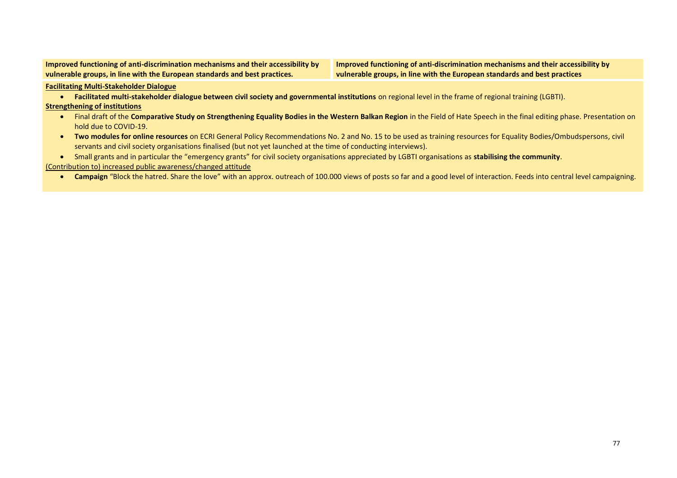**Improved functioning of anti-discrimination mechanisms and their accessibility by vulnerable groups, in line with the European standards and best practices.**

**Improved functioning of anti-discrimination mechanisms and their accessibility by vulnerable groups, in line with the European standards and best practices**

**Facilitating Multi-Stakeholder Dialogue**

• **Facilitated multi-stakeholder dialogue between civil society and governmental institutions** on regional level in the frame of regional training (LGBTI).

#### **Strengthening of institutions**

- Final draft of the **Comparative Study on Strengthening Equality Bodies in the Western Balkan Region** in the Field of Hate Speech in the final editing phase. Presentation on hold due to COVID-19.
- **Two modules for online resources** on ECRI General Policy Recommendations No. 2 and No. 15 to be used as training resources for Equality Bodies/Ombudspersons, civil servants and civil society organisations finalised (but not yet launched at the time of conducting interviews).

• Small grants and in particular the "emergency grants" for civil society organisations appreciated by LGBTI organisations as **stabilising the community**.

(Contribution to) increased public awareness/changed attitude

• Campaign "Block the hatred. Share the love" with an approx. outreach of 100.000 views of posts so far and a good level of interaction. Feeds into central level campaigning.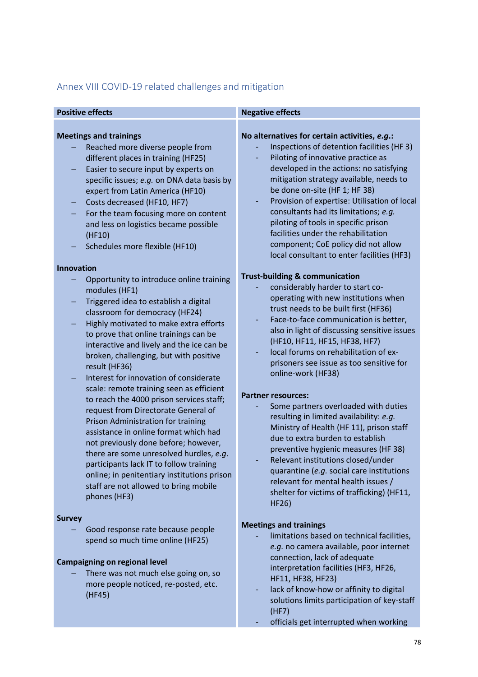# Annex VIII COVID-19 related challenges and mitigation

| <b>Positive effects</b> |
|-------------------------|
|                         |

## **Meetings and trainings**

- − Reached more diverse people from different places in training (HF25)
- Easier to secure input by experts on specific issues; *e.g.* on DNA data basis by expert from Latin America (HF10)
- − Costs decreased (HF10, HF7)
- For the team focusing more on content and less on logistics became possible (HF10)
- − Schedules more flexible (HF10)

## **Innovation**

- − Opportunity to introduce online training modules (HF1)
- − Triggered idea to establish a digital classroom for democracy (HF24)
- − Highly motivated to make extra efforts to prove that online trainings can be interactive and lively and the ice can be broken, challenging, but with positive result (HF36)
- − Interest for innovation of considerate scale: remote training seen as efficient to reach the 4000 prison services staff; request from Directorate General of Prison Administration for training assistance in online format which had not previously done before; however, there are some unresolved hurdles, *e.g*. participants lack IT to follow training online; in penitentiary institutions prison staff are not allowed to bring mobile phones (HF3)

## **Survey**

− Good response rate because people spend so much time online (HF25)

## **Campaigning on regional level**

There was not much else going on, so more people noticed, re-posted, etc. (HF45)

## **Positive effects Negative effects**

## **No alternatives for certain activities,** *e.g***.:**

- Inspections of detention facilities (HF 3)
- Piloting of innovative practice as developed in the actions: no satisfying mitigation strategy available, needs to be done on-site (HF 1; HF 38)
- Provision of expertise: Utilisation of local consultants had its limitations; *e.g.* piloting of tools in specific prison facilities under the rehabilitation component; CoE policy did not allow local consultant to enter facilities (HF3)

## **Trust-building & communication**

- considerably harder to start cooperating with new institutions when trust needs to be built first (HF36)
- Face-to-face communication is better, also in light of discussing sensitive issues (HF10, HF11, HF15, HF38, HF7)
- local forums on rehabilitation of exprisoners see issue as too sensitive for online-work (HF38)

## **Partner resources:**

- Some partners overloaded with duties resulting in limited availability: *e.g.* Ministry of Health (HF 11), prison staff due to extra burden to establish preventive hygienic measures (HF 38)
- Relevant institutions closed/under quarantine (*e.g.* social care institutions relevant for mental health issues / shelter for victims of trafficking) (HF11, HF26)

## **Meetings and trainings**

- limitations based on technical facilities, *e.g.* no camera available, poor internet connection, lack of adequate interpretation facilities (HF3, HF26, HF11, HF38, HF23)
- lack of know-how or affinity to digital solutions limits participation of key-staff (HF7)
	- officials get interrupted when working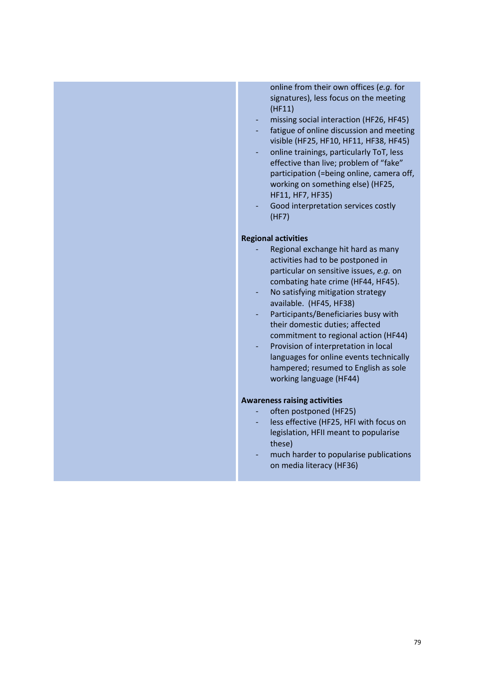(HF11) missing social interaction (HF26, HF45) fatigue of online discussion and meeting visible (HF25, HF10, HF11, HF38, HF45) online trainings, particularly ToT, less effective than live; problem of "fake" participation (=being online, camera off, working on something else) (HF25, HF11, HF7, HF35) Good interpretation services costly (HF7) **Regional activities** Regional exchange hit hard as many activities had to be postponed in particular on sensitive issues, *e.g.* on combating hate crime (HF44, HF45). No satisfying mitigation strategy available. (HF45, HF38) Participants/Beneficiaries busy with their domestic duties; affected commitment to regional action (HF44) Provision of interpretation in local languages for online events technically hampered; resumed to English as sole working language (HF44) **Awareness raising activities** often postponed (HF25) less effective (HF25, HFI with focus on legislation, HFII meant to popularise these) much harder to popularise publications on media literacy (HF36)

online from their own offices (*e.g.* for signatures), less focus on the meeting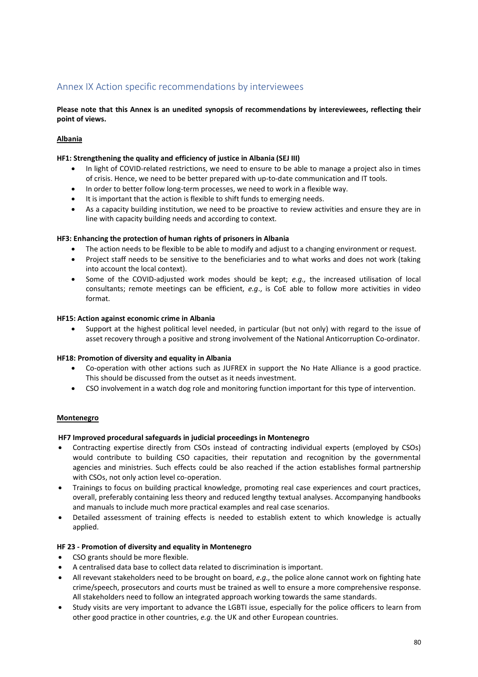# Annex IX Action specific recommendations by interviewees

**Please note that this Annex is an unedited synopsis of recommendations by intereviewees, reflecting their point of views.**

## **Albania**

## **HF1: Strengthening the quality and efficiency of justice in Albania (SEJ III)**

- In light of COVID-related restrictions, we need to ensure to be able to manage a project also in times of crisis. Hence, we need to be better prepared with up-to-date communication and IT tools.
- In order to better follow long-term processes, we need to work in a flexible way.
- It is important that the action is flexible to shift funds to emerging needs.
- As a capacity building institution, we need to be proactive to review activities and ensure they are in line with capacity building needs and according to context.

## **HF3: Enhancing the protection of human rights of prisoners in Albania**

- The action needs to be flexible to be able to modify and adjust to a changing environment or request.
- Project staff needs to be sensitive to the beneficiaries and to what works and does not work (taking into account the local context).
- Some of the COVID-adjusted work modes should be kept; *e.g.,* the increased utilisation of local consultants; remote meetings can be efficient, *e.g*., is CoE able to follow more activities in video format.

#### **HF15: Action against economic crime in Albania**

• Support at the highest political level needed, in particular (but not only) with regard to the issue of asset recovery through a positive and strong involvement of the National Anticorruption Co-ordinator.

#### **HF18: Promotion of diversity and equality in Albania**

- Co-operation with other actions such as JUFREX in support the No Hate Alliance is a good practice. This should be discussed from the outset as it needs investment.
- CSO involvement in a watch dog role and monitoring function important for this type of intervention.

## **Montenegro**

#### **HF7 Improved procedural safeguards in judicial proceedings in Montenegro**

- Contracting expertise directly from CSOs instead of contracting individual experts (employed by CSOs) would contribute to building CSO capacities, their reputation and recognition by the governmental agencies and ministries. Such effects could be also reached if the action establishes formal partnership with CSOs, not only action level co-operation.
- Trainings to focus on building practical knowledge, promoting real case experiences and court practices, overall, preferably containing less theory and reduced lengthy textual analyses. Accompanying handbooks and manuals to include much more practical examples and real case scenarios.
- Detailed assessment of training effects is needed to establish extent to which knowledge is actually applied.

#### **HF 23 - Promotion of diversity and equality in Montenegro**

- CSO grants should be more flexible.
- A centralised data base to collect data related to discrimination is important.
- All revevant stakeholders need to be brought on board, *e.g.,* the police alone cannot work on fighting hate crime/speech, prosecutors and courts must be trained as well to ensure a more comprehensive response. All stakeholders need to follow an integrated approach working towards the same standards.
- Study visits are very important to advance the LGBTI issue, especially for the police officers to learn from other good practice in other countries, *e.g.* the UK and other European countries.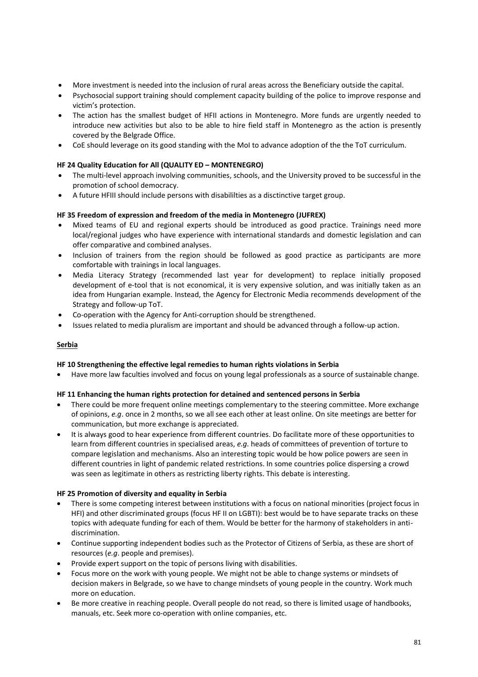- More investment is needed into the inclusion of rural areas across the Beneficiary outside the capital.
- Psychosocial support training should complement capacity building of the police to improve response and victim's protection.
- The action has the smallest budget of HFII actions in Montenegro. More funds are urgently needed to introduce new activities but also to be able to hire field staff in Montenegro as the action is presently covered by the Belgrade Office.
- CoE should leverage on its good standing with the MoI to advance adoption of the the ToT curriculum.

## **HF 24 Quality Education for All (QUALITY ED – MONTENEGRO)**

- The multi-level approach involving communities, schools, and the University proved to be successful in the promotion of school democracy.
- A future HFIII should include persons with disabililties as a disctinctive target group.

## **HF 35 Freedom of expression and freedom of the media in Montenegro (JUFREX)**

- Mixed teams of EU and regional experts should be introduced as good practice. Trainings need more local/regional judges who have experience with international standards and domestic legislation and can offer comparative and combined analyses.
- Inclusion of trainers from the region should be followed as good practice as participants are more comfortable with trainings in local languages.
- Media Literacy Strategy (recommended last year for development) to replace initially proposed development of e-tool that is not economical, it is very expensive solution, and was initially taken as an idea from Hungarian example. Instead, the Agency for Electronic Media recommends development of the Strategy and follow-up ToT.
- Co-operation with the Agency for Anti-corruption should be strengthened.
- Issues related to media pluralism are important and should be advanced through a follow-up action.

## **Serbia**

#### **HF 10 Strengthening the effective legal remedies to human rights violations in Serbia**

• Have more law faculties involved and focus on young legal professionals as a source of sustainable change.

#### **HF 11 Enhancing the human rights protection for detained and sentenced persons in Serbia**

- There could be more frequent online meetings complementary to the steering committee. More exchange of opinions, *e.g*. once in 2 months, so we all see each other at least online. On site meetings are better for communication, but more exchange is appreciated.
- It is always good to hear experience from different countries. Do facilitate more of these opportunities to learn from different countries in specialised areas, *e.g.* heads of committees of prevention of torture to compare legislation and mechanisms. Also an interesting topic would be how police powers are seen in different countries in light of pandemic related restrictions. In some countries police dispersing a crowd was seen as legitimate in others as restricting liberty rights. This debate is interesting.

#### **HF 25 Promotion of diversity and equality in Serbia**

- There is some competing interest between institutions with a focus on national minorities (project focus in HFI) and other discriminated groups (focus HF II on LGBTI): best would be to have separate tracks on these topics with adequate funding for each of them. Would be better for the harmony of stakeholders in antidiscrimination.
- Continue supporting independent bodies such as the Protector of Citizens of Serbia, as these are short of resources (*e.g*. people and premises).
- Provide expert support on the topic of persons living with disabilities.
- Focus more on the work with young people. We might not be able to change systems or mindsets of decision makers in Belgrade, so we have to change mindsets of young people in the country. Work much more on education.
- Be more creative in reaching people. Overall people do not read, so there is limited usage of handbooks, manuals, etc. Seek more co-operation with online companies, etc.